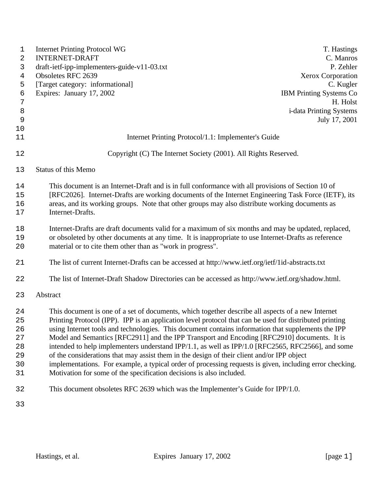| 1          | <b>Internet Printing Protocol WG</b>                                                                     | T. Hastings                    |
|------------|----------------------------------------------------------------------------------------------------------|--------------------------------|
| $\sqrt{2}$ | <b>INTERNET-DRAFT</b>                                                                                    | C. Manros<br>P. Zehler         |
| 3<br>4     | draft-ietf-ipp-implementers-guide-v11-03.txt<br>Obsoletes RFC 2639                                       | <b>Xerox Corporation</b>       |
| 5          | [Target category: informational]                                                                         | C. Kugler                      |
| 6          | Expires: January 17, 2002                                                                                | <b>IBM Printing Systems Co</b> |
| 7          |                                                                                                          | H. Holst                       |
| 8          |                                                                                                          | i-data Printing Systems        |
| 9          |                                                                                                          | July 17, 2001                  |
| $10$       |                                                                                                          |                                |
| 11         | Internet Printing Protocol/1.1: Implementer's Guide                                                      |                                |
| 12         | Copyright (C) The Internet Society (2001). All Rights Reserved.                                          |                                |
| 13         | <b>Status of this Memo</b>                                                                               |                                |
| 14         | This document is an Internet-Draft and is in full conformance with all provisions of Section 10 of       |                                |
| 15         | [RFC2026]. Internet-Drafts are working documents of the Internet Engineering Task Force (IETF), its      |                                |
| 16         | areas, and its working groups. Note that other groups may also distribute working documents as           |                                |
| 17         | Internet-Drafts.                                                                                         |                                |
| 18         | Internet-Drafts are draft documents valid for a maximum of six months and may be updated, replaced,      |                                |
| 19         | or obsoleted by other documents at any time. It is inappropriate to use Internet-Drafts as reference     |                                |
| 20         | material or to cite them other than as "work in progress".                                               |                                |
| 21         | The list of current Internet-Drafts can be accessed at http://www.ietf.org/ietf/1id-abstracts.txt        |                                |
| 22         | The list of Internet-Draft Shadow Directories can be accessed as http://www.ietf.org/shadow.html.        |                                |
| 23         | Abstract                                                                                                 |                                |
| 24         | This document is one of a set of documents, which together describe all aspects of a new Internet        |                                |
| 25         | Printing Protocol (IPP). IPP is an application level protocol that can be used for distributed printing  |                                |
| 26         | using Internet tools and technologies. This document contains information that supplements the IPP       |                                |
| 27         | Model and Semantics [RFC2911] and the IPP Transport and Encoding [RFC2910] documents. It is              |                                |
| 28         | intended to help implementers understand IPP/1.1, as well as IPP/1.0 [RFC2565, RFC2566], and some        |                                |
| 29         | of the considerations that may assist them in the design of their client and/or IPP object               |                                |
| 30         | implementations. For example, a typical order of processing requests is given, including error checking. |                                |
| 31         | Motivation for some of the specification decisions is also included.                                     |                                |
| 32         | This document obsoletes RFC 2639 which was the Implementer's Guide for IPP/1.0.                          |                                |
| 33         |                                                                                                          |                                |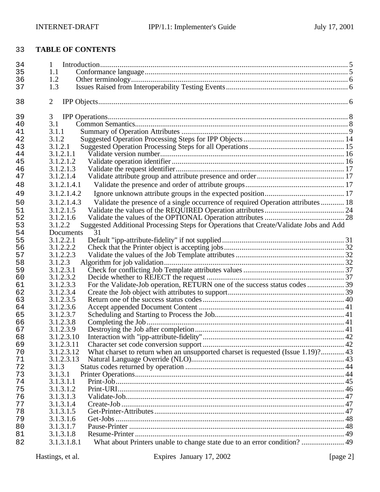# **TABLE OF CONTENTS**

| 34 | 1                                                                                                 |  |
|----|---------------------------------------------------------------------------------------------------|--|
| 35 | 1.1                                                                                               |  |
| 36 | 1.2                                                                                               |  |
| 37 | 1.3                                                                                               |  |
| 38 | $\overline{2}$                                                                                    |  |
| 39 | 3                                                                                                 |  |
| 40 | 3.1                                                                                               |  |
| 41 | 3.1.1                                                                                             |  |
| 42 | 3.1.2                                                                                             |  |
| 43 | 3.1.2.1                                                                                           |  |
| 44 | 3.1.2.1.1                                                                                         |  |
| 45 | 3.1.2.1.2                                                                                         |  |
| 46 | 3.1.2.1.3                                                                                         |  |
| 47 | 3.1.2.1.4                                                                                         |  |
| 48 | 3.1.2.1.4.1                                                                                       |  |
| 49 | 3.1.2.1.4.2                                                                                       |  |
| 50 | Validate the presence of a single occurrence of required Operation attributes  18<br>3.1.2.1.4.3  |  |
| 51 | 3.1.2.1.5                                                                                         |  |
| 52 | 3.1.2.1.6                                                                                         |  |
| 53 | Suggested Additional Processing Steps for Operations that Create/Validate Jobs and Add<br>3.1.2.2 |  |
| 54 | 31<br>Documents                                                                                   |  |
| 55 | 3.1.2.2.1                                                                                         |  |
| 56 | 3.1.2.2.2                                                                                         |  |
| 57 | 3.1.2.2.3                                                                                         |  |
| 58 | 3.1.2.3                                                                                           |  |
| 59 | 3.1.2.3.1                                                                                         |  |
| 60 | 3.1.2.3.2                                                                                         |  |
| 61 | 3.1.2.3.3                                                                                         |  |
| 62 | 3.1.2.3.4                                                                                         |  |
| 63 | 3.1.2.3.5                                                                                         |  |
| 64 | 3.1.2.3.6                                                                                         |  |
| 65 | 3.1.2.3.7                                                                                         |  |
| 66 | 3.1.2.3.8                                                                                         |  |
| 67 | 3.1.2.3.9                                                                                         |  |
| 68 | 3.1.2.3.10                                                                                        |  |
| 69 | 3.1.2.3.11                                                                                        |  |
| 70 | What charset to return when an unsupported charset is requested (Issue 1.19)? 43<br>3.1.2.3.12    |  |
| 71 | 3.1.2.3.13                                                                                        |  |
| 72 | 3.1.3                                                                                             |  |
| 73 | 3.1.3.1                                                                                           |  |
| 74 | 3.1.3.1.1                                                                                         |  |
| 75 | 3.1.3.1.2                                                                                         |  |
| 76 | 3.1.3.1.3                                                                                         |  |
| 77 | 3.1.3.1.4                                                                                         |  |
| 78 | 3.1.3.1.5                                                                                         |  |
| 79 | 3.1.3.1.6                                                                                         |  |
| 80 | 3.1.3.1.7                                                                                         |  |
| 81 | 3.1.3.1.8                                                                                         |  |
| 82 | What about Printers unable to change state due to an error condition?  49<br>3.1.3.1.8.1          |  |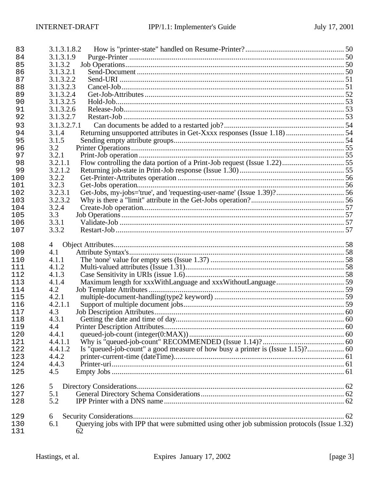| 83         | 3.1.3.1.8.2                                                                                              |  |
|------------|----------------------------------------------------------------------------------------------------------|--|
| 84         | 3.1.3.1.9                                                                                                |  |
| 85         | 3.1.3.2                                                                                                  |  |
| 86         | 3.1.3.2.1                                                                                                |  |
| 87         | 3.1.3.2.2                                                                                                |  |
| 88         | 3.1.3.2.3                                                                                                |  |
| 89         | 3.1.3.2.4                                                                                                |  |
| 90         | 3.1.3.2.5                                                                                                |  |
| 91         | 3.1.3.2.6                                                                                                |  |
| 92         | 3.1.3.2.7                                                                                                |  |
| 93         | 3.1.3.2.7.1                                                                                              |  |
| 94         | Returning unsupported attributes in Get-Xxxx responses (Issue 1.18)  54<br>3.1.4                         |  |
| 95         | 3.1.5                                                                                                    |  |
| 96         | 3.2                                                                                                      |  |
| 97         | 3.2.1<br>3.2.1.1                                                                                         |  |
| 98<br>99   | 3.2.1.2                                                                                                  |  |
| 100        | 3.2.2                                                                                                    |  |
| 101        | 3.2.3                                                                                                    |  |
| 102        | 3.2.3.1                                                                                                  |  |
| 103        | 3.2.3.2                                                                                                  |  |
| 104        | 3.2.4                                                                                                    |  |
| 105        | 3.3                                                                                                      |  |
| 106        | 3.3.1                                                                                                    |  |
| 107        | 3.3.2                                                                                                    |  |
|            |                                                                                                          |  |
| 108        | 4                                                                                                        |  |
| 109        | 4.1                                                                                                      |  |
| 110        | 4.1.1                                                                                                    |  |
| 111        | 4.1.2                                                                                                    |  |
| 112        | 4.1.3                                                                                                    |  |
| 113        | 4.1.4                                                                                                    |  |
| 114        | 4.2                                                                                                      |  |
| 115        | 4.2.1<br>4.2.1.1                                                                                         |  |
| 116<br>117 | 4.3                                                                                                      |  |
| 118        | 4.3.1                                                                                                    |  |
| 119        | 4.4                                                                                                      |  |
| 120        | 4.4.1                                                                                                    |  |
| 121        | 4.4.1.1                                                                                                  |  |
| 122        | 4.4.1.2                                                                                                  |  |
| 123        | 4.4.2                                                                                                    |  |
| 124        | 4.4.3                                                                                                    |  |
| 125        | 4.5                                                                                                      |  |
|            |                                                                                                          |  |
| 126        | 5                                                                                                        |  |
| 127        | 5.1                                                                                                      |  |
| 128        | 5.2                                                                                                      |  |
| 129        |                                                                                                          |  |
|            |                                                                                                          |  |
| 130        | 6<br>Querying jobs with IPP that were submitted using other job submission protocols (Issue 1.32)<br>6.1 |  |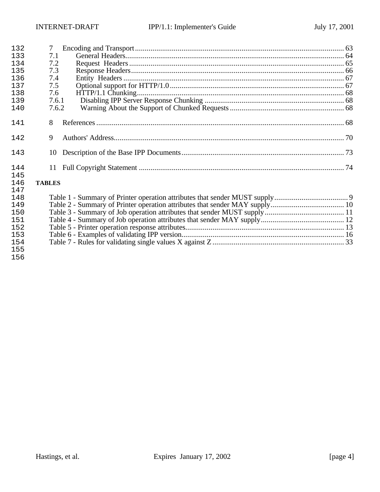| 132 | 7             |  |
|-----|---------------|--|
| 133 | 7.1           |  |
| 134 | 7.2           |  |
| 135 | 7.3           |  |
| 136 | 7.4           |  |
| 137 | 7.5           |  |
| 138 | 7.6           |  |
| 139 | 7.6.1         |  |
| 140 | 7.6.2         |  |
| 141 | 8             |  |
| 142 | 9             |  |
| 143 | 10            |  |
| 144 |               |  |
| 145 |               |  |
| 146 | <b>TABLES</b> |  |
| 147 |               |  |
| 148 |               |  |
| 149 |               |  |
| 150 |               |  |
| 151 |               |  |
| 152 |               |  |
| 153 |               |  |
| 154 |               |  |
| 155 |               |  |
| 156 |               |  |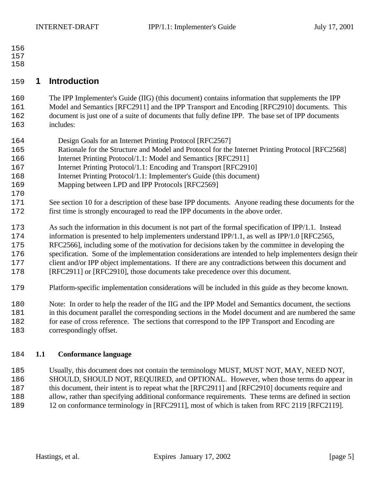- 
- 

# **1 Introduction**

 The IPP Implementer's Guide (IIG) (this document) contains information that supplements the IPP Model and Semantics [RFC2911] and the IPP Transport and Encoding [RFC2910] documents. This document is just one of a suite of documents that fully define IPP. The base set of IPP documents includes:

- Design Goals for an Internet Printing Protocol [RFC2567]
- Rationale for the Structure and Model and Protocol for the Internet Printing Protocol [RFC2568]
- Internet Printing Protocol/1.1: Model and Semantics [RFC2911]
- 167 Internet Printing Protocol/1.1: Encoding and Transport [RFC2910]
- Internet Printing Protocol/1.1: Implementer's Guide (this document)
- Mapping between LPD and IPP Protocols [RFC2569]
- See section 10 for a description of these base IPP documents. Anyone reading these documents for the first time is strongly encouraged to read the IPP documents in the above order.
- As such the information in this document is not part of the formal specification of IPP/1.1. Instead
- information is presented to help implementers understand IPP/1.1, as well as IPP/1.0 [RFC2565,
- RFC2566], including some of the motivation for decisions taken by the committee in developing the
- specification. Some of the implementation considerations are intended to help implementers design their
- client and/or IPP object implementations. If there are any contradictions between this document and
- [RFC2911] or [RFC2910], those documents take precedence over this document.
- Platform-specific implementation considerations will be included in this guide as they become known.
- Note: In order to help the reader of the IIG and the IPP Model and Semantics document, the sections
- in this document parallel the corresponding sections in the Model document and are numbered the same
- for ease of cross reference. The sections that correspond to the IPP Transport and Encoding are correspondingly offset.

# **1.1 Conformance language**

 Usually, this document does not contain the terminology MUST, MUST NOT, MAY, NEED NOT, SHOULD, SHOULD NOT, REQUIRED, and OPTIONAL. However, when those terms do appear in this document, their intent is to repeat what the [RFC2911] and [RFC2910] documents require and allow, rather than specifying additional conformance requirements. These terms are defined in section 12 on conformance terminology in [RFC2911], most of which is taken from RFC 2119 [RFC2119].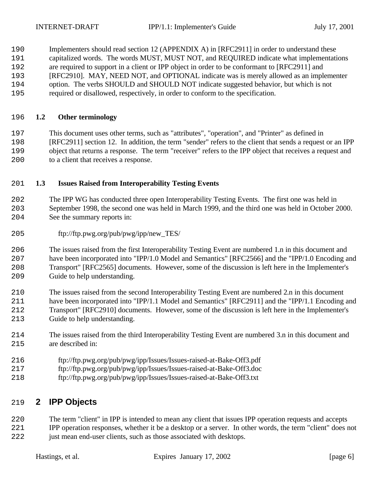190 Implementers should read section 12 (APPENDIX A) in [RFC2911] in order to understand these capitalized words. The words MUST, MUST NOT, and REQUIRED indicate what implementations are required to support in a client or IPP object in order to be conformant to [RFC2911] and [RFC2910]. MAY, NEED NOT, and OPTIONAL indicate was is merely allowed as an implementer

- option. The verbs SHOULD and SHOULD NOT indicate suggested behavior, but which is not
- required or disallowed, respectively, in order to conform to the specification.

### **1.2 Other terminology**

 This document uses other terms, such as "attributes", "operation", and "Printer" as defined in [RFC2911] section 12. In addition, the term "sender" refers to the client that sends a request or an IPP object that returns a response. The term "receiver" refers to the IPP object that receives a request and to a client that receives a response.

### **1.3 Issues Raised from Interoperability Testing Events**

 The IPP WG has conducted three open Interoperability Testing Events. The first one was held in September 1998, the second one was held in March 1999, and the third one was held in October 2000. See the summary reports in:

ftp://ftp.pwg.org/pub/pwg/ipp/new\_TES/

 The issues raised from the first Interoperability Testing Event are numbered 1.n in this document and have been incorporated into "IPP/1.0 Model and Semantics" [RFC2566] and the "IPP/1.0 Encoding and Transport" [RFC2565] documents. However, some of the discussion is left here in the Implementer's Guide to help understanding.

 The issues raised from the second Interoperability Testing Event are numbered 2.n in this document have been incorporated into "IPP/1.1 Model and Semantics" [RFC2911] and the "IPP/1.1 Encoding and Transport" [RFC2910] documents. However, some of the discussion is left here in the Implementer's Guide to help understanding.

- The issues raised from the third Interoperability Testing Event are numbered 3.n in this document and are described in:
- ftp://ftp.pwg.org/pub/pwg/ipp/Issues/Issues-raised-at-Bake-Off3.pdf
- ftp://ftp.pwg.org/pub/pwg/ipp/Issues/Issues-raised-at-Bake-Off3.doc
- ftp://ftp.pwg.org/pub/pwg/ipp/Issues/Issues-raised-at-Bake-Off3.txt

# **2 IPP Objects**

 The term "client" in IPP is intended to mean any client that issues IPP operation requests and accepts IPP operation responses, whether it be a desktop or a server. In other words, the term "client" does not

just mean end-user clients, such as those associated with desktops.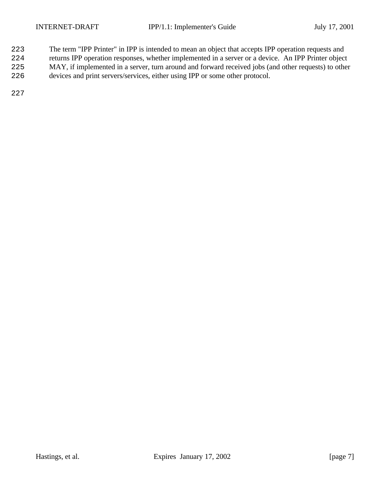- The term "IPP Printer" in IPP is intended to mean an object that accepts IPP operation requests and
- returns IPP operation responses, whether implemented in a server or a device. An IPP Printer object
- MAY, if implemented in a server, turn around and forward received jobs (and other requests) to other
- devices and print servers/services, either using IPP or some other protocol.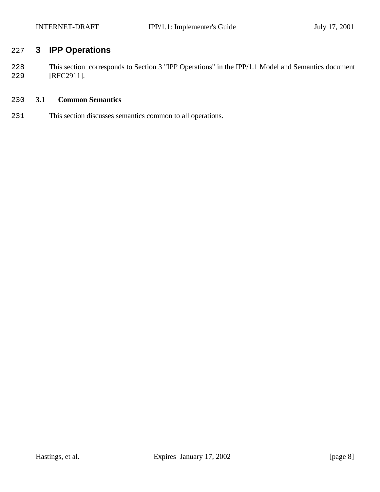# **3 IPP Operations**

 This section corresponds to Section 3 "IPP Operations" in the IPP/1.1 Model and Semantics document [RFC2911].

# **3.1 Common Semantics**

This section discusses semantics common to all operations.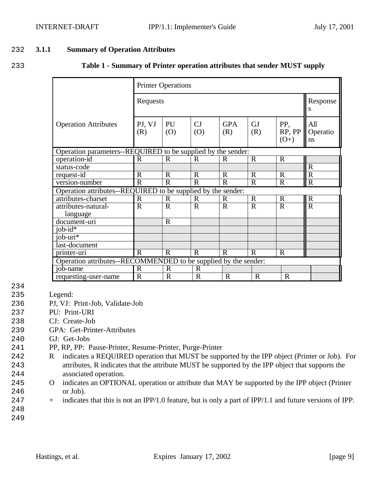#### 232 **3.1.1 Summary of Operation Attributes**

233 **Table 1 - Summary of Printer operation attributes that sender MUST supply**

|                                                                                                                    |                | <b>Printer Operations</b> |              |                   |                  |                         |                       |
|--------------------------------------------------------------------------------------------------------------------|----------------|---------------------------|--------------|-------------------|------------------|-------------------------|-----------------------|
|                                                                                                                    | Requests       |                           |              |                   |                  |                         | Response<br>S         |
| <b>Operation Attributes</b>                                                                                        | PJ, VJ<br>(R)  | PU<br>(0)                 | CJ<br>(0)    | <b>GPA</b><br>(R) | <b>GJ</b><br>(R) | PP,<br>RP, PP<br>$(O+)$ | All<br>Operatio<br>ns |
| Operation parameters--REQUIRED to be supplied by the sender:                                                       |                |                           |              |                   |                  |                         |                       |
| operation-id                                                                                                       | $\mathbf R$    | $\mathbf R$               | $\mathbf R$  | $\overline{R}$    | $\mathbf R$      | $\mathbf R$             |                       |
| status-code                                                                                                        |                |                           |              |                   |                  |                         | $\mathbf R$           |
| request-id                                                                                                         | $\mathbf R$    | $\mathbf R$               | $\mathbf R$  | R                 | $\mathbf R$      | $\mathbf R$             | $\mathbf R$           |
| version-number                                                                                                     | $\mathbf R$    | $\mathbf R$               | $\mathbf R$  | $\mathbf R$       | $\overline{R}$   | $\mathbf R$             | $\overline{R}$        |
| Operation attributes--REQUIRED to be supplied by the sender:                                                       |                |                           |              |                   |                  |                         |                       |
| attributes-charset                                                                                                 | $\mathbf R$    | $\mathbf R$               | $\mathbf R$  | $\mathbb{R}$      | $\mathbf R$      | $\mathbf R$             | $\overline{R}$        |
| attributes-natural-                                                                                                | $\overline{R}$ | $\mathbf R$               | $\mathbf R$  | $\overline{R}$    | $\mathbf R$      | $\overline{R}$          | $\overline{R}$        |
| language                                                                                                           |                |                           |              |                   |                  |                         |                       |
| document-uri                                                                                                       |                | $\mathbf R$               |              |                   |                  |                         |                       |
| job- $id^*$                                                                                                        |                |                           |              |                   |                  |                         |                       |
| job-uri $*$                                                                                                        |                |                           |              |                   |                  |                         |                       |
| last-document                                                                                                      |                |                           |              |                   |                  |                         |                       |
| $\overline{$ printer-uri<br>$\mathbf R$<br>$\mathbf R$<br>$\mathbf R$<br>$\mathbf R$<br>$\mathbf R$<br>$\mathbf R$ |                |                           |              |                   |                  |                         |                       |
| Operation attributes--RECOMMENDED to be supplied by the sender:                                                    |                |                           |              |                   |                  |                         |                       |
| job-name                                                                                                           | $\mathbf R$    | $\mathbf R$               | $\mathbf R$  |                   |                  |                         |                       |
| requesting-user-name                                                                                               | $\mathbb{R}$   | R                         | $\mathbb{R}$ | $\mathbf R$       | $\mathbf R$      | $\mathbf R$             |                       |

- 234
- 235 Legend:
- 236 PJ, VJ: Print-Job, Validate-Job
- 237 PU: Print-URI
- 238 CJ: Create-Job
- 239 GPA: Get-Printer-Attributes
- 240 GJ: Get-Jobs
- 241 PP, RP, PP: Pause-Printer, Resume-Printer, Purge-Printer
- 242 R indicates a REQUIRED operation that MUST be supported by the IPP object (Printer or Job). For 243 attributes, R indicates that the attribute MUST be supported by the IPP object that supports the 244 associated operation.
- 245 O indicates an OPTIONAL operation or attribute that MAY be supported by the IPP object (Printer 246 or Job).
- 247 + indicates that this is not an IPP/1.0 feature, but is only a part of IPP/1.1 and future versions of IPP.
- 248 249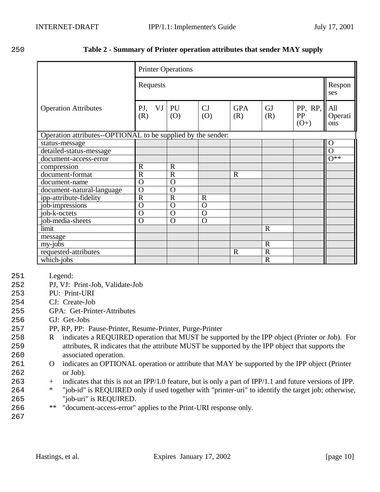# 250 **Table 2 - Summary of Printer operation attributes that sender MAY supply**

|                                                              |                         | <b>Printer Operations</b> |                |                       |                  |                         |                       |
|--------------------------------------------------------------|-------------------------|---------------------------|----------------|-----------------------|------------------|-------------------------|-----------------------|
|                                                              | Requests                |                           |                |                       |                  |                         | Respon<br>ses         |
| <b>Operation Attributes</b>                                  | VJ<br>PJ,<br>(R)        | PU<br>(0)                 | CJ<br>(O)      | <b>GPA</b><br>(R)     | <b>GJ</b><br>(R) | PP, RP,<br>PP<br>$(O+)$ | All<br>Operati<br>ons |
| Operation attributes--OPTIONAL to be supplied by the sender: |                         |                           |                |                       |                  |                         |                       |
| status-message                                               |                         |                           |                |                       |                  |                         | $\Omega$              |
| detailed-status-message                                      |                         |                           |                |                       |                  |                         | $\Omega$              |
| document-access-error                                        |                         |                           |                |                       |                  |                         | $\overline{O^{**}}$   |
| compression                                                  | $\mathbb{R}$            | $\mathbf R$               |                |                       |                  |                         |                       |
| document-format                                              | $\overline{\mathrm{R}}$ | $\overline{R}$            |                | $\overline{\text{R}}$ |                  |                         |                       |
| document-name                                                | $\overline{O}$          | $\Omega$                  |                |                       |                  |                         |                       |
| document-natural-language                                    | $\overline{O}$          | $\Omega$                  |                |                       |                  |                         |                       |
| ipp-attribute-fidelity                                       | $\overline{\mathrm{R}}$ | $\overline{R}$            | $\mathbf R$    |                       |                  |                         |                       |
| job-impressions                                              | $\overline{O}$          | $\Omega$                  | $\Omega$       |                       |                  |                         |                       |
| job-k-octets                                                 | $\overline{O}$          | $\overline{O}$            | $\overline{O}$ |                       |                  |                         |                       |
| job-media-sheets                                             | $\overline{O}$          | $\Omega$                  | $\Omega$       |                       |                  |                         |                       |
| limit                                                        |                         |                           |                |                       | $\mathbf R$      |                         |                       |
| message                                                      |                         |                           |                |                       |                  |                         |                       |
| my-jobs                                                      |                         |                           |                |                       | $\mathbf R$      |                         |                       |
| requested-attributes                                         |                         |                           |                | $\mathbf R$           | $\overline{R}$   |                         |                       |
| which-jobs                                                   |                         |                           |                |                       | $\overline{R}$   |                         |                       |

- 251 Legend:
- 252 PJ, VJ: Print-Job, Validate-Job
- 253 PU: Print-URI
- 254 CJ: Create-Job
- 255 GPA: Get-Printer-Attributes
- 256 GJ: Get-Jobs
- 257 PP, RP, PP: Pause-Printer, Resume-Printer, Purge-Printer
- 258 R indicates a REQUIRED operation that MUST be supported by the IPP object (Printer or Job). For 259 attributes, R indicates that the attribute MUST be supported by the IPP object that supports the 260 associated operation.
- 261 O indicates an OPTIONAL operation or attribute that MAY be supported by the IPP object (Printer 262 or Job).
- 263 + indicates that this is not an IPP/1.0 feature, but is only a part of IPP/1.1 and future versions of IPP.
- 264 \* "job-id" is REQUIRED only if used together with "printer-uri" to identify the target job; otherwise, 265 "job-uri" is REQUIRED.
- 266 \*\* "document-access-error" applies to the Print-URI response only.
- 267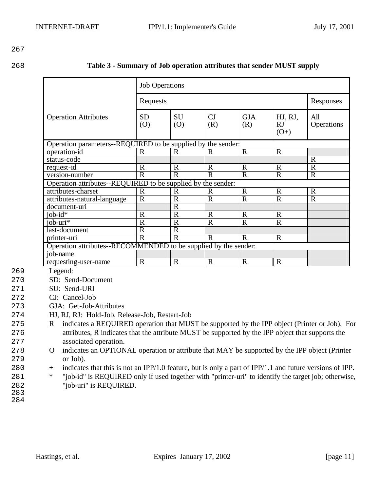268 **Table 3 - Summary of Job operation attributes that sender MUST supply**

|                                                                                           | <b>Job Operations</b> |              |             |                   |                                |                   |
|-------------------------------------------------------------------------------------------|-----------------------|--------------|-------------|-------------------|--------------------------------|-------------------|
|                                                                                           | Requests              |              |             |                   |                                |                   |
| <b>Operation Attributes</b>                                                               | <b>SD</b><br>(0)      | SU<br>(0)    | CJ<br>(R)   | <b>GJA</b><br>(R) | HJ, RJ,<br><b>RJ</b><br>$(O+)$ | All<br>Operations |
| Operation parameters--REQUIRED to be supplied by the sender:                              |                       |              |             |                   |                                |                   |
| operation-id                                                                              | R                     | $\mathbf R$  | R           | $\mathbf R$       | $\mathbf R$                    |                   |
| status-code                                                                               |                       |              |             |                   |                                | $\mathbf R$       |
| request-id                                                                                | $\mathbf R$           | $\mathbf R$  | $\mathbf R$ | $\mathbf R$       | $\mathbf R$                    | $\mathbf R$       |
| version-number                                                                            | $\mathbf R$           | $\mathbf R$  | R           | R                 | $\mathbf R$                    | $\mathbf R$       |
| Operation attributes--REQUIRED to be supplied by the sender:                              |                       |              |             |                   |                                |                   |
| attributes-charset                                                                        | $\mathbb{R}$          | $\mathbf R$  | R           | $\mathbf R$       | $\mathbf R$                    | $\mathbf R$       |
| attributes-natural-language                                                               | $\mathbf R$           | $\mathbf R$  | $\mathbf R$ | $\mathbf R$       | $\mathbf R$                    | $\mathbf R$       |
| document-uri                                                                              |                       | $\mathbf R$  |             |                   |                                |                   |
| $i$ ob- $id*$                                                                             | $\mathbf R$           | $\mathbf R$  | $\mathbf R$ | $\mathbf R$       | $\mathbf R$                    |                   |
| job- $u\overline{u^*}$                                                                    | $\mathbf R$           | $\mathbf R$  | $\mathbf R$ | $\mathbf R$       | $\mathbf R$                    |                   |
| last-document                                                                             | $\mathbf R$           | $\mathbf R$  |             |                   |                                |                   |
| $\overline{R}$<br>$\mathbf R$<br>$\mathbf R$<br>$\mathbf R$<br>$\mathbf R$<br>printer-uri |                       |              |             |                   |                                |                   |
| Operation attributes--RECOMMENDED to be supplied by the sender:                           |                       |              |             |                   |                                |                   |
| job-name                                                                                  |                       |              |             |                   |                                |                   |
| requesting-user-name                                                                      | $\mathbf R$           | $\mathbb{R}$ | R           | $\mathbf R$       | $\mathbf R$                    |                   |

269 Legend:

270 SD: Send-Document

271 SU: Send-URI

272 CJ: Cancel-Job

- 273 GJA: Get-Job-Attributes
- 274 HJ, RJ, RJ: Hold-Job, Release-Job, Restart-Job

275 R indicates a REQUIRED operation that MUST be supported by the IPP object (Printer or Job). For 276 attributes, R indicates that the attribute MUST be supported by the IPP object that supports the 277 associated operation.

- 278 O indicates an OPTIONAL operation or attribute that MAY be supported by the IPP object (Printer 279 or Job).
- 280 + indicates that this is not an IPP/1.0 feature, but is only a part of IPP/1.1 and future versions of IPP.
- 281 \* "job-id" is REQUIRED only if used together with "printer-uri" to identify the target job; otherwise, 282 "job-uri" is REQUIRED.
- 283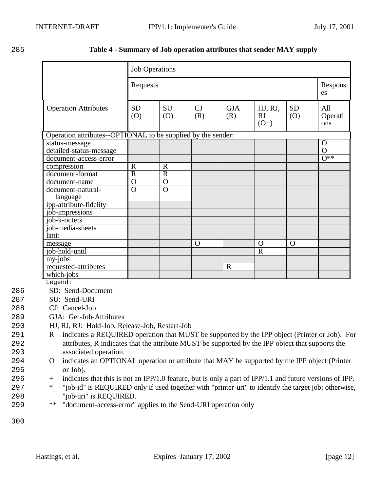#### 285 **Table 4 - Summary of Job operation attributes that sender MAY supply**

|                                                              |                         | <b>Job Operations</b> |           |                   |                         |                  |                       |
|--------------------------------------------------------------|-------------------------|-----------------------|-----------|-------------------|-------------------------|------------------|-----------------------|
|                                                              | Requests                |                       |           |                   |                         | Respons<br>es    |                       |
| <b>Operation Attributes</b>                                  | <b>SD</b><br>(0)        | SU<br>(O)             | CJ<br>(R) | <b>GJA</b><br>(R) | HJ, RJ,<br>RJ<br>$(O+)$ | <b>SD</b><br>(0) | All<br>Operati<br>ons |
| Operation attributes--OPTIONAL to be supplied by the sender: |                         |                       |           |                   |                         |                  |                       |
| status-message                                               |                         |                       |           |                   |                         |                  | $\overline{O}$        |
| detailed-status-message                                      |                         |                       |           |                   |                         |                  | $\overline{O}$        |
| document-access-error                                        |                         |                       |           |                   |                         |                  | $0**$                 |
| compression                                                  | $\mathbf R$             | $\mathbb{R}$          |           |                   |                         |                  |                       |
| document-format                                              | $\overline{\mathsf{R}}$ | $\overline{R}$        |           |                   |                         |                  |                       |
| document-name                                                | $\overline{0}$          | $\Omega$              |           |                   |                         |                  |                       |
| document-natural-<br>language                                | $\overline{O}$          | $\overline{O}$        |           |                   |                         |                  |                       |
| ipp-attribute-fidelity                                       |                         |                       |           |                   |                         |                  |                       |
| job-impressions                                              |                         |                       |           |                   |                         |                  |                       |
| job-k-octets                                                 |                         |                       |           |                   |                         |                  |                       |
| job-media-sheets                                             |                         |                       |           |                   |                         |                  |                       |
| limit                                                        |                         |                       |           |                   |                         |                  |                       |
| message                                                      |                         |                       | O         |                   | $\Omega$                | $\Omega$         |                       |
| job-hold-until                                               |                         |                       |           |                   | $\mathbf R$             |                  |                       |
| my-jobs                                                      |                         |                       |           |                   |                         |                  |                       |
| requested-attributes                                         |                         |                       |           | $\overline{R}$    |                         |                  |                       |
| which-jobs                                                   |                         |                       |           |                   |                         |                  |                       |
| Legend:                                                      |                         |                       |           |                   |                         |                  |                       |

286 SD: Send-Document

287 SU: Send-URI

- 288 CJ: Cancel-Job
- 289 GJA: Get-Job-Attributes
- 290 HJ, RJ, RJ: Hold-Job, Release-Job, Restart-Job
- 291 R indicates a REQUIRED operation that MUST be supported by the IPP object (Printer or Job). For 292 attributes, R indicates that the attribute MUST be supported by the IPP object that supports the 293 associated operation.
- 294 O indicates an OPTIONAL operation or attribute that MAY be supported by the IPP object (Printer 295 or Job).
- 296 + indicates that this is not an IPP/1.0 feature, but is only a part of IPP/1.1 and future versions of IPP.
- 297 \* "job-id" is REQUIRED only if used together with "printer-uri" to identify the target job; otherwise, 298 "job-uri" is REQUIRED.
- 299 \*\* "document-access-error" applies to the Send-URI operation only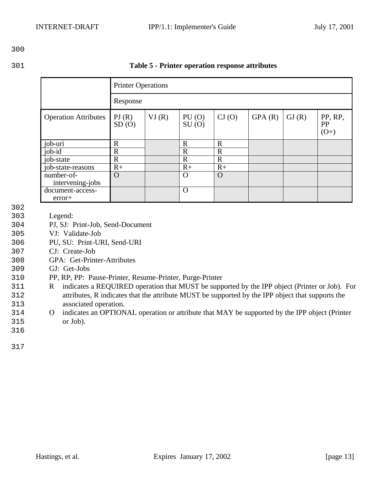| 301 | Table 5 - Printer operation response attributes |  |
|-----|-------------------------------------------------|--|
|     |                                                 |  |

|                                |                | <b>Printer Operations</b> |                |             |        |       |                                |
|--------------------------------|----------------|---------------------------|----------------|-------------|--------|-------|--------------------------------|
|                                | Response       |                           |                |             |        |       |                                |
| <b>Operation Attributes</b>    | PI(R)<br>SD(0) | VI(R)                     | PU(0)<br>SU(0) | CI(0)       | GPA(R) | GI(R) | PP, RP,<br><b>PP</b><br>$(O+)$ |
| job-uri                        | $\mathbf R$    |                           | $\mathbf R$    | $\mathbf R$ |        |       |                                |
| $job$ - $id$                   | $\mathbb{R}$   |                           | $\mathbf R$    | $\mathbf R$ |        |       |                                |
| job-state                      | $\mathbf R$    |                           | $\mathbf R$    | $\mathbf R$ |        |       |                                |
| job-state-reasons              | $R+$           |                           | $R+$           | $R+$        |        |       |                                |
| number-of-<br>intervening-jobs | $\Omega$       |                           | $\Omega$       | $\Omega$    |        |       |                                |
| document-access-<br>error+     |                |                           | $\mathbf O$    |             |        |       |                                |

- 302
- 303 Legend:
- 304 PJ, SJ: Print-Job, Send-Document
- 305 VJ: Validate-Job
- 306 PU, SU: Print-URI, Send-URI
- 307 CJ: Create-Job
- 308 GPA: Get-Printer-Attributes
- 309 GJ: Get-Jobs
- 310 PP, RP, PP: Pause-Printer, Resume-Printer, Purge-Printer
- 311 R indicates a REQUIRED operation that MUST be supported by the IPP object (Printer or Job). For 312 attributes, R indicates that the attribute MUST be supported by the IPP object that supports the 313 associated operation.
- 314 O indicates an OPTIONAL operation or attribute that MAY be supported by the IPP object (Printer 315 or Job).
- 317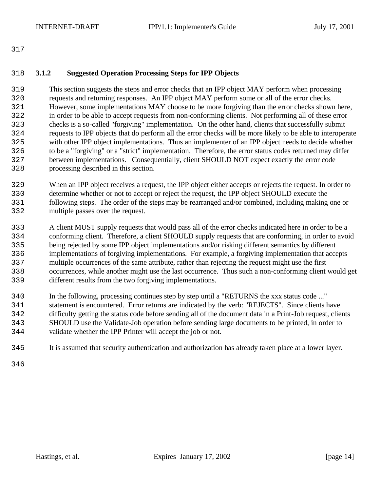#### **3.1.2 Suggested Operation Processing Steps for IPP Objects**

 This section suggests the steps and error checks that an IPP object MAY perform when processing requests and returning responses. An IPP object MAY perform some or all of the error checks. However, some implementations MAY choose to be more forgiving than the error checks shown here, in order to be able to accept requests from non-conforming clients. Not performing all of these error checks is a so-called "forgiving" implementation. On the other hand, clients that successfully submit requests to IPP objects that do perform all the error checks will be more likely to be able to interoperate with other IPP object implementations. Thus an implementer of an IPP object needs to decide whether to be a "forgiving" or a "strict" implementation. Therefore, the error status codes returned may differ between implementations. Consequentially, client SHOULD NOT expect exactly the error code processing described in this section.

 When an IPP object receives a request, the IPP object either accepts or rejects the request. In order to determine whether or not to accept or reject the request, the IPP object SHOULD execute the following steps. The order of the steps may be rearranged and/or combined, including making one or multiple passes over the request.

 A client MUST supply requests that would pass all of the error checks indicated here in order to be a conforming client. Therefore, a client SHOULD supply requests that are conforming, in order to avoid being rejected by some IPP object implementations and/or risking different semantics by different implementations of forgiving implementations. For example, a forgiving implementation that accepts multiple occurrences of the same attribute, rather than rejecting the request might use the first occurrences, while another might use the last occurrence. Thus such a non-conforming client would get different results from the two forgiving implementations.

 In the following, processing continues step by step until a "RETURNS the xxx status code ..." statement is encountered. Error returns are indicated by the verb: "REJECTS". Since clients have difficulty getting the status code before sending all of the document data in a Print-Job request, clients SHOULD use the Validate-Job operation before sending large documents to be printed, in order to validate whether the IPP Printer will accept the job or not.

It is assumed that security authentication and authorization has already taken place at a lower layer.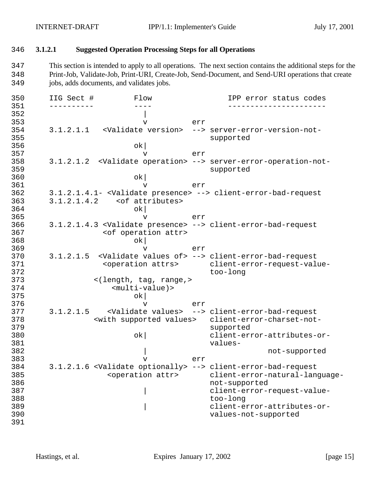#### 346 **3.1.2.1 Suggested Operation Processing Steps for all Operations**

347 This section is intended to apply to all operations. The next section contains the additional steps for the 348 Print-Job, Validate-Job, Print-URI, Create-Job, Send-Document, and Send-URI operations that create 349 jobs, adds documents, and validates jobs.

350 IIG Sect # Flow IPP error status codes 351 ---------- ---- ----------------------  $352$ 353 v err 354 3.1.2.1.1 <Validate version> --> server-error-version-not-355 supported  $356$  ok 357 v err 358 3.1.2.1.2 <Validate operation> --> server-error-operation-not-359 supported  $360$  ok 361 v err 362 3.1.2.1.4.1- <Validate presence> --> client-error-bad-request 363 3.1.2.1.4.2 <of attributes>  $364$  ok 365 v err 366 3.1.2.1.4.3 <Validate presence> --> client-error-bad-request 367 <of operation attr>  $368$  ok 369 v err 370 3.1.2.1.5 <Validate values of> --> client-error-bad-request 371 <operation attrs> client-error-request-value-372 too-long 373 <(length, tag, range,>  $$multi-value$ ) >$  $375$  ok 376 v err 377 3.1.2.1.5 <Validate values> --> client-error-bad-request 378 <with supported values> client-error-charset-notsupported 380 ok| client-error-attributes-or-381 values-382 by the contract of the contract of the contract of the contract of the contract of the contract of the contract of the contract of the contract of the contract of the contract of the contract of the contract of the con 383 v err 384 3.1.2.1.6 <Validate optionally> --> client-error-bad-request 385 <operation attr> client-error-natural-language-386 not-supported 387 | client-error-request-value-388 too-long | client-error-attributes-or-390 values-not-supported 391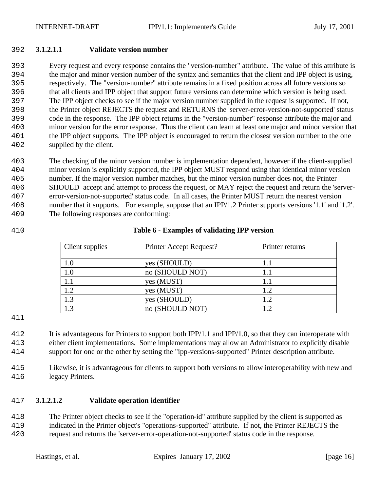#### **3.1.2.1.1 Validate version number**

 Every request and every response contains the "version-number" attribute. The value of this attribute is the major and minor version number of the syntax and semantics that the client and IPP object is using, respectively. The "version-number" attribute remains in a fixed position across all future versions so that all clients and IPP object that support future versions can determine which version is being used. The IPP object checks to see if the major version number supplied in the request is supported. If not, the Printer object REJECTS the request and RETURNS the 'server-error-version-not-supported' status code in the response. The IPP object returns in the "version-number" response attribute the major and minor version for the error response. Thus the client can learn at least one major and minor version that the IPP object supports. The IPP object is encouraged to return the closest version number to the one supplied by the client.

 The checking of the minor version number is implementation dependent, however if the client-supplied minor version is explicitly supported, the IPP object MUST respond using that identical minor version number. If the major version number matches, but the minor version number does not, the Printer SHOULD accept and attempt to process the request, or MAY reject the request and return the 'server- error-version-not-supported' status code. In all cases, the Printer MUST return the nearest version number that it supports. For example, suppose that an IPP/1.2 Printer supports versions '1.1' and '1.2'. The following responses are conforming:

### **Table 6 - Examples of validating IPP version**

| Client supplies | Printer Accept Request? | Printer returns |
|-----------------|-------------------------|-----------------|
| 1.0             | yes (SHOULD)            |                 |
| 1.0             | no (SHOULD NOT)         |                 |
| 1.1             | yes (MUST)              | 1.1             |
| 1.2             | yes (MUST)              | 1.2             |
| 1.3             | yes (SHOULD)            | 1.2             |
|                 | no (SHOULD NOT)         | 1.2             |

 It is advantageous for Printers to support both IPP/1.1 and IPP/1.0, so that they can interoperate with either client implementations. Some implementations may allow an Administrator to explicitly disable support for one or the other by setting the "ipp-versions-supported" Printer description attribute.

 Likewise, it is advantageous for clients to support both versions to allow interoperability with new and legacy Printers.

# **3.1.2.1.2 Validate operation identifier**

 The Printer object checks to see if the "operation-id" attribute supplied by the client is supported as indicated in the Printer object's "operations-supported" attribute. If not, the Printer REJECTS the request and returns the 'server-error-operation-not-supported' status code in the response.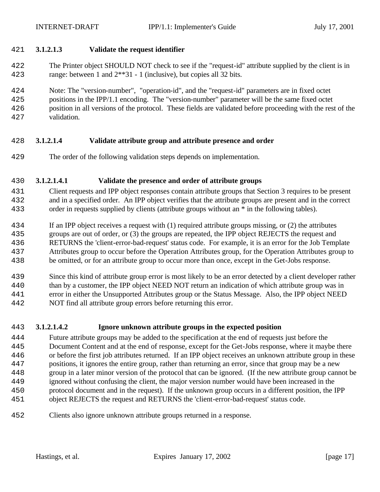### **3.1.2.1.3 Validate the request identifier**

 The Printer object SHOULD NOT check to see if the "request-id" attribute supplied by the client is in range: between 1 and 2\*\*31 - 1 (inclusive), but copies all 32 bits.

Note: The "version-number", "operation-id", and the "request-id" parameters are in fixed octet

- positions in the IPP/1.1 encoding. The "version-number" parameter will be the same fixed octet position in all versions of the protocol. These fields are validated before proceeding with the rest of the
- validation.

# **3.1.2.1.4 Validate attribute group and attribute presence and order**

The order of the following validation steps depends on implementation.

### **3.1.2.1.4.1 Validate the presence and order of attribute groups**

- Client requests and IPP object responses contain attribute groups that Section 3 requires to be present and in a specified order. An IPP object verifies that the attribute groups are present and in the correct order in requests supplied by clients (attribute groups without an \* in the following tables).
- If an IPP object receives a request with (1) required attribute groups missing, or (2) the attributes
- groups are out of order, or (3) the groups are repeated, the IPP object REJECTS the request and
- RETURNS the 'client-error-bad-request' status code. For example, it is an error for the Job Template
- Attributes group to occur before the Operation Attributes group, for the Operation Attributes group to
- be omitted, or for an attribute group to occur more than once, except in the Get-Jobs response.
- Since this kind of attribute group error is most likely to be an error detected by a client developer rather than by a customer, the IPP object NEED NOT return an indication of which attribute group was in error in either the Unsupported Attributes group or the Status Message. Also, the IPP object NEED
- NOT find all attribute group errors before returning this error.

# **3.1.2.1.4.2 Ignore unknown attribute groups in the expected position**

- Future attribute groups may be added to the specification at the end of requests just before the Document Content and at the end of response, except for the Get-Jobs response, where it maybe there or before the first job attributes returned. If an IPP object receives an unknown attribute group in these positions, it ignores the entire group, rather than returning an error, since that group may be a new group in a later minor version of the protocol that can be ignored. (If the new attribute group cannot be ignored without confusing the client, the major version number would have been increased in the protocol document and in the request). If the unknown group occurs in a different position, the IPP object REJECTS the request and RETURNS the 'client-error-bad-request' status code.
- Clients also ignore unknown attribute groups returned in a response.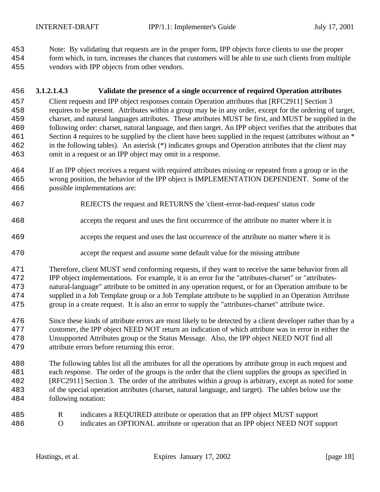Note: By validating that requests are in the proper form, IPP objects force clients to use the proper

 form which, in turn, increases the chances that customers will be able to use such clients from multiple vendors with IPP objects from other vendors.

## **3.1.2.1.4.3 Validate the presence of a single occurrence of required Operation attributes**

 Client requests and IPP object responses contain Operation attributes that [RFC2911] Section 3 requires to be present. Attributes within a group may be in any order, except for the ordering of target, charset, and natural languages attributes. These attributes MUST be first, and MUST be supplied in the following order: charset, natural language, and then target. An IPP object verifies that the attributes that 461 Section 4 requires to be supplied by the client have been supplied in the request (attributes without an \* in the following tables). An asterisk (\*) indicates groups and Operation attributes that the client may omit in a request or an IPP object may omit in a response.

- If an IPP object receives a request with required attributes missing or repeated from a group or in the wrong position, the behavior of the IPP object is IMPLEMENTATION DEPENDENT. Some of the possible implementations are:
- REJECTS the request and RETURNS the 'client-error-bad-request' status code
- accepts the request and uses the first occurrence of the attribute no matter where it is
- accepts the request and uses the last occurrence of the attribute no matter where it is
- accept the request and assume some default value for the missing attribute

 Therefore, client MUST send conforming requests, if they want to receive the same behavior from all IPP object implementations. For example, it is an error for the "attributes-charset" or "attributes- natural-language" attribute to be omitted in any operation request, or for an Operation attribute to be supplied in a Job Template group or a Job Template attribute to be supplied in an Operation Attribute group in a create request. It is also an error to supply the "attributes-charset" attribute twice.

- Since these kinds of attribute errors are most likely to be detected by a client developer rather than by a customer, the IPP object NEED NOT return an indication of which attribute was in error in either the Unsupported Attributes group or the Status Message. Also, the IPP object NEED NOT find all attribute errors before returning this error.
- The following tables list all the attributes for all the operations by attribute group in each request and each response. The order of the groups is the order that the client supplies the groups as specified in [RFC2911] Section 3. The order of the attributes within a group is arbitrary, except as noted for some of the special operation attributes (charset, natural language, and target). The tables below use the following notation:
- R indicates a REQUIRED attribute or operation that an IPP object MUST support O indicates an OPTIONAL attribute or operation that an IPP object NEED NOT support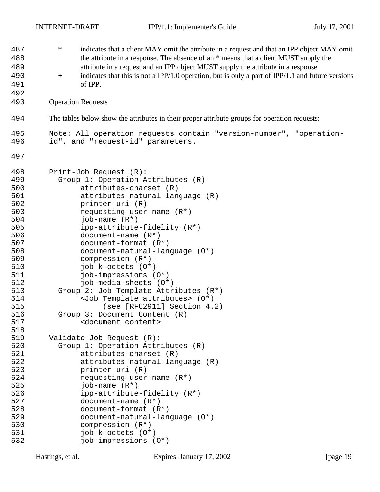| 487 | $\ast$                                     | indicates that a client MAY omit the attribute in a request and that an IPP object MAY omit       |
|-----|--------------------------------------------|---------------------------------------------------------------------------------------------------|
| 488 |                                            | the attribute in a response. The absence of an * means that a client MUST supply the              |
| 489 |                                            | attribute in a request and an IPP object MUST supply the attribute in a response.                 |
| 490 | $\boldsymbol{+}$                           | indicates that this is not a IPP/1.0 operation, but is only a part of IPP/1.1 and future versions |
| 491 | of IPP.                                    |                                                                                                   |
|     |                                            |                                                                                                   |
| 492 |                                            |                                                                                                   |
| 493 | <b>Operation Requests</b>                  |                                                                                                   |
| 494 |                                            | The tables below show the attributes in their proper attribute groups for operation requests:     |
| 495 |                                            | Note: All operation requests contain "version-number", "operation-                                |
| 496 | id", and "request-id" parameters.          |                                                                                                   |
| 497 |                                            |                                                                                                   |
| 498 | Print-Job Request (R):                     |                                                                                                   |
| 499 | Group 1: Operation Attributes (R)          |                                                                                                   |
| 500 | attributes-charset (R)                     |                                                                                                   |
| 501 | attributes-natural-language (R)            |                                                                                                   |
| 502 | printer-uri (R)                            |                                                                                                   |
| 503 | requesting-user-name $(R^*)$               |                                                                                                   |
| 504 | job-name $(R^*)$                           |                                                                                                   |
| 505 | ipp-attribute-fidelity (R*)                |                                                                                                   |
| 506 | document-name $(R*)$                       |                                                                                                   |
| 507 | document-format (R*)                       |                                                                                                   |
| 508 | document-natural-language (0*)             |                                                                                                   |
| 509 | compression $(R^*)$                        |                                                                                                   |
| 510 | job-k-octets (0*)                          |                                                                                                   |
| 511 | job-impressions (0*)                       |                                                                                                   |
| 512 | job-media-sheets (0*)                      |                                                                                                   |
| 513 | Group 2: Job Template Attributes (R*)      |                                                                                                   |
| 514 | <job attributes="" template=""> (0*)</job> |                                                                                                   |
| 515 | (see [RFC2911] Section 4.2)                |                                                                                                   |
| 516 | Group 3: Document Content (R)              |                                                                                                   |
| 517 | <document content=""></document>           |                                                                                                   |
| 518 |                                            |                                                                                                   |
| 519 | Validate-Job Request (R):                  |                                                                                                   |
| 520 | Group 1: Operation Attributes (R)          |                                                                                                   |
| 521 | attributes-charset (R)                     |                                                                                                   |
| 522 | attributes-natural-language (R)            |                                                                                                   |
| 523 | printer-uri (R)                            |                                                                                                   |
| 524 | requesting-user-name $(R^*)$               |                                                                                                   |
| 525 | job-name $(R^*)$                           |                                                                                                   |
| 526 | ipp-attribute-fidelity (R*)                |                                                                                                   |
| 527 | document-name $(R*)$                       |                                                                                                   |
| 528 | $document-format (R*)$                     |                                                                                                   |
| 529 | $document-natural-language (0*)$           |                                                                                                   |
| 530 | compression $(R^*)$                        |                                                                                                   |
| 531 | job-k-octets (0*)                          |                                                                                                   |
| 532 | job-impressions (0*)                       |                                                                                                   |
|     |                                            |                                                                                                   |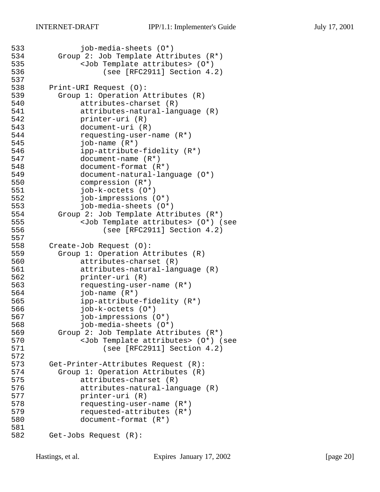```
533 job-media-sheets (O*)
534 Group 2: Job Template Attributes (R*)
535 <Job Template attributes> (0*)<br>536 (see [RFC2911] Section 4.
                 (see [RFC2911] Section 4.2)537
538 Print-URI Request (O):
539 Group 1: Operation Attributes (R)
540 attributes-charset (R)
541 attributes-natural-language (R)
542 printer-uri (R)
543 document-uri (R)
544 requesting-user-name (R*)<br>545        job-name (R*)
            job-name (R<sup>*</sup>)546 ipp-attribute-fidelity (R*)
547 document-name (R*)
548 document-format (R*)
549 document-natural-language (O*)
550 compression (R*)
551 job-k-octets (O*)
552 job-impressions (O*)
553 job-media-sheets (O*)
554 Group 2: Job Template Attributes (R*)
555 <Job Template attributes> (O*) (see 
556 (see [RFC2911] Section 4.2)
557
558 Create-Job Request (O):
559 Group 1: Operation Attributes (R)
560 attributes-charset (R)
561 attributes-natural-language (R)
562 printer-uri (R)
563 requesting-user-name (R*)
564 job-name (R*)
565 ipp-attribute-fidelity (R*)
566 job-k-octets (O*)
567 job-impressions (O*)
568 job-media-sheets (O*)
569 Group 2: Job Template Attributes (R*)
570 <Job Template attributes> (0*) (see<br>571 (see [RFC2911] Section 4.2)
                 (see [RFC2911] Section 4.2)572
573 Get-Printer-Attributes Request (R):
574 Group 1: Operation Attributes (R)
575 attributes-charset (R)
576 attributes-natural-language (R)
577 printer-uri (R)
578 requesting-user-name (R*)
579 requested-attributes (R*)
580 document-format (R*)
581
582 Get-Jobs Request (R):
```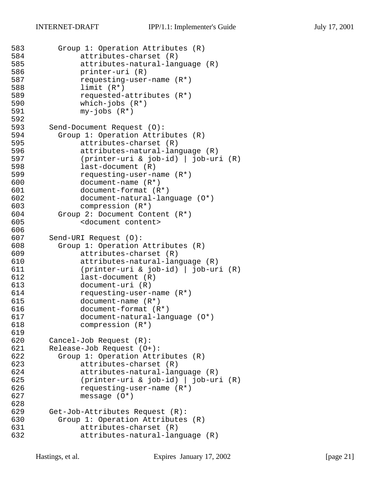```
583 Group 1: Operation Attributes (R)
584 attributes-charset (R)
585 attributes-natural-language (R)
586 printer-uri (R)
587 requesting-user-name (R*)
588 limit (R*)
589 requested-attributes (R*)
590 which-jobs (R*)
591 my-jobs (R*)
592<br>593
      Send-Document Request (O):
594 Group 1: Operation Attributes (R)
            attributes-charset (R)
596 attributes-natural-language (R)
597 (printer-uri & job-id) | job-uri (R)
598 last-document (R)
599 requesting-user-name (R*)
600 document-name (R*)
601 document-format (R*)
602 document-natural-language (O*)
603 compression (R*)
604 Group 2: Document Content (R*)
605 <document content>
606
607 Send-URI Request (O):
608 Group 1: Operation Attributes (R)
609 attributes-charset (R)
610 attributes-natural-language (R)
611 (printer-uri & job-id) | job-uri (R)
612 last-document (R)
613 document-uri (R)
614 requesting-user-name (R*)<br>615 document-name (R*)
            document-name (R<sup>*</sup>)616 document-format (R*)
617 document-natural-language (O*)
618 compression (R*)
619
620 Cancel-Job Request (R):
621 Release-Job Request (O+):
622 Group 1: Operation Attributes (R)
623 attributes-charset (R)
624 attributes-natural-language (R)
625 (printer-uri & job-id) | job-uri (R)
626 requesting-user-name (R*)
627 message (O*)
628
629 Get-Job-Attributes Request (R):
630 Group 1: Operation Attributes (R)
631 attributes-charset (R)
632 attributes-natural-language (R)
```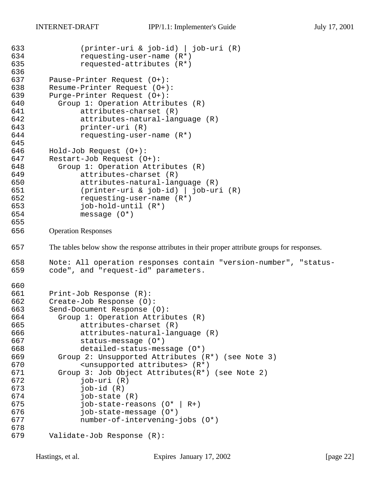```
633 (printer-uri & job-id) | job-uri (R)
634 requesting-user-name (R*)
635 requested-attributes (R*)
636
637 Pause-Printer Request (O+):
638 Resume-Printer Request (O+):
639 Purge-Printer Request (O+):
640 Group 1: Operation Attributes (R)
641 attributes-charset (R)
642 attributes-natural-language (R)
643 printer-uri (R)
644 requesting-user-name (R*)
645
646 Hold-Job Request (O+):
647 Restart-Job Request (O+):
648 Group 1: Operation Attributes (R)
649 attributes-charset (R)
650 attributes-natural-language (R)
651 (printer-uri & job-id) | job-uri (R)
652 requesting-user-name (R*)
653 job-hold-until (R*)
654 message (O*)
655
656 Operation Responses
657 The tables below show the response attributes in their proper attribute groups for responses.
658 Note: All operation responses contain "version-number", "status-
659 code", and "request-id" parameters.
660
661 Print-Job Response (R):
662 Create-Job Response (O):
663 Send-Document Response (O):
664 Group 1: Operation Attributes (R)
665 attributes-charset (R)
666 attributes-natural-language (R)
667 status-message (O*)
668 detailed-status-message (O*)
669 Group 2: Unsupported Attributes (R*) (see Note 3)
670 <unsupported attributes> (R*)
671 Group 3: Job Object Attributes(R*) (see Note 2)
672 job-uri (R)
673 job-id (R)
674 job-state (R)
675 job-state-reasons (O* | R+)
676 job-state-message (O*)
677 number-of-intervening-jobs (O*)
678
679 Validate-Job Response (R):
```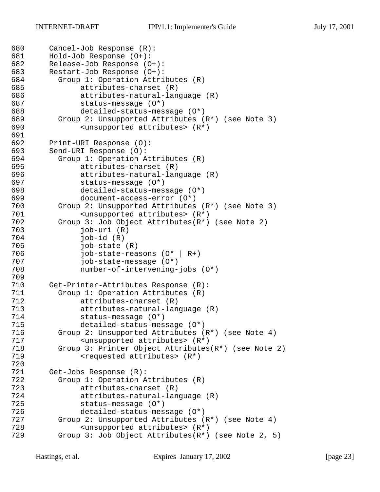```
680 Cancel-Job Response (R):
681 Hold-Job Response (O+):
682 Release-Job Response (O+):
683 Restart-Job Response (O+):
684 Group 1: Operation Attributes (R)
685 attributes-charset (R)
686 attributes-natural-language (R)
687 status-message (O*)
688 detailed-status-message (O*)
689 Group 2: Unsupported Attributes (R*) (see Note 3)
690 <unsupported attributes> (R*)
691<br>692
       Print-URI Response (O):
693 Send-URI Response (O):
694 Group 1: Operation Attributes (R)
695 attributes-charset (R)
696 attributes-natural-language (R)
697 status-message (O*)
698 detailed-status-message (O*)
699 document-access-error (O*)
700 Group 2: Unsupported Attributes (R*) (see Note 3)
701 <unsupported attributes> (R*)
702 Group 3: Job Object Attributes(R*) (see Note 2)
703 job-uri (R)
704 job-id (R)
705 job-state (R)
706 job-state-reasons (O* | R+)
707 job-state-message (O*)
708 number-of-intervening-jobs (O*)
709
710 Get-Printer-Attributes Response (R):
711 Group 1: Operation Attributes (R)
            attributes-charset (R)
713 attributes-natural-language (R)
714 status-message (O*)
715 detailed-status-message (O*)
716 Group 2: Unsupported Attributes (R*) (see Note 4)
717 <unsupported attributes> (R*)<br>718 Group 3: Printer Object Attributes
        Group 3: Printer Object Attributes(R*) (see Note 2)
719 <requested attributes> (R<sup>*</sup>)720
721 Get-Jobs Response (R):
722 Group 1: Operation Attributes (R)
723 attributes-charset (R)
724 attributes-natural-language (R)
725 status-message (O*)
726 detailed-status-message (O*)
727 Group 2: Unsupported Attributes (R*) (see Note 4)
728 <unsupported attributes> (R*)
729 Group 3: Job Object Attributes(R*) (see Note 2, 5)
```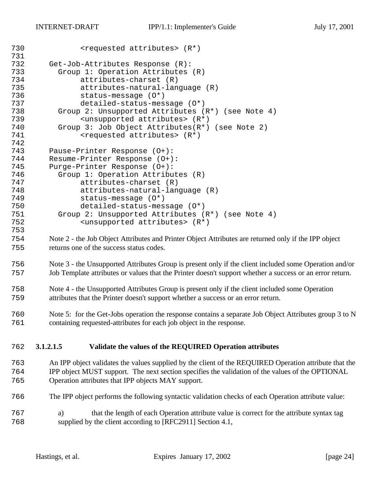| 730<br>731 | <requested attributes=""> (R*)</requested>                                                               |  |
|------------|----------------------------------------------------------------------------------------------------------|--|
| 732        | Get-Job-Attributes Response (R):                                                                         |  |
| 733        | Group 1: Operation Attributes (R)                                                                        |  |
| 734        | attributes-charset (R)                                                                                   |  |
| 735        | attributes-natural-language (R)                                                                          |  |
| 736        | status-message (0*)                                                                                      |  |
| 737        | detailed-status-message (0*)                                                                             |  |
| 738        | Group 2: Unsupported Attributes (R*) (see Note 4)                                                        |  |
| 739        |                                                                                                          |  |
| 740        | <unsupported attributes=""> (R*)<br/>Group 3: Job Object Attributes(R*) (see Note 2)</unsupported>       |  |
| 741        | <requested attributes=""> (R*)</requested>                                                               |  |
| 742        |                                                                                                          |  |
| 743        |                                                                                                          |  |
| 744        | Pause-Printer Response (0+):                                                                             |  |
| 745        | Resume-Printer Response (0+):<br>Purge-Printer Response (0+):                                            |  |
| 746        | Group 1: Operation Attributes (R)                                                                        |  |
| 747        | attributes-charset (R)                                                                                   |  |
| 748        |                                                                                                          |  |
| 749        | attributes-natural-language (R)<br>$status-message (0*)$                                                 |  |
| 750        | detailed-status-message (0*)                                                                             |  |
| 751        | Group 2: Unsupported Attributes (R*) (see Note 4)                                                        |  |
| 752        | <unsupported attributes=""> (R*)</unsupported>                                                           |  |
| 753        |                                                                                                          |  |
|            |                                                                                                          |  |
| 754        | Note 2 - the Job Object Attributes and Printer Object Attributes are returned only if the IPP object     |  |
| 755        | returns one of the success status codes.                                                                 |  |
| 756        | Note 3 - the Unsupported Attributes Group is present only if the client included some Operation and/or   |  |
| 757        | Job Template attributes or values that the Printer doesn't support whether a success or an error return. |  |
| 758        | Note 4 - the Unsupported Attributes Group is present only if the client included some Operation          |  |
| 759        | attributes that the Printer doesn't support whether a success or an error return.                        |  |
| 760        | Note 5: for the Get-Jobs operation the response contains a separate Job Object Attributes group 3 to N   |  |
| 761        | containing requested-attributes for each job object in the response.                                     |  |
|            |                                                                                                          |  |
| 762        | 3.1.2.1.5<br>Validate the values of the REQUIRED Operation attributes                                    |  |
| 763        | An IPP object validates the values supplied by the client of the REQUIRED Operation attribute that the   |  |
| 764        | IPP object MUST support. The next section specifies the validation of the values of the OPTIONAL         |  |
| 765        | Operation attributes that IPP objects MAY support.                                                       |  |
| 766        | The IPP object performs the following syntactic validation checks of each Operation attribute value:     |  |
|            |                                                                                                          |  |
| 767        | that the length of each Operation attribute value is correct for the attribute syntax tag<br>a)          |  |
| 768        | supplied by the client according to [RFC2911] Section 4.1,                                               |  |
|            |                                                                                                          |  |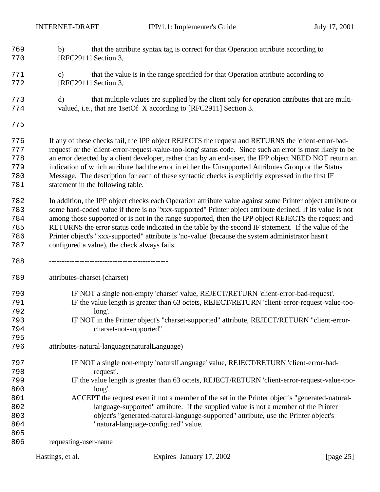- b) that the attribute syntax tag is correct for that Operation attribute according to 770 [RFC2911] Section 3,
- c) that the value is in the range specified for that Operation attribute according to [RFC2911] Section 3,
- d) that multiple values are supplied by the client only for operation attributes that are multi-valued, i.e., that are 1setOf X according to [RFC2911] Section 3.
- 

 If any of these checks fail, the IPP object REJECTS the request and RETURNS the 'client-error-bad- request' or the 'client-error-request-value-too-long' status code. Since such an error is most likely to be an error detected by a client developer, rather than by an end-user, the IPP object NEED NOT return an indication of which attribute had the error in either the Unsupported Attributes Group or the Status Message. The description for each of these syntactic checks is explicitly expressed in the first IF 781 statement in the following table.

 In addition, the IPP object checks each Operation attribute value against some Printer object attribute or some hard-coded value if there is no "xxx-supported" Printer object attribute defined. If its value is not among those supported or is not in the range supported, then the IPP object REJECTS the request and RETURNS the error status code indicated in the table by the second IF statement. If the value of the Printer object's "xxx-supported" attribute is 'no-value' (because the system administrator hasn't configured a value), the check always fails.

-----------------------------------------------

attributes-charset (charset)

- IF NOT a single non-empty 'charset' value, REJECT/RETURN 'client-error-bad-request'.
- IF the value length is greater than 63 octets, REJECT/RETURN 'client-error-request-value-too-long'.
- IF NOT in the Printer object's "charset-supported" attribute, REJECT/RETURN "client-error-charset-not-supported".
- attributes-natural-language(naturalLanguage)
- IF NOT a single non-empty 'naturalLanguage' value, REJECT/RETURN 'client-error-bad-request'.
- IF the value length is greater than 63 octets, REJECT/RETURN 'client-error-request-value-too-long'.
- ACCEPT the request even if not a member of the set in the Printer object's "generated-natural- language-supported" attribute. If the supplied value is not a member of the Printer object's "generated-natural-language-supported" attribute, use the Printer object's "natural-language-configured" value.

 requesting-user-name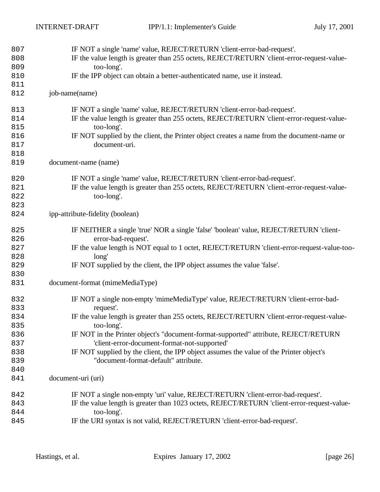| 807 | IF NOT a single 'name' value, REJECT/RETURN 'client-error-bad-request'.                     |
|-----|---------------------------------------------------------------------------------------------|
| 808 | IF the value length is greater than 255 octets, REJECT/RETURN 'client-error-request-value-  |
| 809 | too-long'.                                                                                  |
| 810 | IF the IPP object can obtain a better-authenticated name, use it instead.                   |
| 811 |                                                                                             |
| 812 | job-name(name)                                                                              |
| 813 | IF NOT a single 'name' value, REJECT/RETURN 'client-error-bad-request'.                     |
| 814 | IF the value length is greater than 255 octets, REJECT/RETURN 'client-error-request-value-  |
| 815 | too-long'.                                                                                  |
| 816 | IF NOT supplied by the client, the Printer object creates a name from the document-name or  |
| 817 | document-uri.                                                                               |
| 818 |                                                                                             |
| 819 | document-name (name)                                                                        |
| 820 | IF NOT a single 'name' value, REJECT/RETURN 'client-error-bad-request'.                     |
| 821 | IF the value length is greater than 255 octets, REJECT/RETURN 'client-error-request-value-  |
| 822 | too-long'.                                                                                  |
| 823 |                                                                                             |
| 824 | ipp-attribute-fidelity (boolean)                                                            |
| 825 | IF NEITHER a single 'true' NOR a single 'false' 'boolean' value, REJECT/RETURN 'client-     |
| 826 | error-bad-request'.                                                                         |
| 827 | IF the value length is NOT equal to 1 octet, REJECT/RETURN 'client-error-request-value-too- |
| 828 | long'                                                                                       |
| 829 | IF NOT supplied by the client, the IPP object assumes the value 'false'.                    |
| 830 |                                                                                             |
| 831 | document-format (mimeMediaType)                                                             |
| 832 | IF NOT a single non-empty 'mimeMediaType' value, REJECT/RETURN 'client-error-bad-           |
| 833 | request'.                                                                                   |
| 834 | IF the value length is greater than 255 octets, REJECT/RETURN 'client-error-request-value-  |
| 835 | too-long'.                                                                                  |
| 836 | IF NOT in the Printer object's "document-format-supported" attribute, REJECT/RETURN         |
| 837 | 'client-error-document-format-not-supported'                                                |
| 838 | IF NOT supplied by the client, the IPP object assumes the value of the Printer object's     |
| 839 | "document-format-default" attribute.                                                        |
| 840 |                                                                                             |
| 841 | document-uri (uri)                                                                          |
| 842 | IF NOT a single non-empty 'uri' value, REJECT/RETURN 'client-error-bad-request'.            |
| 843 | IF the value length is greater than 1023 octets, REJECT/RETURN 'client-error-request-value- |
| 844 | too-long'.                                                                                  |
| 845 | IF the URI syntax is not valid, REJECT/RETURN 'client-error-bad-request'.                   |
|     |                                                                                             |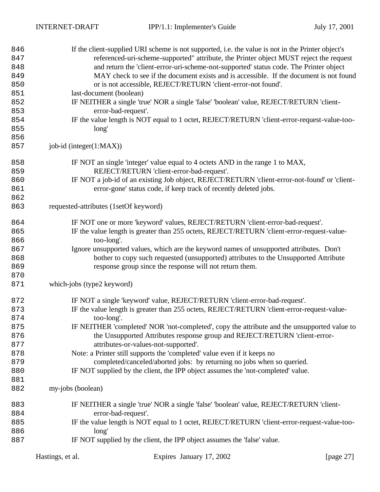| 846 | If the client-supplied URI scheme is not supported, i.e. the value is not in the Printer object's |
|-----|---------------------------------------------------------------------------------------------------|
| 847 | referenced-uri-scheme-supported" attribute, the Printer object MUST reject the request            |
| 848 | and return the 'client-error-uri-scheme-not-supported' status code. The Printer object            |
| 849 | MAY check to see if the document exists and is accessible. If the document is not found           |
| 850 | or is not accessible, REJECT/RETURN 'client-error-not found'.                                     |
| 851 | last-document (boolean)                                                                           |
| 852 | IF NEITHER a single 'true' NOR a single 'false' 'boolean' value, REJECT/RETURN 'client-           |
| 853 | error-bad-request'.                                                                               |
| 854 | IF the value length is NOT equal to 1 octet, REJECT/RETURN 'client-error-request-value-too-       |
| 855 | long'                                                                                             |
| 856 |                                                                                                   |
| 857 | job-id (integer(1:MAX))                                                                           |
| 858 | IF NOT an single 'integer' value equal to 4 octets AND in the range 1 to MAX,                     |
| 859 | REJECT/RETURN 'client-error-bad-request'.                                                         |
| 860 | IF NOT a job-id of an existing Job object, REJECT/RETURN 'client-error-not-found' or 'client-     |
| 861 | error-gone' status code, if keep track of recently deleted jobs.                                  |
| 862 |                                                                                                   |
| 863 | requested-attributes (1setOf keyword)                                                             |
| 864 | IF NOT one or more 'keyword' values, REJECT/RETURN 'client-error-bad-request'.                    |
| 865 | IF the value length is greater than 255 octets, REJECT/RETURN 'client-error-request-value-        |
| 866 | too-long'.                                                                                        |
| 867 | Ignore unsupported values, which are the keyword names of unsupported attributes. Don't           |
| 868 | bother to copy such requested (unsupported) attributes to the Unsupported Attribute               |
| 869 | response group since the response will not return them.                                           |
| 870 |                                                                                                   |
| 871 | which-jobs (type2 keyword)                                                                        |
| 872 | IF NOT a single 'keyword' value, REJECT/RETURN 'client-error-bad-request'.                        |
| 873 | IF the value length is greater than 255 octets, REJECT/RETURN 'client-error-request-value-        |
| 874 | too-long'.                                                                                        |
| 875 | IF NEITHER 'completed' NOR 'not-completed', copy the attribute and the unsupported value to       |
| 876 | the Unsupported Attributes response group and REJECT/RETURN 'client-error-                        |
| 877 | attributes-or-values-not-supported'.                                                              |
| 878 | Note: a Printer still supports the 'completed' value even if it keeps no                          |
| 879 | completed/canceled/aborted jobs: by returning no jobs when so queried.                            |
| 880 | IF NOT supplied by the client, the IPP object assumes the 'not-completed' value.                  |
| 881 |                                                                                                   |
| 882 | my-jobs (boolean)                                                                                 |
| 883 | IF NEITHER a single 'true' NOR a single 'false' 'boolean' value, REJECT/RETURN 'client-           |
| 884 | error-bad-request'.                                                                               |
| 885 | IF the value length is NOT equal to 1 octet, REJECT/RETURN 'client-error-request-value-too-       |
| 886 | long'                                                                                             |
| 887 | IF NOT supplied by the client, the IPP object assumes the 'false' value.                          |
|     |                                                                                                   |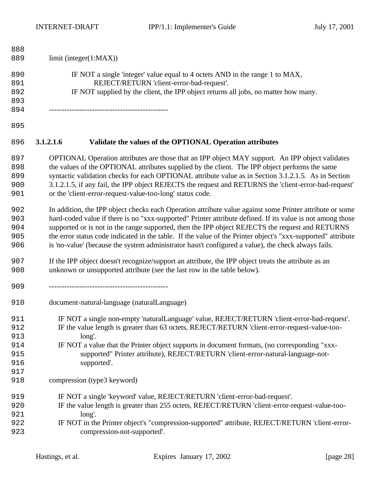| limit (integer(1:MAX))                                                                              |                                                                                                                                                                                                                                                                                                                                                                                                                                                                                                                                                                                                                                                                                                                                                                                                                                                                                                                                                                                                                                                                                  |  |  |
|-----------------------------------------------------------------------------------------------------|----------------------------------------------------------------------------------------------------------------------------------------------------------------------------------------------------------------------------------------------------------------------------------------------------------------------------------------------------------------------------------------------------------------------------------------------------------------------------------------------------------------------------------------------------------------------------------------------------------------------------------------------------------------------------------------------------------------------------------------------------------------------------------------------------------------------------------------------------------------------------------------------------------------------------------------------------------------------------------------------------------------------------------------------------------------------------------|--|--|
|                                                                                                     |                                                                                                                                                                                                                                                                                                                                                                                                                                                                                                                                                                                                                                                                                                                                                                                                                                                                                                                                                                                                                                                                                  |  |  |
|                                                                                                     |                                                                                                                                                                                                                                                                                                                                                                                                                                                                                                                                                                                                                                                                                                                                                                                                                                                                                                                                                                                                                                                                                  |  |  |
|                                                                                                     |                                                                                                                                                                                                                                                                                                                                                                                                                                                                                                                                                                                                                                                                                                                                                                                                                                                                                                                                                                                                                                                                                  |  |  |
|                                                                                                     |                                                                                                                                                                                                                                                                                                                                                                                                                                                                                                                                                                                                                                                                                                                                                                                                                                                                                                                                                                                                                                                                                  |  |  |
|                                                                                                     |                                                                                                                                                                                                                                                                                                                                                                                                                                                                                                                                                                                                                                                                                                                                                                                                                                                                                                                                                                                                                                                                                  |  |  |
|                                                                                                     |                                                                                                                                                                                                                                                                                                                                                                                                                                                                                                                                                                                                                                                                                                                                                                                                                                                                                                                                                                                                                                                                                  |  |  |
| Validate the values of the OPTIONAL Operation attributes<br>3.1.2.1.6                               |                                                                                                                                                                                                                                                                                                                                                                                                                                                                                                                                                                                                                                                                                                                                                                                                                                                                                                                                                                                                                                                                                  |  |  |
|                                                                                                     |                                                                                                                                                                                                                                                                                                                                                                                                                                                                                                                                                                                                                                                                                                                                                                                                                                                                                                                                                                                                                                                                                  |  |  |
| the values of the OPTIONAL attributes supplied by the client. The IPP object performs the same      |                                                                                                                                                                                                                                                                                                                                                                                                                                                                                                                                                                                                                                                                                                                                                                                                                                                                                                                                                                                                                                                                                  |  |  |
|                                                                                                     |                                                                                                                                                                                                                                                                                                                                                                                                                                                                                                                                                                                                                                                                                                                                                                                                                                                                                                                                                                                                                                                                                  |  |  |
|                                                                                                     |                                                                                                                                                                                                                                                                                                                                                                                                                                                                                                                                                                                                                                                                                                                                                                                                                                                                                                                                                                                                                                                                                  |  |  |
| or the 'client-error-request-value-too-long' status code.                                           |                                                                                                                                                                                                                                                                                                                                                                                                                                                                                                                                                                                                                                                                                                                                                                                                                                                                                                                                                                                                                                                                                  |  |  |
|                                                                                                     |                                                                                                                                                                                                                                                                                                                                                                                                                                                                                                                                                                                                                                                                                                                                                                                                                                                                                                                                                                                                                                                                                  |  |  |
|                                                                                                     |                                                                                                                                                                                                                                                                                                                                                                                                                                                                                                                                                                                                                                                                                                                                                                                                                                                                                                                                                                                                                                                                                  |  |  |
| supported or is not in the range supported, then the IPP object REJECTS the request and RETURNS     |                                                                                                                                                                                                                                                                                                                                                                                                                                                                                                                                                                                                                                                                                                                                                                                                                                                                                                                                                                                                                                                                                  |  |  |
|                                                                                                     |                                                                                                                                                                                                                                                                                                                                                                                                                                                                                                                                                                                                                                                                                                                                                                                                                                                                                                                                                                                                                                                                                  |  |  |
| is 'no-value' (because the system administrator hasn't configured a value), the check always fails. |                                                                                                                                                                                                                                                                                                                                                                                                                                                                                                                                                                                                                                                                                                                                                                                                                                                                                                                                                                                                                                                                                  |  |  |
| If the IPP object doesn't recognize/support an attribute, the IPP object treats the attribute as an |                                                                                                                                                                                                                                                                                                                                                                                                                                                                                                                                                                                                                                                                                                                                                                                                                                                                                                                                                                                                                                                                                  |  |  |
| unknown or unsupported attribute (see the last row in the table below).                             |                                                                                                                                                                                                                                                                                                                                                                                                                                                                                                                                                                                                                                                                                                                                                                                                                                                                                                                                                                                                                                                                                  |  |  |
|                                                                                                     |                                                                                                                                                                                                                                                                                                                                                                                                                                                                                                                                                                                                                                                                                                                                                                                                                                                                                                                                                                                                                                                                                  |  |  |
| document-natural-language (naturalLanguage)                                                         |                                                                                                                                                                                                                                                                                                                                                                                                                                                                                                                                                                                                                                                                                                                                                                                                                                                                                                                                                                                                                                                                                  |  |  |
|                                                                                                     |                                                                                                                                                                                                                                                                                                                                                                                                                                                                                                                                                                                                                                                                                                                                                                                                                                                                                                                                                                                                                                                                                  |  |  |
| IF the value length is greater than 63 octets, REJECT/RETURN 'client-error-request-value-too-       |                                                                                                                                                                                                                                                                                                                                                                                                                                                                                                                                                                                                                                                                                                                                                                                                                                                                                                                                                                                                                                                                                  |  |  |
| long'.                                                                                              |                                                                                                                                                                                                                                                                                                                                                                                                                                                                                                                                                                                                                                                                                                                                                                                                                                                                                                                                                                                                                                                                                  |  |  |
| IF NOT a value that the Printer object supports in document formats, (no corresponding "xxx-        |                                                                                                                                                                                                                                                                                                                                                                                                                                                                                                                                                                                                                                                                                                                                                                                                                                                                                                                                                                                                                                                                                  |  |  |
| supported" Printer attribute), REJECT/RETURN 'client-error-natural-language-not-                    |                                                                                                                                                                                                                                                                                                                                                                                                                                                                                                                                                                                                                                                                                                                                                                                                                                                                                                                                                                                                                                                                                  |  |  |
| supported'.                                                                                         |                                                                                                                                                                                                                                                                                                                                                                                                                                                                                                                                                                                                                                                                                                                                                                                                                                                                                                                                                                                                                                                                                  |  |  |
|                                                                                                     |                                                                                                                                                                                                                                                                                                                                                                                                                                                                                                                                                                                                                                                                                                                                                                                                                                                                                                                                                                                                                                                                                  |  |  |
| compression (type3 keyword)                                                                         |                                                                                                                                                                                                                                                                                                                                                                                                                                                                                                                                                                                                                                                                                                                                                                                                                                                                                                                                                                                                                                                                                  |  |  |
| IF NOT a single 'keyword' value, REJECT/RETURN 'client-error-bad-request'.                          |                                                                                                                                                                                                                                                                                                                                                                                                                                                                                                                                                                                                                                                                                                                                                                                                                                                                                                                                                                                                                                                                                  |  |  |
| IF the value length is greater than 255 octets, REJECT/RETURN 'client-error-request-value-too-      |                                                                                                                                                                                                                                                                                                                                                                                                                                                                                                                                                                                                                                                                                                                                                                                                                                                                                                                                                                                                                                                                                  |  |  |
| long'.                                                                                              |                                                                                                                                                                                                                                                                                                                                                                                                                                                                                                                                                                                                                                                                                                                                                                                                                                                                                                                                                                                                                                                                                  |  |  |
|                                                                                                     |                                                                                                                                                                                                                                                                                                                                                                                                                                                                                                                                                                                                                                                                                                                                                                                                                                                                                                                                                                                                                                                                                  |  |  |
| compression-not-supported'.                                                                         |                                                                                                                                                                                                                                                                                                                                                                                                                                                                                                                                                                                                                                                                                                                                                                                                                                                                                                                                                                                                                                                                                  |  |  |
|                                                                                                     | IF NOT a single 'integer' value equal to 4 octets AND in the range 1 to MAX,<br>REJECT/RETURN 'client-error-bad-request'.<br>IF NOT supplied by the client, the IPP object returns all jobs, no matter how many.<br>OPTIONAL Operation attributes are those that an IPP object MAY support. An IPP object validates<br>syntactic validation checks for each OPTIONAL attribute value as in Section 3.1.2.1.5. As in Section<br>3.1.2.1.5, if any fail, the IPP object REJECTS the request and RETURNS the 'client-error-bad-request'<br>In addition, the IPP object checks each Operation attribute value against some Printer attribute or some<br>hard-coded value if there is no "xxx-supported" Printer attribute defined. If its value is not among those<br>the error status code indicated in the table. If the value of the Printer object's "xxx-supported" attribute<br>IF NOT a single non-empty 'naturalLanguage' value, REJECT/RETURN 'client-error-bad-request'.<br>IF NOT in the Printer object's "compression-supported" attribute, REJECT/RETURN 'client-error- |  |  |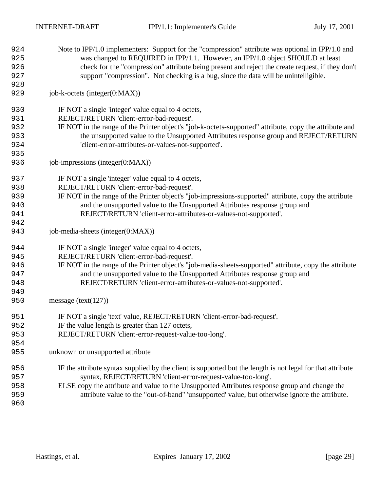| 924 | Note to IPP/1.0 implementers: Support for the "compression" attribute was optional in IPP/1.0 and          |
|-----|------------------------------------------------------------------------------------------------------------|
| 925 | was changed to REQUIRED in IPP/1.1. However, an IPP/1.0 object SHOULD at least                             |
| 926 | check for the "compression" attribute being present and reject the create request, if they don't           |
| 927 | support "compression". Not checking is a bug, since the data will be unintelligible.                       |
| 928 |                                                                                                            |
| 929 | job-k-octets (integer(0:MAX))                                                                              |
| 930 | IF NOT a single 'integer' value equal to 4 octets,                                                         |
| 931 | REJECT/RETURN 'client-error-bad-request'.                                                                  |
| 932 | IF NOT in the range of the Printer object's "job-k-octets-supported" attribute, copy the attribute and     |
| 933 | the unsupported value to the Unsupported Attributes response group and REJECT/RETURN                       |
| 934 | 'client-error-attributes-or-values-not-supported'.                                                         |
| 935 |                                                                                                            |
| 936 | job-impressions (integer(0:MAX))                                                                           |
| 937 | IF NOT a single 'integer' value equal to 4 octets,                                                         |
| 938 | REJECT/RETURN 'client-error-bad-request'.                                                                  |
| 939 | IF NOT in the range of the Printer object's "job-impressions-supported" attribute, copy the attribute      |
| 940 | and the unsupported value to the Unsupported Attributes response group and                                 |
| 941 | REJECT/RETURN 'client-error-attributes-or-values-not-supported'.                                           |
| 942 |                                                                                                            |
| 943 | job-media-sheets (integer(0:MAX))                                                                          |
| 944 | IF NOT a single 'integer' value equal to 4 octets,                                                         |
| 945 | REJECT/RETURN 'client-error-bad-request'.                                                                  |
| 946 | IF NOT in the range of the Printer object's "job-media-sheets-supported" attribute, copy the attribute     |
| 947 | and the unsupported value to the Unsupported Attributes response group and                                 |
| 948 | REJECT/RETURN 'client-error-attributes-or-values-not-supported'.                                           |
| 949 |                                                                                                            |
| 950 | message (text( $127$ ))                                                                                    |
| 951 | IF NOT a single 'text' value, REJECT/RETURN 'client-error-bad-request'.                                    |
| 952 | IF the value length is greater than 127 octets,                                                            |
| 953 | REJECT/RETURN 'client-error-request-value-too-long'.                                                       |
| 954 |                                                                                                            |
| 955 | unknown or unsupported attribute                                                                           |
| 956 | IF the attribute syntax supplied by the client is supported but the length is not legal for that attribute |
| 957 | syntax, REJECT/RETURN 'client-error-request-value-too-long'.                                               |
| 958 | ELSE copy the attribute and value to the Unsupported Attributes response group and change the              |
| 959 | attribute value to the "out-of-band" 'unsupported' value, but otherwise ignore the attribute.              |
| 960 |                                                                                                            |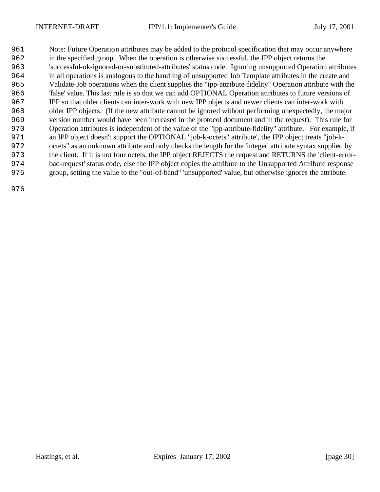Note: Future Operation attributes may be added to the protocol specification that may occur anywhere in the specified group. When the operation is otherwise successful, the IPP object returns the 'successful-ok-ignored-or-substituted-attributes' status code. Ignoring unsupported Operation attributes in all operations is analogous to the handling of unsupported Job Template attributes in the create and Validate-Job operations when the client supplies the "ipp-attribute-fidelity" Operation attribute with the 'false' value. This last rule is so that we can add OPTIONAL Operation attributes to future versions of IPP so that older clients can inter-work with new IPP objects and newer clients can inter-work with older IPP objects. (If the new attribute cannot be ignored without performing unexpectedly, the major version number would have been increased in the protocol document and in the request). This rule for Operation attributes is independent of the value of the "ipp-attribute-fidelity" attribute. For example, if an IPP object doesn't support the OPTIONAL "job-k-octets" attribute', the IPP object treats "job-k- octets" as an unknown attribute and only checks the length for the 'integer' attribute syntax supplied by the client. If it is not four octets, the IPP object REJECTS the request and RETURNS the 'client-error- bad-request' status code, else the IPP object copies the attribute to the Unsupported Attribute response group, setting the value to the "out-of-band" 'unsupported' value, but otherwise ignores the attribute.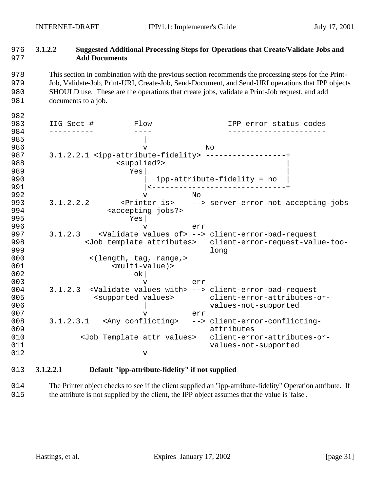# 976 **3.1.2.2 Suggested Additional Processing Steps for Operations that Create/Validate Jobs and**  977 **Add Documents**

 This section in combination with the previous section recommends the processing steps for the Print- Job, Validate-Job, Print-URI, Create-Job, Send-Document, and Send-URI operations that IPP objects SHOULD use. These are the operations that create jobs, validate a Print-Job request, and add 981 documents to a job.

| 982 |            |                                                             |     |                                                                                 |
|-----|------------|-------------------------------------------------------------|-----|---------------------------------------------------------------------------------|
| 983 | IIG Sect # | Flow                                                        |     | IPP error status codes                                                          |
| 984 |            |                                                             |     |                                                                                 |
| 985 |            |                                                             |     |                                                                                 |
| 986 |            | $\mathbf v$                                                 |     | No                                                                              |
| 987 |            | 3.1.2.2.1 <ipp-attribute-fidelity></ipp-attribute-fidelity> |     |                                                                                 |
| 988 |            | <supplied?></supplied?>                                     |     |                                                                                 |
| 989 |            | Yes                                                         |     |                                                                                 |
| 990 |            |                                                             |     |                                                                                 |
| 991 |            |                                                             |     |                                                                                 |
| 992 |            | v                                                           | N∩  |                                                                                 |
| 993 | 3.1.2.2.2  |                                                             |     | <printer is=""> --&gt; server-error-not-accepting-jobs</printer>                |
| 994 |            | <accepting jobs?=""></accepting>                            |     |                                                                                 |
| 995 |            | Yes                                                         |     |                                                                                 |
| 996 |            | $\mathbf v$                                                 | err |                                                                                 |
| 997 | 3.1.2.3    |                                                             |     | <validate of="" values=""> --&gt; client-error-bad-request</validate>           |
| 998 |            |                                                             |     | <job attributes="" template=""> client-error-request-value-too-</job>           |
| 999 |            |                                                             |     | long                                                                            |
| 000 |            | <(length, tag, range,>                                      |     |                                                                                 |
| 001 |            | $<$ multi-value) >                                          |     |                                                                                 |
| 002 |            | ok                                                          |     |                                                                                 |
| 003 |            | $\mathbf v$                                                 | err |                                                                                 |
| 004 |            |                                                             |     | 3.1.2.3 <validate values="" with=""> --&gt; client-error-bad-request</validate> |
| 005 |            | <supported values=""></supported>                           |     | client-error-attributes-or-                                                     |
| 006 |            |                                                             |     | values-not-supported                                                            |
| 007 |            | v                                                           | err |                                                                                 |
| 008 |            |                                                             |     | 3.1.2.3.1 <any conflicting=""> --&gt; client-error-conflicting-</any>           |
| 009 |            |                                                             |     | attributes                                                                      |
| 010 |            | <job attr="" template="" values=""></job>                   |     | client-error-attributes-or-                                                     |
| 011 |            |                                                             |     | values-not-supported                                                            |
| 012 |            | $\mathbf v$                                                 |     |                                                                                 |

# 1013 **3.1.2.2.1 Default "ipp-attribute-fidelity" if not supplied**

1014 The Printer object checks to see if the client supplied an "ipp-attribute-fidelity" Operation attribute. If 1015 the attribute is not supplied by the client, the IPP object assumes that the value is 'false'.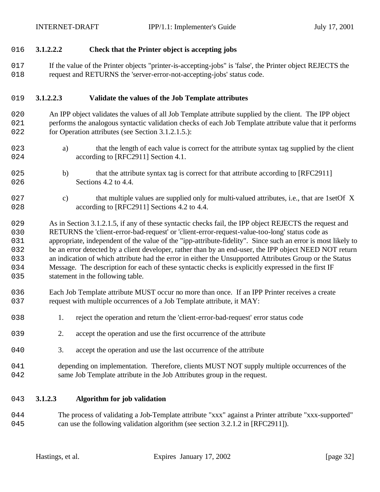## 1016 **3.1.2.2.2 Check that the Printer object is accepting jobs**

017 If the value of the Printer objects "printer-is-accepting-jobs" is 'false', the Printer object REJECTS the 1018 request and RETURNS the 'server-error-not-accepting-jobs' status code.

#### 1019 **3.1.2.2.3 Validate the values of the Job Template attributes**

- 1020 An IPP object validates the values of all Job Template attribute supplied by the client. The IPP object 1021 performs the analogous syntactic validation checks of each Job Template attribute value that it performs 022 for Operation attributes (see Section 3.1.2.1.5.):
- 1023 a) that the length of each value is correct for the attribute syntax tag supplied by the client 024 according to [RFC2911] Section 4.1.
- 1025 b) that the attribute syntax tag is correct for that attribute according to [RFC2911] 026 Sections 4.2 to 4.4.
- 1027 c) that multiple values are supplied only for multi-valued attributes, i.e., that are 1setOf X 028 according to [RFC2911] Sections 4.2 to 4.4.

 As in Section 3.1.2.1.5, if any of these syntactic checks fail, the IPP object REJECTS the request and RETURNS the 'client-error-bad-request' or 'client-error-request-value-too-long' status code as appropriate, independent of the value of the "ipp-attribute-fidelity". Since such an error is most likely to be an error detected by a client developer, rather than by an end-user, the IPP object NEED NOT return an indication of which attribute had the error in either the Unsupported Attributes Group or the Status Message. The description for each of these syntactic checks is explicitly expressed in the first IF 035 statement in the following table.

- 1036 Each Job Template attribute MUST occur no more than once. If an IPP Printer receives a create 037 request with multiple occurrences of a Job Template attribute, it MAY:
- 038 1. reject the operation and return the 'client-error-bad-request' error status code
- 039 2. accept the operation and use the first occurrence of the attribute
- 040 3. accept the operation and use the last occurrence of the attribute
- 1041 depending on implementation. Therefore, clients MUST NOT supply multiple occurrences of the 042 same Job Template attribute in the Job Attributes group in the request.

#### 1043 **3.1.2.3 Algorithm for job validation**

1044 The process of validating a Job-Template attribute "xxx" against a Printer attribute "xxx-supported" 045 can use the following validation algorithm (see section 3.2.1.2 in [RFC2911]).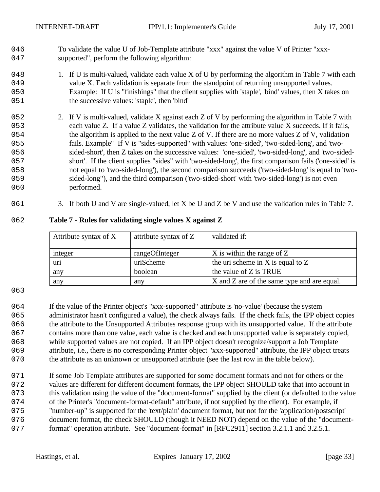To validate the value U of Job-Template attribute "xxx" against the value V of Printer "xxx-047 supported", perform the following algorithm:

- 048 1. If U is multi-valued, validate each value X of U by performing the algorithm in Table 7 with each 049 value X. Each validation is separate from the standpoint of returning unsupported values. Example: If U is "finishings" that the client supplies with 'staple', 'bind' values, then X takes on the successive values: 'staple', then 'bind'
- 052 2. If V is multi-valued, validate X against each Z of V by performing the algorithm in Table 7 with each value Z. If a value Z validates, the validation for the attribute value X succeeds. If it fails, the algorithm is applied to the next value Z of V. If there are no more values Z of V, validation fails. Example" If V is "sides-supported" with values: 'one-sided', 'two-sided-long', and 'two- sided-short', then Z takes on the successive values: 'one-sided', 'two-sided-long', and 'two-sided- short'. If the client supplies "sides" with 'two-sided-long', the first comparison fails ('one-sided' is not equal to 'two-sided-long'), the second comparison succeeds ('two-sided-long' is equal to 'two- sided-long"), and the third comparison ('two-sided-short' with 'two-sided-long') is not even 060 performed.
- 061 3. If both U and V are single-valued, let X be U and Z be V and use the validation rules in Table 7.

| Attribute syntax of X | attribute syntax of Z | validated if:                               |
|-----------------------|-----------------------|---------------------------------------------|
| integer               | rangeOfInteger        | $X$ is within the range of $Z$              |
| uri                   | uriScheme             | the uri scheme in X is equal to $Z$         |
| any                   | boolean               | the value of Z is TRUE                      |
| any                   | any                   | X and Z are of the same type and are equal. |

#### **Table 7 - Rules for validating single values X against Z**

 If the value of the Printer object's "xxx-supported" attribute is 'no-value' (because the system administrator hasn't configured a value), the check always fails. If the check fails, the IPP object copies the attribute to the Unsupported Attributes response group with its unsupported value. If the attribute contains more than one value, each value is checked and each unsupported value is separately copied, while supported values are not copied. If an IPP object doesn't recognize/support a Job Template attribute, i.e., there is no corresponding Printer object "xxx-supported" attribute, the IPP object treats the attribute as an unknown or unsupported attribute (see the last row in the table below).

071 If some Job Template attributes are supported for some document formats and not for others or the values are different for different document formats, the IPP object SHOULD take that into account in this validation using the value of the "document-format" supplied by the client (or defaulted to the value of the Printer's "document-format-default" attribute, if not supplied by the client). For example, if "number-up" is supported for the 'text/plain' document format, but not for the 'application/postscript' document format, the check SHOULD (though it NEED NOT) depend on the value of the "document-077 format" operation attribute. See "document-format" in [RFC2911] section 3.2.1.1 and 3.2.5.1.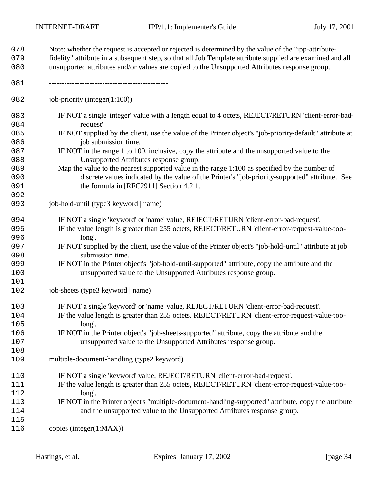| 078<br>079               | Note: whether the request is accepted or rejected is determined by the value of the "ipp-attribute-<br>fidelity" attribute in a subsequent step, so that all Job Template attribute supplied are examined and all                                                                             |
|--------------------------|-----------------------------------------------------------------------------------------------------------------------------------------------------------------------------------------------------------------------------------------------------------------------------------------------|
| 080                      | unsupported attributes and/or values are copied to the Unsupported Attributes response group.                                                                                                                                                                                                 |
| 081                      |                                                                                                                                                                                                                                                                                               |
| 082                      | job-priority (integer $(1:100)$ )                                                                                                                                                                                                                                                             |
| 083<br>084               | IF NOT a single 'integer' value with a length equal to 4 octets, REJECT/RETURN 'client-error-bad-<br>request'.                                                                                                                                                                                |
| 085<br>086               | IF NOT supplied by the client, use the value of the Printer object's "job-priority-default" attribute at<br>job submission time.                                                                                                                                                              |
| 087<br>088               | IF NOT in the range 1 to 100, inclusive, copy the attribute and the unsupported value to the<br>Unsupported Attributes response group.                                                                                                                                                        |
| 089<br>090<br>091<br>092 | Map the value to the nearest supported value in the range 1:100 as specified by the number of<br>discrete values indicated by the value of the Printer's "job-priority-supported" attribute. See<br>the formula in [RFC2911] Section 4.2.1.                                                   |
| 093                      | job-hold-until (type3 keyword   name)                                                                                                                                                                                                                                                         |
| 094<br>095<br>096        | IF NOT a single 'keyword' or 'name' value, REJECT/RETURN 'client-error-bad-request'.<br>IF the value length is greater than 255 octets, REJECT/RETURN 'client-error-request-value-too-<br>long'.                                                                                              |
| 097<br>098               | IF NOT supplied by the client, use the value of the Printer object's "job-hold-until" attribute at job<br>submission time.                                                                                                                                                                    |
| 099<br>100<br>101        | IF NOT in the Printer object's "job-hold-until-supported" attribute, copy the attribute and the<br>unsupported value to the Unsupported Attributes response group.                                                                                                                            |
| 102                      | job-sheets (type3 keyword   name)                                                                                                                                                                                                                                                             |
| 103<br>104<br>105        | IF NOT a single 'keyword' or 'name' value, REJECT/RETURN 'client-error-bad-request'.<br>IF the value length is greater than 255 octets, REJECT/RETURN 'client-error-request-value-too-<br>long'.                                                                                              |
| 106<br>107<br>108        | IF NOT in the Printer object's "job-sheets-supported" attribute, copy the attribute and the<br>unsupported value to the Unsupported Attributes response group.                                                                                                                                |
| 109                      | multiple-document-handling (type2 keyword)                                                                                                                                                                                                                                                    |
| 110<br>111<br>112<br>113 | IF NOT a single 'keyword' value, REJECT/RETURN 'client-error-bad-request'.<br>IF the value length is greater than 255 octets, REJECT/RETURN 'client-error-request-value-too-<br>long'.<br>IF NOT in the Printer object's "multiple-document-handling-supported" attribute, copy the attribute |
| 114<br>115               | and the unsupported value to the Unsupported Attributes response group.                                                                                                                                                                                                                       |
| 116                      | copies (integer $(1:MAX)$ )                                                                                                                                                                                                                                                                   |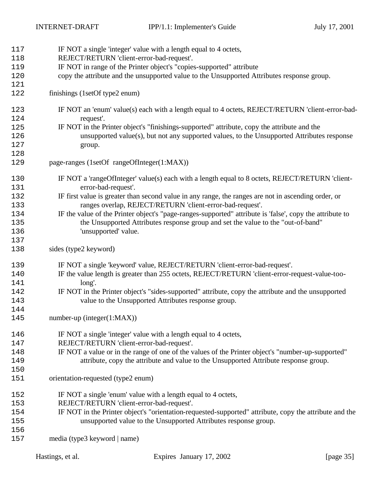| 117 | IF NOT a single 'integer' value with a length equal to 4 octets,                                         |
|-----|----------------------------------------------------------------------------------------------------------|
| 118 | REJECT/RETURN 'client-error-bad-request'.                                                                |
| 119 | IF NOT in range of the Printer object's "copies-supported" attribute                                     |
| 120 | copy the attribute and the unsupported value to the Unsupported Attributes response group.               |
| 121 |                                                                                                          |
| 122 | finishings (1setOf type2 enum)                                                                           |
|     |                                                                                                          |
| 123 | IF NOT an 'enum' value(s) each with a length equal to 4 octets, REJECT/RETURN 'client-error-bad-         |
| 124 | request'.                                                                                                |
| 125 | IF NOT in the Printer object's "finishings-supported" attribute, copy the attribute and the              |
| 126 | unsupported value(s), but not any supported values, to the Unsupported Attributes response               |
| 127 | group.                                                                                                   |
| 128 |                                                                                                          |
| 129 | page-ranges (1setOf rangeOfInteger(1:MAX))                                                               |
| 130 | IF NOT a 'rangeOfInteger' value(s) each with a length equal to 8 octets, REJECT/RETURN 'client-          |
| 131 | error-bad-request'.                                                                                      |
| 132 | IF first value is greater than second value in any range, the ranges are not in ascending order, or      |
| 133 | ranges overlap, REJECT/RETURN 'client-error-bad-request'.                                                |
| 134 | IF the value of the Printer object's "page-ranges-supported" attribute is 'false', copy the attribute to |
| 135 | the Unsupported Attributes response group and set the value to the "out-of-band"                         |
| 136 | 'unsupported' value.                                                                                     |
| 137 |                                                                                                          |
| 138 | sides (type2 keyword)                                                                                    |
| 139 | IF NOT a single 'keyword' value, REJECT/RETURN 'client-error-bad-request'.                               |
| 140 | IF the value length is greater than 255 octets, REJECT/RETURN 'client-error-request-value-too-           |
| 141 | long'.                                                                                                   |
| 142 | IF NOT in the Printer object's "sides-supported" attribute, copy the attribute and the unsupported       |
| 143 | value to the Unsupported Attributes response group.                                                      |
| 144 |                                                                                                          |
| 145 | $number-up (integer(1:MAX))$                                                                             |
|     |                                                                                                          |
| 146 | IF NOT a single 'integer' value with a length equal to 4 octets,                                         |
| 147 | REJECT/RETURN 'client-error-bad-request'.                                                                |
| 148 | IF NOT a value or in the range of one of the values of the Printer object's "number-up-supported"        |
| 149 | attribute, copy the attribute and value to the Unsupported Attribute response group.                     |
| 150 |                                                                                                          |
| 151 | orientation-requested (type2 enum)                                                                       |
| 152 | IF NOT a single 'enum' value with a length equal to 4 octets,                                            |
| 153 | REJECT/RETURN 'client-error-bad-request'.                                                                |
| 154 | IF NOT in the Printer object's "orientation-requested-supported" attribute, copy the attribute and the   |
| 155 | unsupported value to the Unsupported Attributes response group.                                          |
| 156 |                                                                                                          |
| 157 | media (type3 keyword   name)                                                                             |
|     |                                                                                                          |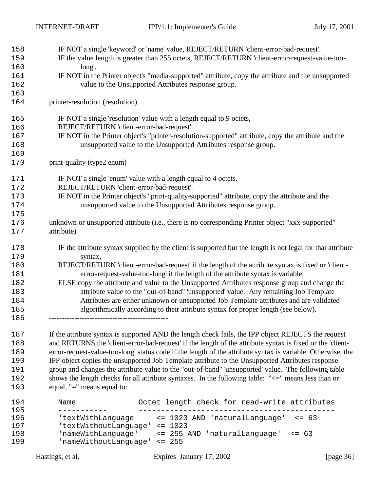| 158 | IF NOT a single 'keyword' or 'name' value, REJECT/RETURN 'client-error-bad-request'.                        |
|-----|-------------------------------------------------------------------------------------------------------------|
| 159 | IF the value length is greater than 255 octets, REJECT/RETURN 'client-error-request-value-too-              |
| 160 | long'.                                                                                                      |
| 161 | IF NOT in the Printer object's "media-supported" attribute, copy the attribute and the unsupported          |
| 162 | value to the Unsupported Attributes response group.                                                         |
| 163 |                                                                                                             |
| 164 | printer-resolution (resolution)                                                                             |
| 165 | IF NOT a single 'resolution' value with a length equal to 9 octets,                                         |
| 166 | REJECT/RETURN 'client-error-bad-request'.                                                                   |
| 167 | IF NOT in the Printer object's "printer-resolution-supported" attribute, copy the attribute and the         |
| 168 | unsupported value to the Unsupported Attributes response group.                                             |
| 169 |                                                                                                             |
| 170 | print-quality (type2 enum)                                                                                  |
| 171 | IF NOT a single 'enum' value with a length equal to 4 octets,                                               |
| 172 | REJECT/RETURN 'client-error-bad-request'.                                                                   |
| 173 | IF NOT in the Printer object's "print-quality-supported" attribute, copy the attribute and the              |
| 174 | unsupported value to the Unsupported Attributes response group.                                             |
| 175 |                                                                                                             |
| 176 | unknown or unsupported attribute (i.e., there is no corresponding Printer object "xxx-supported"            |
| 177 | attribute)                                                                                                  |
| 178 | IF the attribute syntax supplied by the client is supported but the length is not legal for that attribute  |
| 179 | syntax,                                                                                                     |
| 180 | REJECT/RETURN 'client-error-bad-request' if the length of the attribute syntax is fixed or 'client-         |
| 181 | error-request-value-too-long' if the length of the attribute syntax is variable.                            |
| 182 | ELSE copy the attribute and value to the Unsupported Attributes response group and change the               |
| 183 | attribute value to the "out-of-band" 'unsupported' value. Any remaining Job Template                        |
| 184 | Attributes are either unknown or unsupported Job Template attributes and are validated                      |
| 185 | algorithmically according to their attribute syntax for proper length (see below).                          |
| 186 |                                                                                                             |
| 187 | If the attribute syntax is supported AND the length check fails, the IPP object REJECTS the request         |
| 188 | and RETURNS the 'client-error-bad-request' if the length of the attribute syntax is fixed or the 'client-   |
| 189 | error-request-value-too-long' status code if the length of the attribute syntax is variable. Otherwise, the |

190 IPP object copies the unsupported Job Template attribute to the Unsupported Attributes response 1191 group and changes the attribute value to the "out-of-band" 'unsupported' value. The following table 1192 shows the length checks for all attribute syntaxes. In the following table: "<=" means less than or 193 equal, "=" means equal to:

 Name Octet length check for read-write attributes ----------- -------------------------------------------- 'textWithLanguage <= 1023 AND 'naturalLanguage' <= 63 197 TextWithoutLanguage' <= 1023<br>198 ThameWithLanguage' <= 255 P 'nameWithLanguage' <= 255 AND 'naturalLanguage' <= 63 'nameWithoutLanguage' <= 255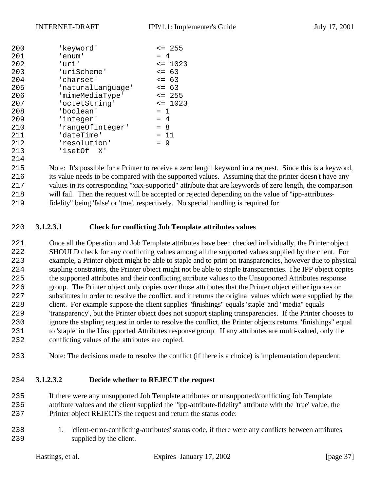| 200 | 'keyword'         | $\leq$ 255  |
|-----|-------------------|-------------|
| 201 | 'enum'            | $= 4$       |
| 202 | 'uri'             | $\leq 1023$ |
| 203 | 'uriScheme'       | $\leq$ 63   |
| 204 | 'charset'         | $= 63$      |
| 205 | 'naturalLanguage' | $\leq$ 63   |
| 206 | 'mimeMediaType'   | $\leq$ 255  |
| 207 | 'octetString'     | $\leq$ 1023 |
| 208 | 'boolean'         | $= 1$       |
| 209 | 'integer'         | $= 4$       |
| 210 | 'rangeOfInteger'  | $= 8$       |
| 211 | 'dateTime'        | $= 11$      |
| 212 | 'resolution'      | $= 9$       |
| 213 | 'lsetOf X'        |             |
| 214 |                   |             |

 Note: It's possible for a Printer to receive a zero length keyword in a request. Since this is a keyword, its value needs to be compared with the supported values. Assuming that the printer doesn't have any values in its corresponding "xxx-supported" attribute that are keywords of zero length, the comparison will fail. Then the request will be accepted or rejected depending on the value of "ipp-attributes-fidelity" being 'false' or 'true', respectively. No special handling is required for

#### **3.1.2.3.1 Check for conflicting Job Template attributes values**

 Once all the Operation and Job Template attributes have been checked individually, the Printer object SHOULD check for any conflicting values among all the supported values supplied by the client. For example, a Printer object might be able to staple and to print on transparencies, however due to physical stapling constraints, the Printer object might not be able to staple transparencies. The IPP object copies the supported attributes and their conflicting attribute values to the Unsupported Attributes response group. The Printer object only copies over those attributes that the Printer object either ignores or substitutes in order to resolve the conflict, and it returns the original values which were supplied by the client. For example suppose the client supplies "finishings" equals 'staple' and "media" equals 'transparency', but the Printer object does not support stapling transparencies. If the Printer chooses to ignore the stapling request in order to resolve the conflict, the Printer objects returns "finishings" equal to 'staple' in the Unsupported Attributes response group. If any attributes are multi-valued, only the conflicting values of the attributes are copied.

Note: The decisions made to resolve the conflict (if there is a choice) is implementation dependent.

### **3.1.2.3.2 Decide whether to REJECT the request**

 If there were any unsupported Job Template attributes or unsupported/conflicting Job Template attribute values and the client supplied the "ipp-attribute-fidelity" attribute with the 'true' value, the Printer object REJECTS the request and return the status code:

 1. 'client-error-conflicting-attributes' status code, if there were any conflicts between attributes 239 supplied by the client.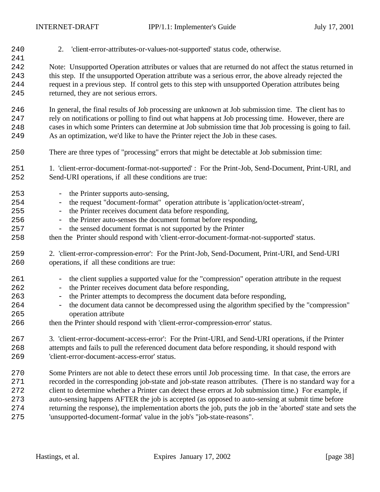| 240        | 'client-error-attributes-or-values-not-supported' status code, otherwise.<br>2.                                                                                                             |
|------------|---------------------------------------------------------------------------------------------------------------------------------------------------------------------------------------------|
| 241<br>242 | Note: Unsupported Operation attributes or values that are returned do not affect the status returned in                                                                                     |
| 243        | this step. If the unsupported Operation attribute was a serious error, the above already rejected the                                                                                       |
| 244<br>245 | request in a previous step. If control gets to this step with unsupported Operation attributes being<br>returned, they are not serious errors.                                              |
| 246        | In general, the final results of Job processing are unknown at Job submission time. The client has to                                                                                       |
| 247        | rely on notifications or polling to find out what happens at Job processing time. However, there are                                                                                        |
| 248<br>249 | cases in which some Printers can determine at Job submission time that Job processing is going to fail.<br>As an optimization, we'd like to have the Printer reject the Job in these cases. |
| 250        | There are three types of "processing" errors that might be detectable at Job submission time:                                                                                               |
| 251<br>252 | 1. 'client-error-document-format-not-supported': For the Print-Job, Send-Document, Print-URI, and<br>Send-URI operations, if all these conditions are true:                                 |
| 253        | - the Printer supports auto-sensing,                                                                                                                                                        |
| 254        | - the request "document-format" operation attribute is 'application/octet-stream',                                                                                                          |
| 255        | - the Printer receives document data before responding,                                                                                                                                     |
| 256        | the Printer auto-senses the document format before responding,<br>$\equiv$                                                                                                                  |
| 257        | - the sensed document format is not supported by the Printer                                                                                                                                |
| 258        | then the Printer should respond with 'client-error-document-format-not-supported' status.                                                                                                   |
| 259        | 2. 'client-error-compression-error': For the Print-Job, Send-Document, Print-URI, and Send-URI                                                                                              |
| 260        | operations, if all these conditions are true:                                                                                                                                               |
| 261<br>262 | - the client supplies a supported value for the "compression" operation attribute in the request<br>the Printer receives document data before responding,                                   |
| 263        | $\overline{\phantom{a}}$<br>the Printer attempts to decompress the document data before responding,<br>$\equiv$                                                                             |
| 264        | - the document data cannot be decompressed using the algorithm specified by the "compression"                                                                                               |
| 265        | operation attribute                                                                                                                                                                         |
| 266        | then the Printer should respond with 'client-error-compression-error' status.                                                                                                               |
| 267        | 3. 'client-error-document-access-error': For the Print-URI, and Send-URI operations, if the Printer                                                                                         |
| 268        | attempts and fails to pull the referenced document data before responding, it should respond with                                                                                           |
| 269        | 'client-error-document-access-error' status.                                                                                                                                                |
| 270        | Some Printers are not able to detect these errors until Job processing time. In that case, the errors are                                                                                   |
| 271        | recorded in the corresponding job-state and job-state reason attributes. (There is no standard way for a                                                                                    |
| 272        | client to determine whether a Printer can detect these errors at Job submission time.) For example, if                                                                                      |
| 273        | auto-sensing happens AFTER the job is accepted (as opposed to auto-sensing at submit time before                                                                                            |
| 274        | returning the response), the implementation aborts the job, puts the job in the 'aborted' state and sets the                                                                                |
| 275        | 'unsupported-document-format' value in the job's "job-state-reasons".                                                                                                                       |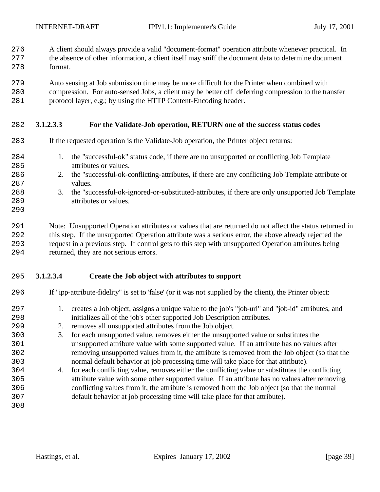- A client should always provide a valid "document-format" operation attribute whenever practical. In
- the absence of other information, a client itself may sniff the document data to determine document format.
- Auto sensing at Job submission time may be more difficult for the Printer when combined with
- compression. For auto-sensed Jobs, a client may be better off deferring compression to the transfer protocol layer, e.g.; by using the HTTP Content-Encoding header.
- **3.1.2.3.3 For the Validate-Job operation, RETURN one of the success status codes**
- If the requested operation is the Validate-Job operation, the Printer object returns:
- 1. the "successful-ok" status code, if there are no unsupported or conflicting Job Template attributes or values.
- 2. the "successful-ok-conflicting-attributes, if there are any conflicting Job Template attribute or values.
- 3. the "successful-ok-ignored-or-substituted-attributes, if there are only unsupported Job Template attributes or values.
- 

 Note: Unsupported Operation attributes or values that are returned do not affect the status returned in this step. If the unsupported Operation attribute was a serious error, the above already rejected the request in a previous step. If control gets to this step with unsupported Operation attributes being returned, they are not serious errors.

### **3.1.2.3.4 Create the Job object with attributes to support**

- 
- If "ipp-attribute-fidelity" is set to 'false' (or it was not supplied by the client), the Printer object:
	- 1. creates a Job object, assigns a unique value to the job's "job-uri" and "job-id" attributes, and initializes all of the job's other supported Job Description attributes.
	- 2. removes all unsupported attributes from the Job object.
	- 3. for each unsupported value, removes either the unsupported value or substitutes the unsupported attribute value with some supported value. If an attribute has no values after removing unsupported values from it, the attribute is removed from the Job object (so that the normal default behavior at job processing time will take place for that attribute).
	- 4. for each conflicting value, removes either the conflicting value or substitutes the conflicting attribute value with some other supported value. If an attribute has no values after removing conflicting values from it, the attribute is removed from the Job object (so that the normal default behavior at job processing time will take place for that attribute).
	-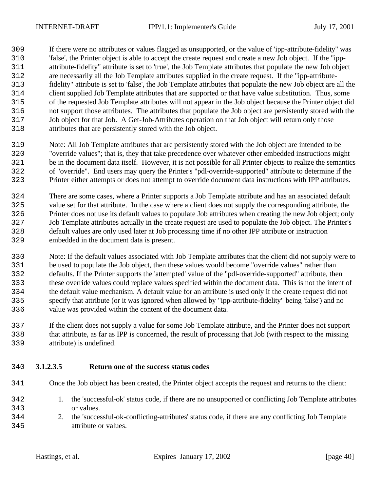If there were no attributes or values flagged as unsupported, or the value of 'ipp-attribute-fidelity" was 'false', the Printer object is able to accept the create request and create a new Job object. If the "ipp- attribute-fidelity" attribute is set to 'true', the Job Template attributes that populate the new Job object are necessarily all the Job Template attributes supplied in the create request. If the "ipp-attribute- fidelity" attribute is set to 'false', the Job Template attributes that populate the new Job object are all the client supplied Job Template attributes that are supported or that have value substitution. Thus, some of the requested Job Template attributes will not appear in the Job object because the Printer object did not support those attributes. The attributes that populate the Job object are persistently stored with the Job object for that Job. A Get-Job-Attributes operation on that Job object will return only those attributes that are persistently stored with the Job object.

- Note: All Job Template attributes that are persistently stored with the Job object are intended to be "override values"; that is, they that take precedence over whatever other embedded instructions might be in the document data itself. However, it is not possible for all Printer objects to realize the semantics of "override". End users may query the Printer's "pdl-override-supported" attribute to determine if the Printer either attempts or does not attempt to override document data instructions with IPP attributes.
- There are some cases, where a Printer supports a Job Template attribute and has an associated default value set for that attribute. In the case where a client does not supply the corresponding attribute, the Printer does not use its default values to populate Job attributes when creating the new Job object; only Job Template attributes actually in the create request are used to populate the Job object. The Printer's default values are only used later at Job processing time if no other IPP attribute or instruction embedded in the document data is present.
- Note: If the default values associated with Job Template attributes that the client did not supply were to be used to populate the Job object, then these values would become "override values" rather than defaults. If the Printer supports the 'attempted' value of the "pdl-override-supported" attribute, then these override values could replace values specified within the document data. This is not the intent of the default value mechanism. A default value for an attribute is used only if the create request did not specify that attribute (or it was ignored when allowed by "ipp-attribute-fidelity" being 'false') and no value was provided within the content of the document data.
- If the client does not supply a value for some Job Template attribute, and the Printer does not support that attribute, as far as IPP is concerned, the result of processing that Job (with respect to the missing attribute) is undefined.

### **3.1.2.3.5 Return one of the success status codes**

- Once the Job object has been created, the Printer object accepts the request and returns to the client:
- 1. the 'successful-ok' status code, if there are no unsupported or conflicting Job Template attributes or values.
- 2. the 'successful-ok-conflicting-attributes' status code, if there are any conflicting Job Template attribute or values.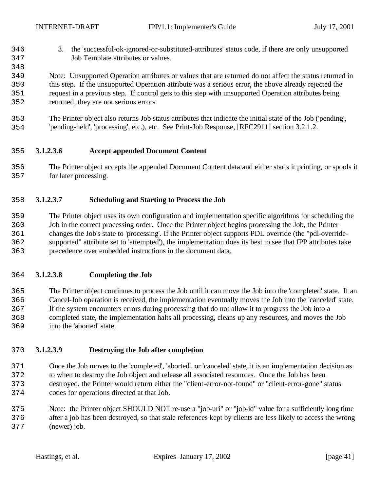- 3. the 'successful-ok-ignored-or-substituted-attributes' status code, if there are only unsupported Job Template attributes or values.
- Note: Unsupported Operation attributes or values that are returned do not affect the status returned in this step. If the unsupported Operation attribute was a serious error, the above already rejected the request in a previous step. If control gets to this step with unsupported Operation attributes being returned, they are not serious errors.
- The Printer object also returns Job status attributes that indicate the initial state of the Job ('pending', 'pending-held', 'processing', etc.), etc. See Print-Job Response, [RFC2911] section 3.2.1.2.

#### **3.1.2.3.6 Accept appended Document Content**

 The Printer object accepts the appended Document Content data and either starts it printing, or spools it for later processing.

#### **3.1.2.3.7 Scheduling and Starting to Process the Job**

 The Printer object uses its own configuration and implementation specific algorithms for scheduling the Job in the correct processing order. Once the Printer object begins processing the Job, the Printer changes the Job's state to 'processing'. If the Printer object supports PDL override (the "pdl-override- supported" attribute set to 'attempted'), the implementation does its best to see that IPP attributes take precedence over embedded instructions in the document data.

#### **3.1.2.3.8 Completing the Job**

 The Printer object continues to process the Job until it can move the Job into the 'completed' state. If an Cancel-Job operation is received, the implementation eventually moves the Job into the 'canceled' state. If the system encounters errors during processing that do not allow it to progress the Job into a completed state, the implementation halts all processing, cleans up any resources, and moves the Job into the 'aborted' state.

#### **3.1.2.3.9 Destroying the Job after completion**

 Once the Job moves to the 'completed', 'aborted', or 'canceled' state, it is an implementation decision as to when to destroy the Job object and release all associated resources. Once the Job has been destroyed, the Printer would return either the "client-error-not-found" or "client-error-gone" status codes for operations directed at that Job.

 Note: the Printer object SHOULD NOT re-use a "job-uri" or "job-id" value for a sufficiently long time after a job has been destroyed, so that stale references kept by clients are less likely to access the wrong (newer) job.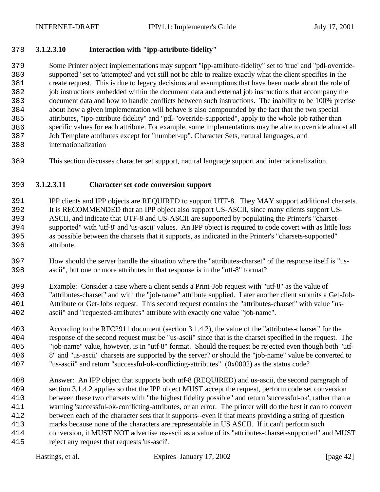#### **3.1.2.3.10 Interaction with "ipp-attribute-fidelity"**

 Some Printer object implementations may support "ipp-attribute-fidelity" set to 'true' and "pdl-override- supported" set to 'attempted' and yet still not be able to realize exactly what the client specifies in the create request. This is due to legacy decisions and assumptions that have been made about the role of job instructions embedded within the document data and external job instructions that accompany the document data and how to handle conflicts between such instructions. The inability to be 100% precise about how a given implementation will behave is also compounded by the fact that the two special attributes, "ipp-attribute-fidelity" and "pdl-"override-supported", apply to the whole job rather than specific values for each attribute. For example, some implementations may be able to override almost all Job Template attributes except for "number-up". Character Sets, natural languages, and internationalization

This section discusses character set support, natural language support and internationalization.

#### **3.1.2.3.11 Character set code conversion support**

 IPP clients and IPP objects are REQUIRED to support UTF-8. They MAY support additional charsets. It is RECOMMENDED that an IPP object also support US-ASCII, since many clients support US- ASCII, and indicate that UTF-8 and US-ASCII are supported by populating the Printer's "charset- supported" with 'utf-8' and 'us-ascii' values. An IPP object is required to code covert with as little loss as possible between the charsets that it supports, as indicated in the Printer's "charsets-supported" attribute.

- How should the server handle the situation where the "attributes-charset" of the response itself is "us-ascii", but one or more attributes in that response is in the "utf-8" format?
- Example: Consider a case where a client sends a Print-Job request with "utf-8" as the value of "attributes-charset" and with the "job-name" attribute supplied. Later another client submits a Get-Job- Attribute or Get-Jobs request. This second request contains the "attributes-charset" with value "us-ascii" and "requested-attributes" attribute with exactly one value "job-name".
- According to the RFC2911 document (section 3.1.4.2), the value of the "attributes-charset" for the response of the second request must be "us-ascii" since that is the charset specified in the request. The "job-name" value, however, is in "utf-8" format. Should the request be rejected even though both "utf- 8" and "us-ascii" charsets are supported by the server? or should the "job-name" value be converted to "us-ascii" and return "successful-ok-conflicting-attributes" (0x0002) as the status code?
- Answer: An IPP object that supports both utf-8 (REQUIRED) and us-ascii, the second paragraph of section 3.1.4.2 applies so that the IPP object MUST accept the request, perform code set conversion between these two charsets with "the highest fidelity possible" and return 'successful-ok', rather than a warning 'successful-ok-conflicting-attributes, or an error. The printer will do the best it can to convert between each of the character sets that it supports--even if that means providing a string of question marks because none of the characters are representable in US ASCII. If it can't perform such conversion, it MUST NOT advertise us-ascii as a value of its "attributes-charset-supported" and MUST reject any request that requests 'us-ascii'.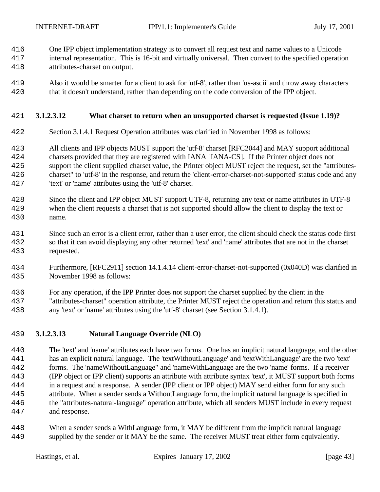One IPP object implementation strategy is to convert all request text and name values to a Unicode

- internal representation. This is 16-bit and virtually universal. Then convert to the specified operation attributes-charset on output.
- Also it would be smarter for a client to ask for 'utf-8', rather than 'us-ascii' and throw away characters that it doesn't understand, rather than depending on the code conversion of the IPP object.

### **3.1.2.3.12 What charset to return when an unsupported charset is requested (Issue 1.19)?**

- Section 3.1.4.1 Request Operation attributes was clarified in November 1998 as follows:
- All clients and IPP objects MUST support the 'utf-8' charset [RFC2044] and MAY support additional charsets provided that they are registered with IANA [IANA-CS]. If the Printer object does not support the client supplied charset value, the Printer object MUST reject the request, set the "attributes- charset" to 'utf-8' in the response, and return the 'client-error-charset-not-supported' status code and any 'text' or 'name' attributes using the 'utf-8' charset.
- Since the client and IPP object MUST support UTF-8, returning any text or name attributes in UTF-8 when the client requests a charset that is not supported should allow the client to display the text or name.
- Since such an error is a client error, rather than a user error, the client should check the status code first so that it can avoid displaying any other returned 'text' and 'name' attributes that are not in the charset requested.
- Furthermore, [RFC2911] section 14.1.4.14 client-error-charset-not-supported (0x040D) was clarified in November 1998 as follows:
- For any operation, if the IPP Printer does not support the charset supplied by the client in the
- "attributes-charset" operation attribute, the Printer MUST reject the operation and return this status and any 'text' or 'name' attributes using the 'utf-8' charset (see Section 3.1.4.1).

### **3.1.2.3.13 Natural Language Override (NLO)**

 The 'text' and 'name' attributes each have two forms. One has an implicit natural language, and the other has an explicit natural language. The 'textWithoutLanguage' and 'textWithLanguage' are the two 'text' forms. The 'nameWithoutLanguage" and 'nameWithLanguage are the two 'name' forms. If a receiver (IPP object or IPP client) supports an attribute with attribute syntax 'text', it MUST support both forms in a request and a response. A sender (IPP client or IPP object) MAY send either form for any such attribute. When a sender sends a WithoutLanguage form, the implicit natural language is specified in the "attributes-natural-language" operation attribute, which all senders MUST include in every request and response.

 When a sender sends a WithLanguage form, it MAY be different from the implicit natural language supplied by the sender or it MAY be the same. The receiver MUST treat either form equivalently.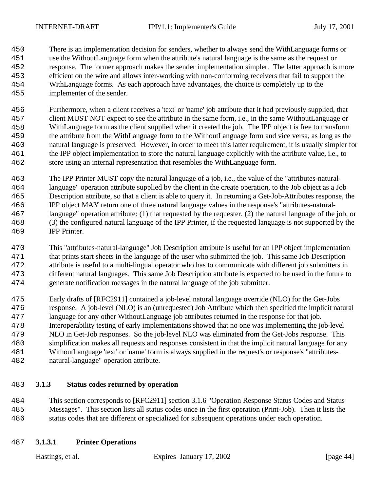There is an implementation decision for senders, whether to always send the WithLanguage forms or use the WithoutLanguage form when the attribute's natural language is the same as the request or response. The former approach makes the sender implementation simpler. The latter approach is more efficient on the wire and allows inter-working with non-conforming receivers that fail to support the WithLanguage forms. As each approach have advantages, the choice is completely up to the implementer of the sender.

 Furthermore, when a client receives a 'text' or 'name' job attribute that it had previously supplied, that client MUST NOT expect to see the attribute in the same form, i.e., in the same WithoutLanguage or WithLanguage form as the client supplied when it created the job. The IPP object is free to transform the attribute from the WithLanguage form to the WithoutLanguage form and vice versa, as long as the natural language is preserved. However, in order to meet this latter requirement, it is usually simpler for the IPP object implementation to store the natural language explicitly with the attribute value, i.e., to store using an internal representation that resembles the WithLanguage form.

 The IPP Printer MUST copy the natural language of a job, i.e., the value of the "attributes-natural- language" operation attribute supplied by the client in the create operation, to the Job object as a Job Description attribute, so that a client is able to query it. In returning a Get-Job-Attributes response, the IPP object MAY return one of three natural language values in the response's "attributes-natural- language" operation attribute: (1) that requested by the requester, (2) the natural language of the job, or (3) the configured natural language of the IPP Printer, if the requested language is not supported by the IPP Printer.

 This "attributes-natural-language" Job Description attribute is useful for an IPP object implementation that prints start sheets in the language of the user who submitted the job. This same Job Description attribute is useful to a multi-lingual operator who has to communicate with different job submitters in different natural languages. This same Job Description attribute is expected to be used in the future to generate notification messages in the natural language of the job submitter.

 Early drafts of [RFC2911] contained a job-level natural language override (NLO) for the Get-Jobs response. A job-level (NLO) is an (unrequested) Job Attribute which then specified the implicit natural language for any other WithoutLanguage job attributes returned in the response for that job. Interoperability testing of early implementations showed that no one was implementing the job-level NLO in Get-Job responses. So the job-level NLO was eliminated from the Get-Jobs response. This simplification makes all requests and responses consistent in that the implicit natural language for any WithoutLanguage 'text' or 'name' form is always supplied in the request's or response's "attributes-

natural-language" operation attribute.

### **3.1.3 Status codes returned by operation**

 This section corresponds to [RFC2911] section 3.1.6 "Operation Response Status Codes and Status Messages". This section lists all status codes once in the first operation (Print-Job). Then it lists the status codes that are different or specialized for subsequent operations under each operation.

### **3.1.3.1 Printer Operations**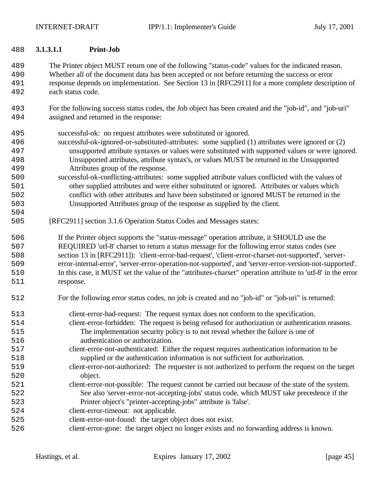#### **3.1.3.1.1 Print-Job**

 The Printer object MUST return one of the following "status-code" values for the indicated reason. Whether all of the document data has been accepted or not before returning the success or error response depends on implementation. See Section 13 in [RFC2911] for a more complete description of each status code.

 For the following success status codes, the Job object has been created and the "job-id", and "job-uri" assigned and returned in the response:

successful-ok: no request attributes were substituted or ignored.

- successful-ok-ignored-or-substituted-attributes: some supplied (1) attributes were ignored or (2) unsupported attribute syntaxes or values were substituted with supported values or were ignored. Unsupported attributes, attribute syntax's, or values MUST be returned in the Unsupported Attributes group of the response.
- successful-ok-conflicting-attributes: some supplied attribute values conflicted with the values of other supplied attributes and were either substituted or ignored. Attributes or values which conflict with other attributes and have been substituted or ignored MUST be returned in the Unsupported Attributes group of the response as supplied by the client.
- [RFC2911] section 3.1.6 Operation Status Codes and Messages states:

 If the Printer object supports the "status-message" operation attribute, it SHOULD use the REQUIRED 'utf-8' charset to return a status message for the following error status codes (see section 13 in [RFC2911]): 'client-error-bad-request', 'client-error-charset-not-supported', 'server- error-internal-error', 'server-error-operation-not-supported', and 'server-error-version-not-supported'. In this case, it MUST set the value of the "attributes-charset" operation attribute to 'utf-8' in the error response.

- For the following error status codes, no job is created and no "job-id" or "job-uri" is returned:
- client-error-bad-request: The request syntax does not conform to the specification. client-error-forbidden: The request is being refused for authorization or authentication reasons. The implementation security policy is to not reveal whether the failure is one of authentication or authorization.
- client-error-not-authenticated: Either the request requires authentication information to be supplied or the authentication information is not sufficient for authorization.
- client-error-not-authorized: The requester is not authorized to perform the request on the target object.
- client-error-not-possible: The request cannot be carried out because of the state of the system. See also 'server-error-not-accepting-jobs' status code, which MUST take precedence if the Printer object's "printer-accepting-jobs" attribute is 'false'.
- client-error-timeout: not applicable.
- client-error-not-found: the target object does not exist.
- client-error-gone: the target object no longer exists and no forwarding address is known.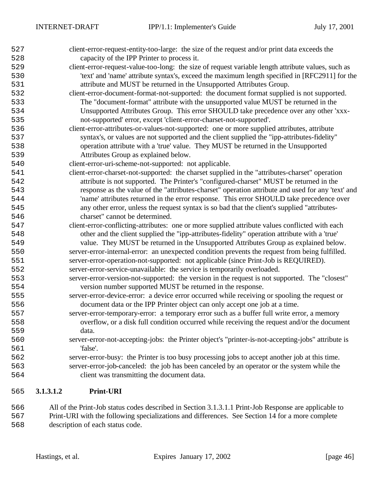| 527 |           | client-error-request-entity-too-large: the size of the request and/or print data exceeds the       |
|-----|-----------|----------------------------------------------------------------------------------------------------|
| 528 |           | capacity of the IPP Printer to process it.                                                         |
| 529 |           | client-error-request-value-too-long: the size of request variable length attribute values, such as |
| 530 |           | 'text' and 'name' attribute syntax's, exceed the maximum length specified in [RFC2911] for the     |
| 531 |           | attribute and MUST be returned in the Unsupported Attributes Group.                                |
| 532 |           | client-error-document-format-not-supported: the document format supplied is not supported.         |
| 533 |           | The "document-format" attribute with the unsupported value MUST be returned in the                 |
| 534 |           | Unsupported Attributes Group. This error SHOULD take precedence over any other 'xxx-               |
| 535 |           | not-supported' error, except 'client-error-charset-not-supported'.                                 |
| 536 |           | client-error-attributes-or-values-not-supported: one or more supplied attributes, attribute        |
| 537 |           | syntax's, or values are not supported and the client supplied the "ipp-attributes-fidelity"        |
| 538 |           | operation attribute with a 'true' value. They MUST be returned in the Unsupported                  |
| 539 |           | Attributes Group as explained below.                                                               |
| 540 |           | client-error-uri-scheme-not-supported: not applicable.                                             |
| 541 |           | client-error-charset-not-supported: the charset supplied in the "attributes-charset" operation     |
| 542 |           | attribute is not supported. The Printer's "configured-charset" MUST be returned in the             |
| 543 |           | response as the value of the "attributes-charset" operation attribute and used for any 'text' and  |
| 544 |           | 'name' attributes returned in the error response. This error SHOULD take precedence over           |
| 545 |           | any other error, unless the request syntax is so bad that the client's supplied "attributes-       |
| 546 |           | charset" cannot be determined.                                                                     |
| 547 |           | client-error-conflicting-attributes: one or more supplied attribute values conflicted with each    |
| 548 |           | other and the client supplied the "ipp-attributes-fidelity" operation attribute with a 'true'      |
| 549 |           | value. They MUST be returned in the Unsupported Attributes Group as explained below.               |
| 550 |           | server-error-internal-error: an unexpected condition prevents the request from being fulfilled.    |
| 551 |           | server-error-operation-not-supported: not applicable (since Print-Job is REQUIRED).                |
| 552 |           | server-error-service-unavailable: the service is temporarily overloaded.                           |
| 553 |           | server-error-version-not-supported: the version in the request is not supported. The "closest"     |
| 554 |           | version number supported MUST be returned in the response.                                         |
| 555 |           | server-error-device-error: a device error occurred while receiving or spooling the request or      |
| 556 |           | document data or the IPP Printer object can only accept one job at a time.                         |
| 557 |           | server-error-temporary-error: a temporary error such as a buffer full write error, a memory        |
| 558 |           | overflow, or a disk full condition occurred while receiving the request and/or the document        |
| 559 |           | data.                                                                                              |
| 560 |           | server-error-not-accepting-jobs: the Printer object's "printer-is-not-accepting-jobs" attribute is |
| 561 |           | 'false'.                                                                                           |
| 562 |           | server-error-busy: the Printer is too busy processing jobs to accept another job at this time.     |
| 563 |           | server-error-job-canceled: the job has been canceled by an operator or the system while the        |
| 564 |           | client was transmitting the document data.                                                         |
|     | 3.1.3.1.2 | <b>Print-URI</b>                                                                                   |
| 565 |           |                                                                                                    |

 All of the Print-Job status codes described in Section 3.1.3.1.1 Print-Job Response are applicable to Print-URI with the following specializations and differences. See Section 14 for a more complete description of each status code.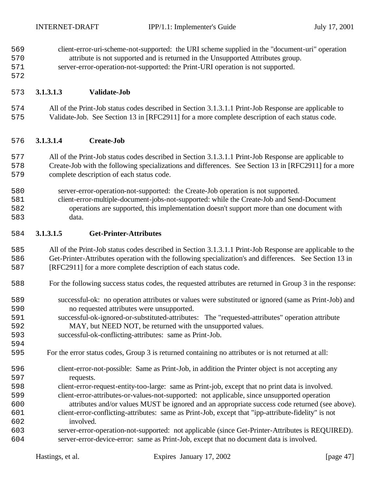client-error-uri-scheme-not-supported: the URI scheme supplied in the "document-uri" operation attribute is not supported and is returned in the Unsupported Attributes group.

 server-error-operation-not-supported: the Print-URI operation is not supported. 

# **3.1.3.1.3 Validate-Job**

 All of the Print-Job status codes described in Section 3.1.3.1.1 Print-Job Response are applicable to Validate-Job. See Section 13 in [RFC2911] for a more complete description of each status code.

# **3.1.3.1.4 Create-Job**

 All of the Print-Job status codes described in Section 3.1.3.1.1 Print-Job Response are applicable to 578 Create-Job with the following specializations and differences. See Section 13 in [RFC2911] for a more complete description of each status code.

- server-error-operation-not-supported: the Create-Job operation is not supported.
- client-error-multiple-document-jobs-not-supported: while the Create-Job and Send-Document operations are supported, this implementation doesn't support more than one document with data.

# **3.1.3.1.5 Get-Printer-Attributes**

 All of the Print-Job status codes described in Section 3.1.3.1.1 Print-Job Response are applicable to the Get-Printer-Attributes operation with the following specialization's and differences. See Section 13 in [RFC2911] for a more complete description of each status code.

- For the following success status codes, the requested attributes are returned in Group 3 in the response:
- successful-ok: no operation attributes or values were substituted or ignored (same as Print-Job) and no requested attributes were unsupported.
- successful-ok-ignored-or-substituted-attributes: The "requested-attributes" operation attribute MAY, but NEED NOT, be returned with the unsupported values.
- successful-ok-conflicting-attributes: same as Print-Job.
- For the error status codes, Group 3 is returned containing no attributes or is not returned at all:
- client-error-not-possible: Same as Print-Job, in addition the Printer object is not accepting any requests.
- client-error-request-entity-too-large: same as Print-job, except that no print data is involved. client-error-attributes-or-values-not-supported: not applicable, since unsupported operation attributes and/or values MUST be ignored and an appropriate success code returned (see above).
- client-error-conflicting-attributes: same as Print-Job, except that "ipp-attribute-fidelity" is not involved.
- server-error-operation-not-supported: not applicable (since Get-Printer-Attributes is REQUIRED). server-error-device-error: same as Print-Job, except that no document data is involved.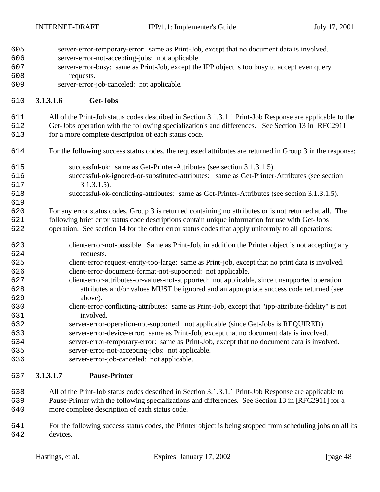- server-error-temporary-error: same as Print-Job, except that no document data is involved.
- server-error-not-accepting-jobs: not applicable.
- server-error-busy: same as Print-Job, except the IPP object is too busy to accept even query requests.
- server-error-job-canceled: not applicable.

#### **3.1.3.1.6 Get-Jobs**

All of the Print-Job status codes described in Section 3.1.3.1.1 Print-Job Response are applicable to the

 Get-Jobs operation with the following specialization's and differences. See Section 13 in [RFC2911] for a more complete description of each status code.

- For the following success status codes, the requested attributes are returned in Group 3 in the response:
- successful-ok: same as Get-Printer-Attributes (see section 3.1.3.1.5).
- successful-ok-ignored-or-substituted-attributes: same as Get-Printer-Attributes (see section 617 3.1.3.1.5).
- successful-ok-conflicting-attributes: same as Get-Printer-Attributes (see section 3.1.3.1.5).

 For any error status codes, Group 3 is returned containing no attributes or is not returned at all. The following brief error status code descriptions contain unique information for use with Get-Jobs

- operation. See section 14 for the other error status codes that apply uniformly to all operations:
- client-error-not-possible: Same as Print-Job, in addition the Printer object is not accepting any requests.
- client-error-request-entity-too-large: same as Print-job, except that no print data is involved. client-error-document-format-not-supported: not applicable.
- client-error-attributes-or-values-not-supported: not applicable, since unsupported operation attributes and/or values MUST be ignored and an appropriate success code returned (see above).
- client-error-conflicting-attributes: same as Print-Job, except that "ipp-attribute-fidelity" is not involved.
- server-error-operation-not-supported: not applicable (since Get-Jobs is REQUIRED).
- server-error-device-error: same as Print-Job, except that no document data is involved.
- server-error-temporary-error: same as Print-Job, except that no document data is involved.
- server-error-not-accepting-jobs: not applicable.
- server-error-job-canceled: not applicable.

### **3.1.3.1.7 Pause-Printer**

- All of the Print-Job status codes described in Section 3.1.3.1.1 Print-Job Response are applicable to Pause-Printer with the following specializations and differences. See Section 13 in [RFC2911] for a more complete description of each status code.
- For the following success status codes, the Printer object is being stopped from scheduling jobs on all its devices.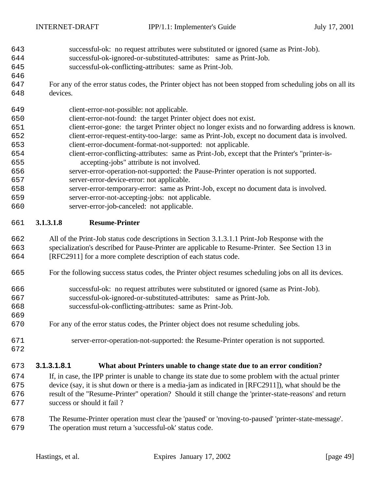- successful-ok: no request attributes were substituted or ignored (same as Print-Job).
- successful-ok-ignored-or-substituted-attributes: same as Print-Job.
- successful-ok-conflicting-attributes: same as Print-Job.
- For any of the error status codes, the Printer object has not been stopped from scheduling jobs on all its devices.
- client-error-not-possible: not applicable.
- client-error-not-found: the target Printer object does not exist.
- client-error-gone: the target Printer object no longer exists and no forwarding address is known. client-error-request-entity-too-large: same as Print-Job, except no document data is involved.
- client-error-document-format-not-supported: not applicable.
- client-error-conflicting-attributes: same as Print-Job, except that the Printer's "printer-is-accepting-jobs" attribute is not involved.
- server-error-operation-not-supported: the Pause-Printer operation is not supported. server-error-device-error: not applicable.
- server-error-temporary-error: same as Print-Job, except no document data is involved.
- server-error-not-accepting-jobs: not applicable.

server-error-job-canceled: not applicable.

#### **3.1.3.1.8 Resume-Printer**

- All of the Print-Job status code descriptions in Section 3.1.3.1.1 Print-Job Response with the specialization's described for Pause-Printer are applicable to Resume-Printer. See Section 13 in [RFC2911] for a more complete description of each status code.
- For the following success status codes, the Printer object resumes scheduling jobs on all its devices.
- successful-ok: no request attributes were substituted or ignored (same as Print-Job).
- successful-ok-ignored-or-substituted-attributes: same as Print-Job.
- successful-ok-conflicting-attributes: same as Print-Job.
- For any of the error status codes, the Printer object does not resume scheduling jobs.
- 

- server-error-operation-not-supported: the Resume-Printer operation is not supported.
- **3.1.3.1.8.1 What about Printers unable to change state due to an error condition?**
- If, in case, the IPP printer is unable to change its state due to some problem with the actual printer device (say, it is shut down or there is a media-jam as indicated in [RFC2911]), what should be the result of the "Resume-Printer" operation? Should it still change the 'printer-state-reasons' and return success or should it fail ?
- The Resume-Printer operation must clear the 'paused' or 'moving-to-paused' 'printer-state-message'. The operation must return a 'successful-ok' status code.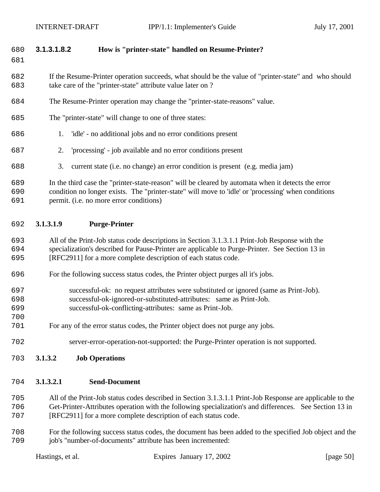### **3.1.3.1.8.2 How is "printer-state" handled on Resume-Printer?**

 If the Resume-Printer operation succeeds, what should be the value of "printer-state" and who should take care of the "printer-state" attribute value later on ?

- The Resume-Printer operation may change the "printer-state-reasons" value.
- The "printer-state" will change to one of three states:
- 1. 'idle' no additional jobs and no error conditions present
- 2. 'processing' job available and no error conditions present
- 3. current state (i.e. no change) an error condition is present (e.g. media jam)

 In the third case the "printer-state-reason" will be cleared by automata when it detects the error condition no longer exists. The "printer-state" will move to 'idle' or 'processing' when conditions permit. (i.e. no more error conditions)

#### **3.1.3.1.9 Purge-Printer**

 All of the Print-Job status code descriptions in Section 3.1.3.1.1 Print-Job Response with the specialization's described for Pause-Printer are applicable to Purge-Printer. See Section 13 in [RFC2911] for a more complete description of each status code.

- For the following success status codes, the Printer object purges all it's jobs.
- successful-ok: no request attributes were substituted or ignored (same as Print-Job).
- successful-ok-ignored-or-substituted-attributes: same as Print-Job.
- successful-ok-conflicting-attributes: same as Print-Job.
- For any of the error status codes, the Printer object does not purge any jobs.
- server-error-operation-not-supported: the Purge-Printer operation is not supported.
- **3.1.3.2 Job Operations**

#### **3.1.3.2.1 Send-Document**

 All of the Print-Job status codes described in Section 3.1.3.1.1 Print-Job Response are applicable to the Get-Printer-Attributes operation with the following specialization's and differences. See Section 13 in [RFC2911] for a more complete description of each status code.

 For the following success status codes, the document has been added to the specified Job object and the job's "number-of-documents" attribute has been incremented: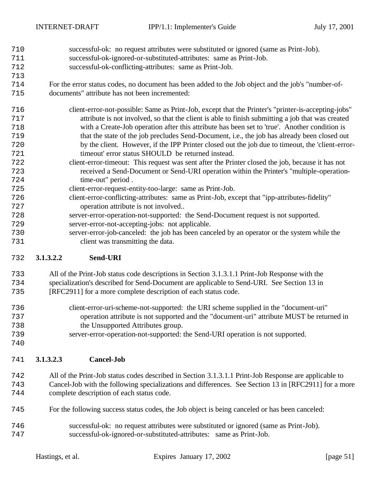- successful-ok: no request attributes were substituted or ignored (same as Print-Job). successful-ok-ignored-or-substituted-attributes: same as Print-Job.
- successful-ok-conflicting-attributes: same as Print-Job.
- For the error status codes, no document has been added to the Job object and the job's "number-of-documents" attribute has not been incremented:
- client-error-not-possible: Same as Print-Job, except that the Printer's "printer-is-accepting-jobs" attribute is not involved, so that the client is able to finish submitting a job that was created with a Create-Job operation after this attribute has been set to 'true'. Another condition is that the state of the job precludes Send-Document, i.e., the job has already been closed out by the client. However, if the IPP Printer closed out the job due to timeout, the 'client-error- timeout' error status SHOULD be returned instead. client-error-timeout: This request was sent after the Printer closed the job, because it has not
- received a Send-Document or Send-URI operation within the Printer's "multiple-operation-time-out" period .
- client-error-request-entity-too-large: same as Print-Job.
- client-error-conflicting-attributes: same as Print-Job, except that "ipp-attributes-fidelity" operation attribute is not involved..
- server-error-operation-not-supported: the Send-Document request is not supported.
- server-error-not-accepting-jobs: not applicable.
- server-error-job-canceled: the job has been canceled by an operator or the system while the client was transmitting the data.

### **3.1.3.2.2 Send-URI**

- All of the Print-Job status code descriptions in Section 3.1.3.1.1 Print-Job Response with the specialization's described for Send-Document are applicable to Send-URI. See Section 13 in
- [RFC2911] for a more complete description of each status code.
- client-error-uri-scheme-not-supported: the URI scheme supplied in the "document-uri" operation attribute is not supported and the "document-uri" attribute MUST be returned in the Unsupported Attributes group.
- server-error-operation-not-supported: the Send-URI operation is not supported.
- 

- **3.1.3.2.3 Cancel-Job**
- All of the Print-Job status codes described in Section 3.1.3.1.1 Print-Job Response are applicable to Cancel-Job with the following specializations and differences. See Section 13 in [RFC2911] for a more complete description of each status code.
- For the following success status codes, the Job object is being canceled or has been canceled:
- successful-ok: no request attributes were substituted or ignored (same as Print-Job). successful-ok-ignored-or-substituted-attributes: same as Print-Job.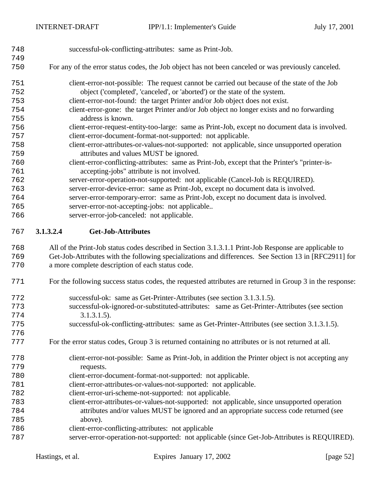| 748<br>749 | successful-ok-conflicting-attributes: same as Print-Job.                                                  |
|------------|-----------------------------------------------------------------------------------------------------------|
| 750        | For any of the error status codes, the Job object has not been canceled or was previously canceled.       |
| 751        | client-error-not-possible: The request cannot be carried out because of the state of the Job              |
| 752        | object ('completed', 'canceled', or 'aborted') or the state of the system.                                |
| 753        | client-error-not-found: the target Printer and/or Job object does not exist.                              |
| 754        | client-error-gone: the target Printer and/or Job object no longer exists and no forwarding                |
| 755        | address is known.                                                                                         |
| 756        | client-error-request-entity-too-large: same as Print-Job, except no document data is involved.            |
| 757        | client-error-document-format-not-supported: not applicable.                                               |
| 758        | client-error-attributes-or-values-not-supported: not applicable, since unsupported operation              |
| 759        | attributes and values MUST be ignored.                                                                    |
| 760        | client-error-conflicting-attributes: same as Print-Job, except that the Printer's "printer-is-            |
| 761        | accepting-jobs" attribute is not involved.                                                                |
| 762        | server-error-operation-not-supported: not applicable (Cancel-Job is REQUIRED).                            |
| 763        | server-error-device-error: same as Print-Job, except no document data is involved.                        |
| 764        | server-error-temporary-error: same as Print-Job, except no document data is involved.                     |
| 765        | server-error-not-accepting-jobs: not applicable                                                           |
| 766        | server-error-job-canceled: not applicable.                                                                |
| 767        | 3.1.3.2.4<br><b>Get-Job-Attributes</b>                                                                    |
| 768        | All of the Print-Job status codes described in Section 3.1.3.1.1 Print-Job Response are applicable to     |
| 769        | Get-Job-Attributes with the following specializations and differences. See Section 13 in [RFC2911] for    |
| 770        | a more complete description of each status code.                                                          |
| 771        | For the following success status codes, the requested attributes are returned in Group 3 in the response: |
| 772        | successful-ok: same as Get-Printer-Attributes (see section 3.1.3.1.5).                                    |
| 773        | successful-ok-ignored-or-substituted-attributes: same as Get-Printer-Attributes (see section              |

- 3.1.3.1.5).
- successful-ok-conflicting-attributes: same as Get-Printer-Attributes (see section 3.1.3.1.5).
- For the error status codes, Group 3 is returned containing no attributes or is not returned at all.
- client-error-not-possible: Same as Print-Job, in addition the Printer object is not accepting any requests.
- client-error-document-format-not-supported: not applicable.
- client-error-attributes-or-values-not-supported: not applicable.
- client-error-uri-scheme-not-supported: not applicable.
- client-error-attributes-or-values-not-supported: not applicable, since unsupported operation attributes and/or values MUST be ignored and an appropriate success code returned (see above).
- client-error-conflicting-attributes: not applicable
- server-error-operation-not-supported: not applicable (since Get-Job-Attributes is REQUIRED).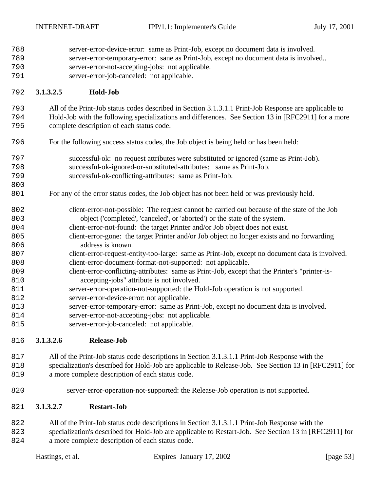server-error-device-error: same as Print-Job, except no document data is involved. server-error-temporary-error: sane as Print-Job, except no document data is involved.. server-error-not-accepting-jobs: not applicable. server-error-job-canceled: not applicable. **3.1.3.2.5 Hold-Job** All of the Print-Job status codes described in Section 3.1.3.1.1 Print-Job Response are applicable to Hold-Job with the following specializations and differences. See Section 13 in [RFC2911] for a more complete description of each status code. For the following success status codes, the Job object is being held or has been held: successful-ok: no request attributes were substituted or ignored (same as Print-Job). successful-ok-ignored-or-substituted-attributes: same as Print-Job. successful-ok-conflicting-attributes: same as Print-Job. For any of the error status codes, the Job object has not been held or was previously held. client-error-not-possible: The request cannot be carried out because of the state of the Job object ('completed', 'canceled', or 'aborted') or the state of the system. client-error-not-found: the target Printer and/or Job object does not exist. client-error-gone: the target Printer and/or Job object no longer exists and no forwarding 806 address is known. client-error-request-entity-too-large: same as Print-Job, except no document data is involved. 808 client-error-document-format-not-supported: not applicable. client-error-conflicting-attributes: same as Print-Job, except that the Printer's "printer-is-810 accepting-jobs" attribute is not involved. server-error-operation-not-supported: the Hold-Job operation is not supported. server-error-device-error: not applicable. server-error-temporary-error: same as Print-Job, except no document data is involved. server-error-not-accepting-jobs: not applicable. 815 server-error-job-canceled: not applicable.

### **3.1.3.2.6 Release-Job**

 All of the Print-Job status code descriptions in Section 3.1.3.1.1 Print-Job Response with the specialization's described for Hold-Job are applicable to Release-Job. See Section 13 in [RFC2911] for

- a more complete description of each status code.
- server-error-operation-not-supported: the Release-Job operation is not supported.

#### **3.1.3.2.7 Restart-Job**

 All of the Print-Job status code descriptions in Section 3.1.3.1.1 Print-Job Response with the specialization's described for Hold-Job are applicable to Restart-Job. See Section 13 in [RFC2911] for a more complete description of each status code.

| Hastings, et al. | Expires January 17, 2002 | [page 53] |
|------------------|--------------------------|-----------|
|                  |                          |           |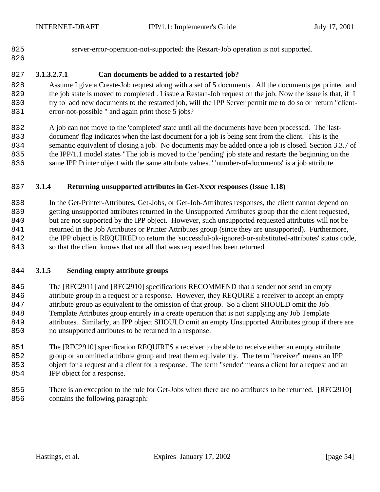- 
- server-error-operation-not-supported: the Restart-Job operation is not supported.

## 

# **3.1.3.2.7.1 Can documents be added to a restarted job?**

 Assume I give a Create-Job request along with a set of 5 documents . All the documents get printed and 829 the job state is moved to completed . I issue a Restart-Job request on the job. Now the issue is that, if I try to add new documents to the restarted job, will the IPP Server permit me to do so or return "client-error-not-possible " and again print those 5 jobs?

 A job can not move to the 'completed' state until all the documents have been processed. The 'last- document' flag indicates when the last document for a job is being sent from the client. This is the semantic equivalent of closing a job. No documents may be added once a job is closed. Section 3.3.7 of the IPP/1.1 model states "The job is moved to the 'pending' job state and restarts the beginning on the same IPP Printer object with the same attribute values." 'number-of-documents' is a job attribute.

## **3.1.4 Returning unsupported attributes in Get-Xxxx responses (Issue 1.18)**

 In the Get-Printer-Attributes, Get-Jobs, or Get-Job-Attributes responses, the client cannot depend on getting unsupported attributes returned in the Unsupported Attributes group that the client requested, but are not supported by the IPP object. However, such unsupported requested attributes will not be returned in the Job Attributes or Printer Attributes group (since they are unsupported). Furthermore, the IPP object is REQUIRED to return the 'successful-ok-ignored-or-substituted-attributes' status code, so that the client knows that not all that was requested has been returned.

### **3.1.5 Sending empty attribute groups**

 The [RFC2911] and [RFC2910] specifications RECOMMEND that a sender not send an empty attribute group in a request or a response. However, they REQUIRE a receiver to accept an empty attribute group as equivalent to the omission of that group. So a client SHOULD omit the Job Template Attributes group entirely in a create operation that is not supplying any Job Template attributes. Similarly, an IPP object SHOULD omit an empty Unsupported Attributes group if there are no unsupported attributes to be returned in a response.

 The [RFC2910] specification REQUIRES a receiver to be able to receive either an empty attribute group or an omitted attribute group and treat them equivalently. The term "receiver" means an IPP object for a request and a client for a response. The term "sender' means a client for a request and an 854 IPP object for a response.

 There is an exception to the rule for Get-Jobs when there are no attributes to be returned. [RFC2910] contains the following paragraph: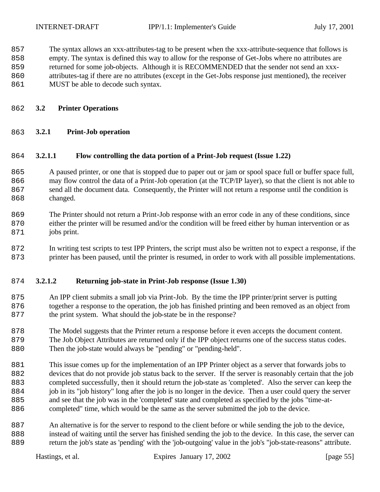The syntax allows an xxx-attributes-tag to be present when the xxx-attribute-sequence that follows is

- empty. The syntax is defined this way to allow for the response of Get-Jobs where no attributes are
- returned for some job-objects. Although it is RECOMMENDED that the sender not send an xxx-
- attributes-tag if there are no attributes (except in the Get-Jobs response just mentioned), the receiver
- 861 MUST be able to decode such syntax.
- **3.2 Printer Operations**
- **3.2.1 Print-Job operation**

#### **3.2.1.1 Flow controlling the data portion of a Print-Job request (Issue 1.22)**

- A paused printer, or one that is stopped due to paper out or jam or spool space full or buffer space full, may flow control the data of a Print-Job operation (at the TCP/IP layer), so that the client is not able to send all the document data. Consequently, the Printer will not return a response until the condition is 868 changed.
- The Printer should not return a Print-Job response with an error code in any of these conditions, since either the printer will be resumed and/or the condition will be freed either by human intervention or as 871 jobs print.
- In writing test scripts to test IPP Printers, the script must also be written not to expect a response, if the printer has been paused, until the printer is resumed, in order to work with all possible implementations.

#### **3.2.1.2 Returning job-state in Print-Job response (Issue 1.30)**

- An IPP client submits a small job via Print-Job. By the time the IPP printer/print server is putting together a response to the operation, the job has finished printing and been removed as an object from 877 the print system. What should the job-state be in the response?
- The Model suggests that the Printer return a response before it even accepts the document content. The Job Object Attributes are returned only if the IPP object returns one of the success status codes.
- Then the job-state would always be "pending" or "pending-held". This issue comes up for the implementation of an IPP Printer object as a server that forwards jobs to
- devices that do not provide job status back to the server. If the server is reasonably certain that the job completed successfully, then it should return the job-state as 'completed'. Also the server can keep the job in its "job history" long after the job is no longer in the device. Then a user could query the server and see that the job was in the 'completed' state and completed as specified by the jobs "time-at-886 completed" time, which would be the same as the server submitted the job to the device.
- An alternative is for the server to respond to the client before or while sending the job to the device, instead of waiting until the server has finished sending the job to the device. In this case, the server can return the job's state as 'pending' with the 'job-outgoing' value in the job's "job-state-reasons" attribute.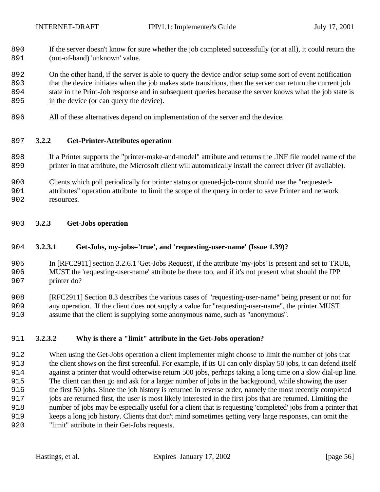If the server doesn't know for sure whether the job completed successfully (or at all), it could return the 891 (out-of-band) 'unknown' value.

 On the other hand, if the server is able to query the device and/or setup some sort of event notification that the device initiates when the job makes state transitions, then the server can return the current job state in the Print-Job response and in subsequent queries because the server knows what the job state is 895 in the device (or can query the device).

All of these alternatives depend on implementation of the server and the device.

#### **3.2.2 Get-Printer-Attributes operation**

- If a Printer supports the "printer-make-and-model" attribute and returns the .INF file model name of the printer in that attribute, the Microsoft client will automatically install the correct driver (if available).
- Clients which poll periodically for printer status or queued-job-count should use the "requested-
- attributes" operation attribute to limit the scope of the query in order to save Printer and network resources.
- **3.2.3 Get-Jobs operation**

#### **3.2.3.1 Get-Jobs, my-jobs='true', and 'requesting-user-name' (Issue 1.39)?**

 In [RFC2911] section 3.2.6.1 'Get-Jobs Request', if the attribute 'my-jobs' is present and set to TRUE, MUST the 'requesting-user-name' attribute be there too, and if it's not present what should the IPP printer do?

 [RFC2911] Section 8.3 describes the various cases of "requesting-user-name" being present or not for any operation. If the client does not supply a value for "requesting-user-name", the printer MUST assume that the client is supplying some anonymous name, such as "anonymous".

#### **3.2.3.2 Why is there a "limit" attribute in the Get-Jobs operation?**

 When using the Get-Jobs operation a client implementer might choose to limit the number of jobs that the client shows on the first screenful. For example, if its UI can only display 50 jobs, it can defend itself against a printer that would otherwise return 500 jobs, perhaps taking a long time on a slow dial-up line. The client can then go and ask for a larger number of jobs in the background, while showing the user the first 50 jobs. Since the job history is returned in reverse order, namely the most recently completed jobs are returned first, the user is most likely interested in the first jobs that are returned. Limiting the number of jobs may be especially useful for a client that is requesting 'completed' jobs from a printer that keeps a long job history. Clients that don't mind sometimes getting very large responses, can omit the "limit" attribute in their Get-Jobs requests.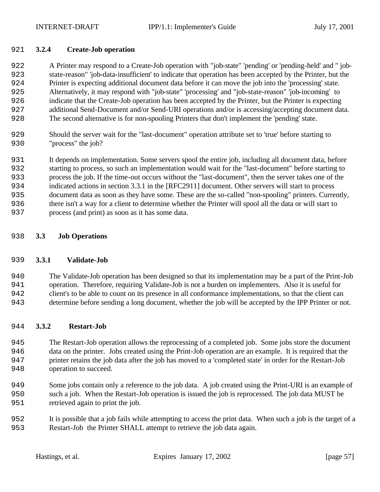#### **3.2.4 Create-Job operation**

 A Printer may respond to a Create-Job operation with "job-state" 'pending' or 'pending-held' and " job- state-reason" 'job-data-insufficient' to indicate that operation has been accepted by the Printer, but the Printer is expecting additional document data before it can move the job into the 'processing' state. Alternatively, it may respond with "job-state" 'processing' and "job-state-reason" 'job-incoming' to indicate that the Create-Job operation has been accepted by the Printer, but the Printer is expecting additional Send-Document and/or Send-URI operations and/or is accessing/accepting document data. The second alternative is for non-spooling Printers that don't implement the 'pending' state.

 Should the server wait for the "last-document" operation attribute set to 'true' before starting to 930 "process" the job?

 It depends on implementation. Some servers spool the entire job, including all document data, before starting to process, so such an implementation would wait for the "last-document" before starting to process the job. If the time-out occurs without the "last-document", then the server takes one of the indicated actions in section 3.3.1 in the [RFC2911] document. Other servers will start to process document data as soon as they have some. These are the so-called "non-spooling" printers. Currently, there isn't a way for a client to determine whether the Printer will spool all the data or will start to process (and print) as soon as it has some data.

#### **3.3 Job Operations**

#### **3.3.1 Validate-Job**

 The Validate-Job operation has been designed so that its implementation may be a part of the Print-Job operation. Therefore, requiring Validate-Job is not a burden on implementers. Also it is useful for client's to be able to count on its presence in all conformance implementations, so that the client can determine before sending a long document, whether the job will be accepted by the IPP Printer or not.

#### **3.3.2 Restart-Job**

 The Restart-Job operation allows the reprocessing of a completed job. Some jobs store the document data on the printer. Jobs created using the Print-Job operation are an example. It is required that the printer retains the job data after the job has moved to a 'completed state' in order for the Restart-Job operation to succeed.

- Some jobs contain only a reference to the job data. A job created using the Print-URI is an example of such a job. When the Restart-Job operation is issued the job is reprocessed. The job data MUST be retrieved again to print the job.
- It is possible that a job fails while attempting to access the print data. When such a job is the target of a Restart-Job the Printer SHALL attempt to retrieve the job data again.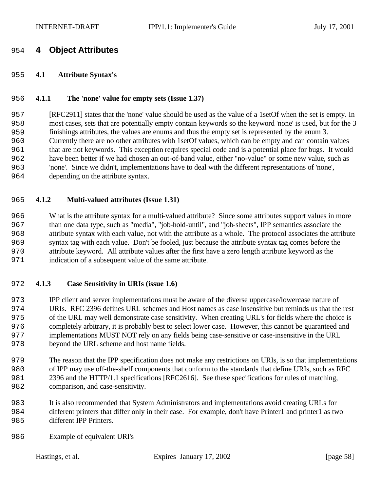# **4 Object Attributes**

#### **4.1 Attribute Syntax's**

#### **4.1.1 The 'none' value for empty sets (Issue 1.37)**

 [RFC2911] states that the 'none' value should be used as the value of a 1setOf when the set is empty. In most cases, sets that are potentially empty contain keywords so the keyword 'none' is used, but for the 3 finishings attributes, the values are enums and thus the empty set is represented by the enum 3. Currently there are no other attributes with 1setOf values, which can be empty and can contain values that are not keywords. This exception requires special code and is a potential place for bugs. It would have been better if we had chosen an out-of-band value, either "no-value" or some new value, such as 'none'. Since we didn't, implementations have to deal with the different representations of 'none', depending on the attribute syntax.

#### **4.1.2 Multi-valued attributes (Issue 1.31)**

 What is the attribute syntax for a multi-valued attribute? Since some attributes support values in more than one data type, such as "media", "job-hold-until", and "job-sheets", IPP semantics associate the attribute syntax with each value, not with the attribute as a whole. The protocol associates the attribute syntax tag with each value. Don't be fooled, just because the attribute syntax tag comes before the attribute keyword. All attribute values after the first have a zero length attribute keyword as the indication of a subsequent value of the same attribute.

#### **4.1.3 Case Sensitivity in URIs (issue 1.6)**

 IPP client and server implementations must be aware of the diverse uppercase/lowercase nature of URIs. RFC 2396 defines URL schemes and Host names as case insensitive but reminds us that the rest of the URL may well demonstrate case sensitivity. When creating URL's for fields where the choice is completely arbitrary, it is probably best to select lower case. However, this cannot be guaranteed and implementations MUST NOT rely on any fields being case-sensitive or case-insensitive in the URL beyond the URL scheme and host name fields.

 The reason that the IPP specification does not make any restrictions on URIs, is so that implementations of IPP may use off-the-shelf components that conform to the standards that define URIs, such as RFC 2396 and the HTTP/1.1 specifications [RFC2616]. See these specifications for rules of matching, comparison, and case-sensitivity.

- It is also recommended that System Administrators and implementations avoid creating URLs for different printers that differ only in their case. For example, don't have Printer1 and printer1 as two 985 different IPP Printers.
- Example of equivalent URI's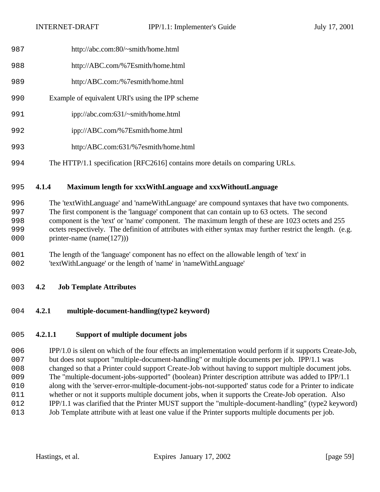- http://abc.com:80/~smith/home.html
- http://ABC.com/%7Esmith/home.html
- http:/ABC.com:/%7esmith/home.html
- Example of equivalent URI's using the IPP scheme
- ipp://abc.com:631/~smith/home.html
- ipp://ABC.com/%7Esmith/home.html
- http:/ABC.com:631/%7esmith/home.html
- The HTTP/1.1 specification [RFC2616] contains more details on comparing URLs.

# **4.1.4 Maximum length for xxxWithLanguage and xxxWithoutLanguage**

 The 'textWithLanguage' and 'nameWithLanguage' are compound syntaxes that have two components. The first component is the 'language' component that can contain up to 63 octets. The second component is the 'text' or 'name' component. The maximum length of these are 1023 octets and 255 octets respectively. The definition of attributes with either syntax may further restrict the length. (e.g. 000 printer-name (name(127)))

- The length of the 'language' component has no effect on the allowable length of 'text' in 'textWithLanguage' or the length of 'name' in 'nameWithLanguage'
- **4.2 Job Template Attributes**
- **4.2.1 multiple-document-handling(type2 keyword)**

# **4.2.1.1 Support of multiple document jobs**

 IPP/1.0 is silent on which of the four effects an implementation would perform if it supports Create-Job, but does not support "multiple-document-handling" or multiple documents per job. IPP/1.1 was changed so that a Printer could support Create-Job without having to support multiple document jobs. The "multiple-document-jobs-supported" (boolean) Printer description attribute was added to IPP/1.1 along with the 'server-error-multiple-document-jobs-not-supported' status code for a Printer to indicate whether or not it supports multiple document jobs, when it supports the Create-Job operation. Also IPP/1.1 was clarified that the Printer MUST support the "multiple-document-handling" (type2 keyword) Job Template attribute with at least one value if the Printer supports multiple documents per job.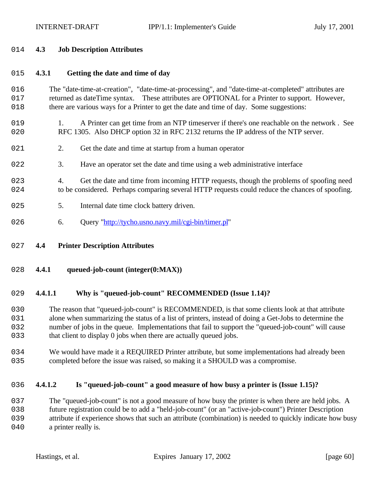#### 2014 **4.3 Job Description Attributes**

# 2015 **4.3.1 Getting the date and time of day**

## 2016 The "date-time-at-creation", "date-time-at-processing", and "date-time-at-completed" attributes are 017 returned as dateTime syntax. These attributes are OPTIONAL for a Printer to support. However, 2018 there are various ways for a Printer to get the date and time of day. Some suggestions:

- 2019 1. A Printer can get time from an NTP timeserver if there's one reachable on the network . See 020 RFC 1305. Also DHCP option 32 in RFC 2132 returns the IP address of the NTP server.
- 021 2. Get the date and time at startup from a human operator
- 2022 3. Have an operator set the date and time using a web administrative interface
- 023 4. Get the date and time from incoming HTTP requests, though the problems of spoofing need 2024 to be considered. Perhaps comparing several HTTP requests could reduce the chances of spoofing.
- 025 5. Internal date time clock battery driven.
- 026 6. Query "http://tycho.usno.navy.mil/cgi-bin/timer.pl"
- 2027 **4.4 Printer Description Attributes**
- 2028 **4.4.1 queued-job-count (integer(0:MAX))**

# 2029 **4.4.1.1 Why is "queued-job-count" RECOMMENDED (Issue 1.14)?**

 The reason that "queued-job-count" is RECOMMENDED, is that some clients look at that attribute alone when summarizing the status of a list of printers, instead of doing a Get-Jobs to determine the number of jobs in the queue. Implementations that fail to support the "queued-job-count" will cause 033 that client to display 0 jobs when there are actually queued jobs.

034 We would have made it a REQUIRED Printer attribute, but some implementations had already been 2035 completed before the issue was raised, so making it a SHOULD was a compromise.

# 2036 **4.4.1.2 Is "queued-job-count" a good measure of how busy a printer is (Issue 1.15)?**

037 The "queued-job-count" is not a good measure of how busy the printer is when there are held jobs. A 2038 future registration could be to add a "held-job-count" (or an "active-job-count") Printer Description 2039 attribute if experience shows that such an attribute (combination) is needed to quickly indicate how busy 040 a printer really is.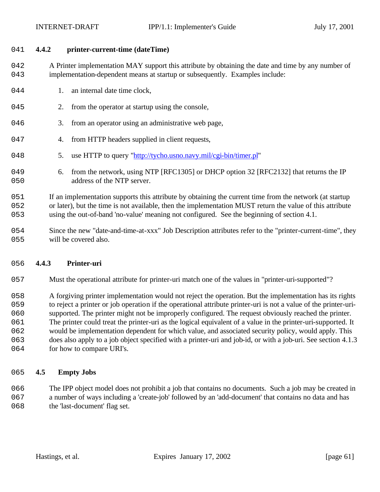#### 2041 **4.4.2 printer-current-time (dateTime)**

042 A Printer implementation MAY support this attribute by obtaining the date and time by any number of 2043 implementation-dependent means at startup or subsequently. Examples include:

- 044 1. an internal date time clock,
- 045 2. from the operator at startup using the console,
- 046 3. from an operator using an administrative web page,
- 047 4. from HTTP headers supplied in client requests,
- 2048 5. use HTTP to query "http://tycho.usno.navy.mil/cgi-bin/timer.pl"
- 049 6. from the network, using NTP [RFC1305] or DHCP option 32 [RFC2132] that returns the IP 050 address of the NTP server.

2051 If an implementation supports this attribute by obtaining the current time from the network (at startup 052 or later), but the time is not available, then the implementation MUST return the value of this attribute 2053 using the out-of-band 'no-value' meaning not configured. See the beginning of section 4.1.

2054 Since the new "date-and-time-at-xxx" Job Description attributes refer to the "printer-current-time", they 055 will be covered also.

#### 2056 **4.4.3 Printer-uri**

2057 Must the operational attribute for printer-uri match one of the values in "printer-uri-supported"?

2058 A forgiving printer implementation would not reject the operation. But the implementation has its rights

- 2059 to reject a printer or job operation if the operational attribute printer-uri is not a value of the printer-uri-
- 2060 supported. The printer might not be improperly configured. The request obviously reached the printer.
- 2061 The printer could treat the printer-uri as the logical equivalent of a value in the printer-uri-supported. It
- 2062 would be implementation dependent for which value, and associated security policy, would apply. This 2063 does also apply to a job object specified with a printer-uri and job-id, or with a job-uri. See section 4.1.3
- 064 for how to compare URI's.

#### 2065 **4.5 Empty Jobs**

2066 The IPP object model does not prohibit a job that contains no documents. Such a job may be created in 2067 a number of ways including a 'create-job' followed by an 'add-document' that contains no data and has 068 the 'last-document' flag set.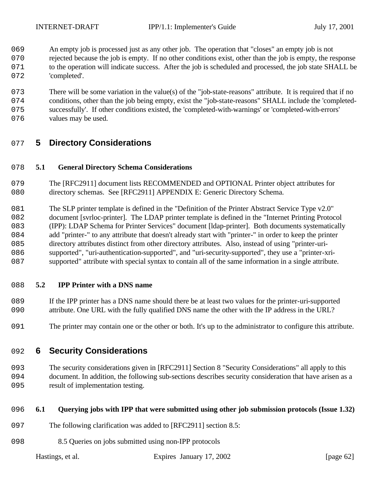- An empty job is processed just as any other job. The operation that "closes" an empty job is not
- 070 rejected because the job is empty. If no other conditions exist, other than the job is empty, the response 071 to the operation will indicate success. After the job is scheduled and processed, the job state SHALL be 072 'completed'.
- 073 There will be some variation in the value(s) of the "job-state-reasons" attribute. It is required that if no
- conditions, other than the job being empty, exist the "job-state-reasons" SHALL include the 'completed-successfully'. If other conditions existed, the 'completed-with-warnings' or 'completed-with-errors'
- 076 values may be used.

# **5 Directory Considerations**

# **5.1 General Directory Schema Considerations**

- The [RFC2911] document lists RECOMMENDED and OPTIONAL Printer object attributes for 080 directory schemas. See [RFC2911] APPENDIX E: Generic Directory Schema.
- The SLP printer template is defined in the "Definition of the Printer Abstract Service Type v2.0" document [svrloc-printer]. The LDAP printer template is defined in the "Internet Printing Protocol (IPP): LDAP Schema for Printer Services" document [ldap-printer]. Both documents systematically 084 add "printer-" to any attribute that doesn't already start with "printer-" in order to keep the printer directory attributes distinct from other directory attributes. Also, instead of using "printer-uri- supported", "uri-authentication-supported", and "uri-security-supported", they use a "printer-xri-supported" attribute with special syntax to contain all of the same information in a single attribute.

# **5.2 IPP Printer with a DNS name**

- If the IPP printer has a DNS name should there be at least two values for the printer-uri-supported attribute. One URL with the fully qualified DNS name the other with the IP address in the URL?
- The printer may contain one or the other or both. It's up to the administrator to configure this attribute.

# **6 Security Considerations**

 The security considerations given in [RFC2911] Section 8 "Security Considerations" all apply to this document. In addition, the following sub-sections describes security consideration that have arisen as a result of implementation testing.

# **6.1 Querying jobs with IPP that were submitted using other job submission protocols (Issue 1.32)**

- The following clarification was added to [RFC2911] section 8.5:
- 8.5 Queries on jobs submitted using non-IPP protocols

Hastings, et al. Expires January 17, 2002 [page 62]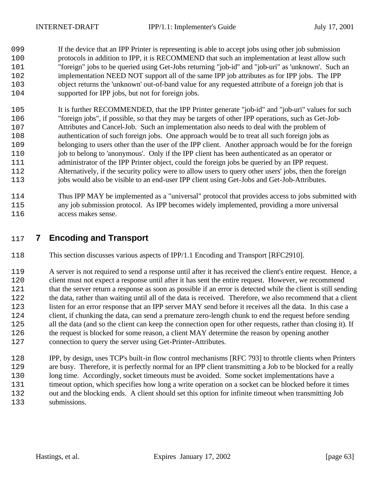If the device that an IPP Printer is representing is able to accept jobs using other job submission protocols in addition to IPP, it is RECOMMEND that such an implementation at least allow such "foreign" jobs to be queried using Get-Jobs returning "job-id" and "job-uri" as 'unknown'. Such an implementation NEED NOT support all of the same IPP job attributes as for IPP jobs. The IPP object returns the 'unknown' out-of-band value for any requested attribute of a foreign job that is supported for IPP jobs, but not for foreign jobs.

 It is further RECOMMENDED, that the IPP Printer generate "job-id" and "job-uri" values for such "foreign jobs", if possible, so that they may be targets of other IPP operations, such as Get-Job- Attributes and Cancel-Job. Such an implementation also needs to deal with the problem of authentication of such foreign jobs. One approach would be to treat all such foreign jobs as belonging to users other than the user of the IPP client. Another approach would be for the foreign job to belong to 'anonymous'. Only if the IPP client has been authenticated as an operator or administrator of the IPP Printer object, could the foreign jobs be queried by an IPP request. Alternatively, if the security policy were to allow users to query other users' jobs, then the foreign 113 jobs would also be visible to an end-user IPP client using Get-Jobs and Get-Job-Attributes.

 Thus IPP MAY be implemented as a "universal" protocol that provides access to jobs submitted with any job submission protocol. As IPP becomes widely implemented, providing a more universal access makes sense.

# **7 Encoding and Transport**

This section discusses various aspects of IPP/1.1 Encoding and Transport [RFC2910].

 A server is not required to send a response until after it has received the client's entire request. Hence, a client must not expect a response until after it has sent the entire request. However, we recommend that the server return a response as soon as possible if an error is detected while the client is still sending 122 the data, rather than waiting until all of the data is received. Therefore, we also recommend that a client listen for an error response that an IPP server MAY send before it receives all the data. In this case a client, if chunking the data, can send a premature zero-length chunk to end the request before sending all the data (and so the client can keep the connection open for other requests, rather than closing it). If the request is blocked for some reason, a client MAY determine the reason by opening another connection to query the server using Get-Printer-Attributes.

 IPP, by design, uses TCP's built-in flow control mechanisms [RFC 793] to throttle clients when Printers are busy. Therefore, it is perfectly normal for an IPP client transmitting a Job to be blocked for a really long time. Accordingly, socket timeouts must be avoided. Some socket implementations have a timeout option, which specifies how long a write operation on a socket can be blocked before it times out and the blocking ends. A client should set this option for infinite timeout when transmitting Job submissions.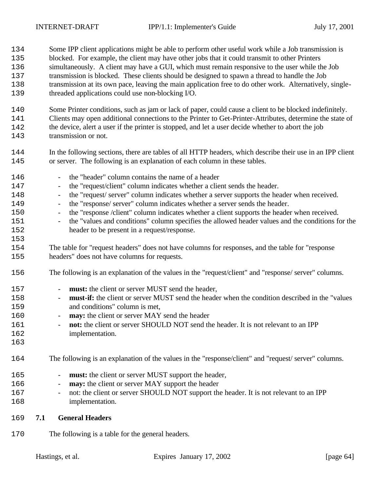- Some IPP client applications might be able to perform other useful work while a Job transmission is blocked. For example, the client may have other jobs that it could transmit to other Printers simultaneously. A client may have a GUI, which must remain responsive to the user while the Job transmission is blocked. These clients should be designed to spawn a thread to handle the Job transmission at its own pace, leaving the main application free to do other work. Alternatively, single-threaded applications could use non-blocking I/O.
- Some Printer conditions, such as jam or lack of paper, could cause a client to be blocked indefinitely. Clients may open additional connections to the Printer to Get-Printer-Attributes, determine the state of the device, alert a user if the printer is stopped, and let a user decide whether to abort the job transmission or not.
- In the following sections, there are tables of all HTTP headers, which describe their use in an IPP client or server. The following is an explanation of each column in these tables.
- the "header" column contains the name of a header - the "request/client" column indicates whether a client sends the header. - the "request/ server" column indicates whether a server supports the header when received. - the "response/ server" column indicates whether a server sends the header. - the "response /client" column indicates whether a client supports the header when received. - the "values and conditions" column specifies the allowed header values and the conditions for the header to be present in a request/response. The table for "request headers" does not have columns for responses, and the table for "response headers" does not have columns for requests. The following is an explanation of the values in the "request/client" and "response/ server" columns. 157 - **must:** the client or server MUST send the header, - **must-if:** the client or server MUST send the header when the condition described in the "values and conditions" column is met, - **may:** the client or server MAY send the header <sup>161</sup> - **not:** the client or server SHOULD NOT send the header. It is not relevant to an IPP implementation. The following is an explanation of the values in the "response/client" and "request/ server" columns.
- 165 **must:** the client or server MUST support the header,
- **may:** the client or server MAY support the header
- <sup>167</sup> not: the client or server SHOULD NOT support the header. It is not relevant to an IPP implementation.
- **7.1 General Headers**
- The following is a table for the general headers.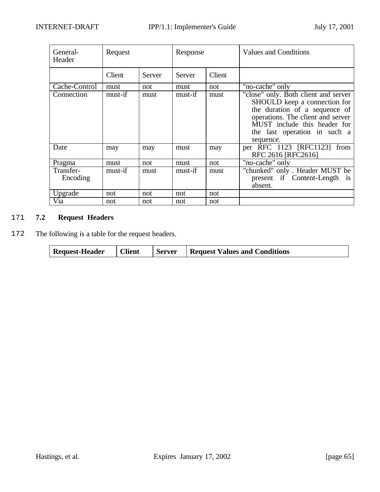| General-<br>Header    | Request |        | Response |        | <b>Values and Conditions</b>                                                                                                                                                                                            |
|-----------------------|---------|--------|----------|--------|-------------------------------------------------------------------------------------------------------------------------------------------------------------------------------------------------------------------------|
|                       | Client  | Server | Server   | Client |                                                                                                                                                                                                                         |
| Cache-Control         | must    | not    | must     | not    | "no-cache" only                                                                                                                                                                                                         |
| Connection            | must-if | must   | must-if  | must   | "close" only. Both client and server<br>SHOULD keep a connection for<br>the duration of a sequence of<br>operations. The client and server<br>MUST include this header for<br>the last operation in such a<br>sequence. |
| Date                  | may     | may    | must     | may    | per RFC 1123 [RFC1123] from<br>RFC 2616 [RFC2616]                                                                                                                                                                       |
| Pragma                | must    | not    | must     | not    | "no-cache" only                                                                                                                                                                                                         |
| Transfer-<br>Encoding | must-if | must   | must-if  | must   | "chunked" only. Header MUST be<br>present if Content-Length<br>$\overline{1}S$<br>absent.                                                                                                                               |
| Upgrade               | not     | not    | not      | not    |                                                                                                                                                                                                                         |
| Via                   | not     | not    | not      | not    |                                                                                                                                                                                                                         |

# 2171 **7.2 Request Headers**

2172 The following is a table for the request headers.

| <b>Client</b><br><b>Request-Header</b><br><b>Server</b> | <b>Request Values and Conditions</b> |
|---------------------------------------------------------|--------------------------------------|
|---------------------------------------------------------|--------------------------------------|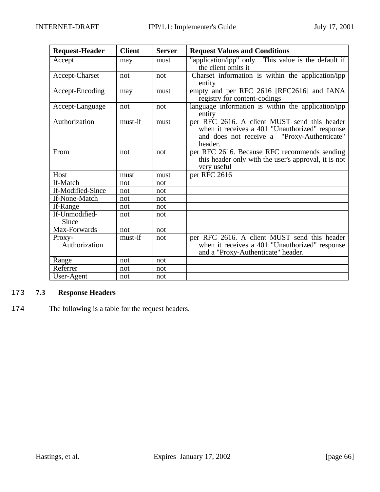| <b>Request-Header</b>   | <b>Client</b> | <b>Server</b> | <b>Request Values and Conditions</b>                                                                                                                     |
|-------------------------|---------------|---------------|----------------------------------------------------------------------------------------------------------------------------------------------------------|
| Accept                  | may           | must          | "application/ipp" only. This value is the default if<br>the client omits it                                                                              |
| Accept-Charset          | not           | not           | Charset information is within the application/ipp<br>entity                                                                                              |
| Accept-Encoding         | may           | must          | empty and per RFC 2616 [RFC2616] and IANA<br>registry for content-codings                                                                                |
| Accept-Language         | not           | not           | language information is within the application/ipp<br>entity                                                                                             |
| Authorization           | must-if       | must          | per RFC 2616. A client MUST send this header<br>when it receives a 401 "Unauthorized" response<br>and does not receive a "Proxy-Authenticate"<br>header. |
| From                    | not           | not           | per RFC 2616. Because RFC recommends sending<br>this header only with the user's approval, it is not<br>very useful                                      |
| Host                    | must          | must          | per RFC 2616                                                                                                                                             |
| If-Match                | not           | not           |                                                                                                                                                          |
| If-Modified-Since       | not           | not           |                                                                                                                                                          |
| If-None-Match           | not           | not           |                                                                                                                                                          |
| If-Range                | not           | not           |                                                                                                                                                          |
| If-Unmodified-<br>Since | not           | not           |                                                                                                                                                          |
| Max-Forwards            | not           | not           |                                                                                                                                                          |
| Proxy-<br>Authorization | must-if       | not           | per RFC 2616. A client MUST send this header<br>when it receives a 401 "Unauthorized" response<br>and a "Proxy-Authenticate" header.                     |
| Range                   | not           | not           |                                                                                                                                                          |
| Referrer                | not           | not           |                                                                                                                                                          |
| User-Agent              | not           | not           |                                                                                                                                                          |

# 2173 **7.3 Response Headers**

2174 The following is a table for the request headers.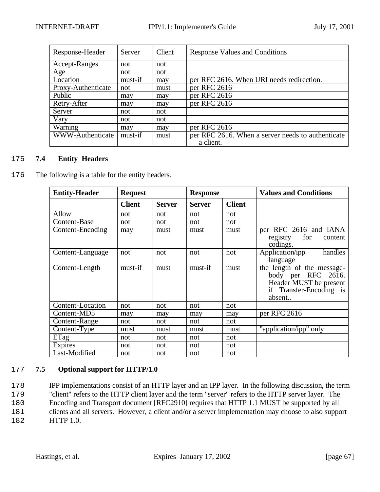| Response-Header         | Server  | Client | <b>Response Values and Conditions</b>             |
|-------------------------|---------|--------|---------------------------------------------------|
| Accept-Ranges           | not     | not    |                                                   |
| Age                     | not     | not    |                                                   |
| Location                | must-if | may    | per RFC 2616. When URI needs redirection.         |
| Proxy-Authenticate      | not     | must   | per RFC 2616                                      |
| Public                  | may     | may    | per RFC 2616                                      |
| Retry-After             | may     | may    | per RFC 2616                                      |
| Server                  | not     | not    |                                                   |
| Vary                    | not     | not    |                                                   |
| Warning                 | may     | may    | per RFC 2616                                      |
| <b>WWW-Authenticate</b> | must-if | must   | per RFC 2616. When a server needs to authenticate |
|                         |         |        | a client.                                         |

# 2175 **7.4 Entity Headers**

176 The following is a table for the entity headers.

| <b>Entity-Header</b> | <b>Request</b> |               | <b>Response</b> |               | <b>Values and Conditions</b>                                                                                    |
|----------------------|----------------|---------------|-----------------|---------------|-----------------------------------------------------------------------------------------------------------------|
|                      | <b>Client</b>  | <b>Server</b> | <b>Server</b>   | <b>Client</b> |                                                                                                                 |
| Allow                | not            | not           | not             | not           |                                                                                                                 |
| Content-Base         | not            | not           | not             | not           |                                                                                                                 |
| Content-Encoding     | may            | must          | must            | must          | per RFC 2616 and IANA<br>for<br>registry<br>content<br>codings.                                                 |
| Content-Language     | not            | not           | not             | not           | Application/ipp<br>handles<br>language                                                                          |
| Content-Length       | must-if        | must          | must-if         | must          | the length of the message-<br>body per RFC 2616.<br>Header MUST be present<br>if Transfer-Encoding is<br>absent |
| Content-Location     | not            | not           | not             | not           |                                                                                                                 |
| Content-MD5          | may            | may           | may             | may           | per RFC 2616                                                                                                    |
| Content-Range        | not            | not           | not             | not           |                                                                                                                 |
| Content-Type         | must           | must          | must            | must          | "application/ipp" only                                                                                          |
| ETag                 | not            | not           | not             | not           |                                                                                                                 |
| Expires              | not            | not           | not             | not           |                                                                                                                 |
| Last-Modified        | not            | not           | not             | not           |                                                                                                                 |

### 2177 **7.5 Optional support for HTTP/1.0**

- 2178 IPP implementations consist of an HTTP layer and an IPP layer. In the following discussion, the term 2179 "client" refers to the HTTP client layer and the term "server" refers to the HTTP server layer. The 2180 Encoding and Transport document [RFC2910] requires that HTTP 1.1 MUST be supported by all
- 2181 clients and all servers. However, a client and/or a server implementation may choose to also support
- 182 HTTP 1.0.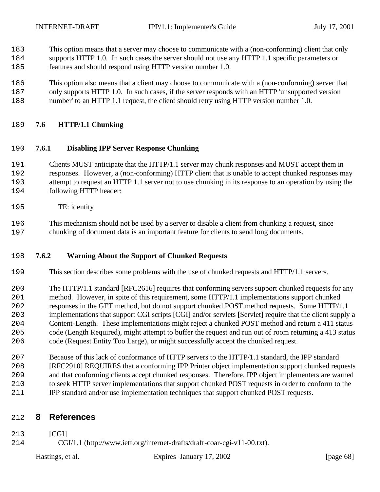- This option means that a server may choose to communicate with a (non-conforming) client that only
- supports HTTP 1.0. In such cases the server should not use any HTTP 1.1 specific parameters or features and should respond using HTTP version number 1.0.
- This option also means that a client may choose to communicate with a (non-conforming) server that
- only supports HTTP 1.0. In such cases, if the server responds with an HTTP 'unsupported version
- number' to an HTTP 1.1 request, the client should retry using HTTP version number 1.0.

#### **7.6 HTTP/1.1 Chunking**

#### **7.6.1 Disabling IPP Server Response Chunking**

- Clients MUST anticipate that the HTTP/1.1 server may chunk responses and MUST accept them in responses. However, a (non-conforming) HTTP client that is unable to accept chunked responses may attempt to request an HTTP 1.1 server not to use chunking in its response to an operation by using the following HTTP header:
- TE: identity
- This mechanism should not be used by a server to disable a client from chunking a request, since chunking of document data is an important feature for clients to send long documents.

### **7.6.2 Warning About the Support of Chunked Requests**

- This section describes some problems with the use of chunked requests and HTTP/1.1 servers.
- The HTTP/1.1 standard [RFC2616] requires that conforming servers support chunked requests for any method. However, in spite of this requirement, some HTTP/1.1 implementations support chunked responses in the GET method, but do not support chunked POST method requests. Some HTTP/1.1 implementations that support CGI scripts [CGI] and/or servlets [Servlet] require that the client supply a Content-Length. These implementations might reject a chunked POST method and return a 411 status code (Length Required), might attempt to buffer the request and run out of room returning a 413 status code (Request Entity Too Large), or might successfully accept the chunked request.
- Because of this lack of conformance of HTTP servers to the HTTP/1.1 standard, the IPP standard [RFC2910] REQUIRES that a conforming IPP Printer object implementation support chunked requests and that conforming clients accept chunked responses. Therefore, IPP object implementers are warned to seek HTTP server implementations that support chunked POST requests in order to conform to the IPP standard and/or use implementation techniques that support chunked POST requests.

# **8 References**

- [CGI]
- CGI/1.1 (http://www.ietf.org/internet-drafts/draft-coar-cgi-v11-00.txt).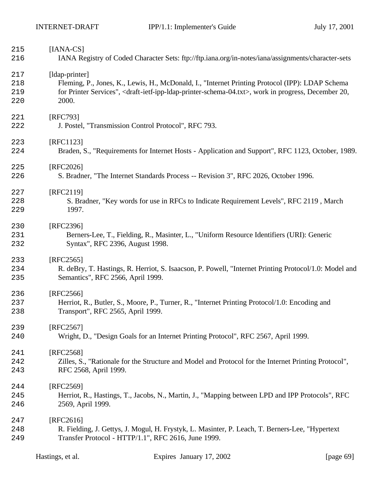| 215<br>216               | $[IANA-CS]$                        | IANA Registry of Coded Character Sets: ftp://ftp.iana.org/in-notes/iana/assignments/character-sets                                                                                                                                                |              |
|--------------------------|------------------------------------|---------------------------------------------------------------------------------------------------------------------------------------------------------------------------------------------------------------------------------------------------|--------------|
| 217<br>218<br>219<br>220 | [ldap-printer]<br>2000.            | Fleming, P., Jones, K., Lewis, H., McDonald, I., "Internet Printing Protocol (IPP): LDAP Schema<br>for Printer Services", <draft-ietf-ipp-idap-printer-schema-04.txt>, work in progress, December 20,</draft-ietf-ipp-idap-printer-schema-04.txt> |              |
| 221<br>222               | [RFC793]                           | J. Postel, "Transmission Control Protocol", RFC 793.                                                                                                                                                                                              |              |
| 223<br>224               | [RFC1123]                          | Braden, S., "Requirements for Internet Hosts - Application and Support", RFC 1123, October, 1989.                                                                                                                                                 |              |
| 225<br>226               | [RFC2026]                          | S. Bradner, "The Internet Standards Process -- Revision 3", RFC 2026, October 1996.                                                                                                                                                               |              |
| 227<br>228<br>229        | [RFC2119]<br>1997.                 | S. Bradner, "Key words for use in RFCs to Indicate Requirement Levels", RFC 2119, March                                                                                                                                                           |              |
| 230<br>231<br>232        | [RFC2396]                          | Berners-Lee, T., Fielding, R., Masinter, L., "Uniform Resource Identifiers (URI): Generic<br>Syntax", RFC 2396, August 1998.                                                                                                                      |              |
| 233<br>234<br>235        | $[RFC2565]$                        | R. deBry, T. Hastings, R. Herriot, S. Isaacson, P. Powell, "Internet Printing Protocol/1.0: Model and<br>Semantics", RFC 2566, April 1999.                                                                                                        |              |
| 236<br>237<br>238        | [RFC2566]                          | Herriot, R., Butler, S., Moore, P., Turner, R., "Internet Printing Protocol/1.0: Encoding and<br>Transport", RFC 2565, April 1999.                                                                                                                |              |
| 239<br>240               | [RFC2567]                          | Wright, D., "Design Goals for an Internet Printing Protocol", RFC 2567, April 1999.                                                                                                                                                               |              |
| 241<br>242<br>243        | [RFC2568]<br>RFC 2568, April 1999. | Zilles, S., "Rationale for the Structure and Model and Protocol for the Internet Printing Protocol",                                                                                                                                              |              |
| 244<br>245<br>246        | [RFC2569]<br>2569, April 1999.     | Herriot, R., Hastings, T., Jacobs, N., Martin, J., "Mapping between LPD and IPP Protocols", RFC                                                                                                                                                   |              |
| 247<br>248<br>249        | [RFC2616]                          | R. Fielding, J. Gettys, J. Mogul, H. Frystyk, L. Masinter, P. Leach, T. Berners-Lee, "Hypertext<br>Transfer Protocol - HTTP/1.1", RFC 2616, June 1999.                                                                                            |              |
|                          | Hastings, et al.                   | Expires January 17, 2002                                                                                                                                                                                                                          | [page $69$ ] |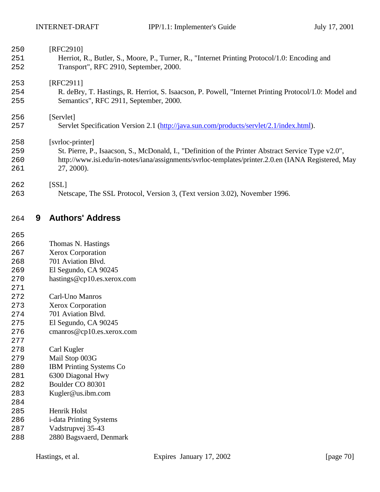| 250        |   | [RFC2910]                                                                                                                               |
|------------|---|-----------------------------------------------------------------------------------------------------------------------------------------|
| 251<br>252 |   | Herriot, R., Butler, S., Moore, P., Turner, R., "Internet Printing Protocol/1.0: Encoding and<br>Transport", RFC 2910, September, 2000. |
|            |   |                                                                                                                                         |
| 253        |   | [RFC2911]                                                                                                                               |
| 254        |   | R. deBry, T. Hastings, R. Herriot, S. Isaacson, P. Powell, "Internet Printing Protocol/1.0: Model and                                   |
| 255        |   | Semantics", RFC 2911, September, 2000.                                                                                                  |
| 256        |   | [Servlet]                                                                                                                               |
| 257        |   | Servlet Specification Version 2.1 (http://java.sun.com/products/servlet/2.1/index.html).                                                |
|            |   |                                                                                                                                         |
| 258        |   | [svrloc-printer]                                                                                                                        |
| 259        |   | St. Pierre, P., Isaacson, S., McDonald, I., "Definition of the Printer Abstract Service Type v2.0",                                     |
| 260        |   | http://www.isi.edu/in-notes/iana/assignments/svrloc-templates/printer.2.0.en (IANA Registered, May                                      |
| 261        |   | 27, 2000).                                                                                                                              |
| 262        |   | [SSL]                                                                                                                                   |
| 263        |   | Netscape, The SSL Protocol, Version 3, (Text version 3.02), November 1996.                                                              |
|            |   |                                                                                                                                         |
| 264        | 9 | <b>Authors' Address</b>                                                                                                                 |

- Thomas N. Hastings
- Xerox Corporation
- 701 Aviation Blvd.
- El Segundo, CA 90245
- hastings@cp10.es.xerox.com
- 
- Carl-Uno Manros
- Xerox Corporation
- 701 Aviation Blvd.
- El Segundo, CA 90245
- cmanros@cp10.es.xerox.com
- Carl Kugler
- Mail Stop 003G
- IBM Printing Systems Co
- 6300 Diagonal Hwy
- Boulder CO 80301
- Kugler@us.ibm.com
- Henrik Holst
- i-data Printing Systems
- Vadstrupvej 35-43
- 2880 Bagsvaerd, Denmark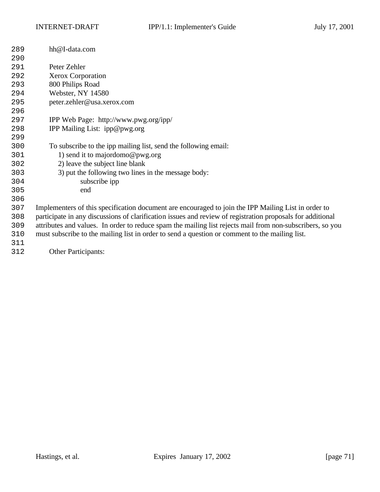| 289 | hh@I-data.com                                                                                              |
|-----|------------------------------------------------------------------------------------------------------------|
| 290 |                                                                                                            |
| 291 | Peter Zehler                                                                                               |
| 292 | Xerox Corporation                                                                                          |
| 293 | 800 Philips Road                                                                                           |
| 294 | Webster, NY 14580                                                                                          |
| 295 | peter.zehler@usa.xerox.com                                                                                 |
| 296 |                                                                                                            |
| 297 | IPP Web Page: http://www.pwg.org/ipp/                                                                      |
| 298 | IPP Mailing List: ipp@pwg.org                                                                              |
| 299 |                                                                                                            |
| 300 | To subscribe to the ipp mailing list, send the following email:                                            |
| 301 | 1) send it to majordomo@pwg.org                                                                            |
| 302 | 2) leave the subject line blank                                                                            |
| 303 | 3) put the following two lines in the message body:                                                        |
| 304 | subscribe ipp                                                                                              |
| 305 | end                                                                                                        |
| 306 |                                                                                                            |
| 307 | Implementers of this specification document are encouraged to join the IPP Mailing List in order to        |
| 308 | participate in any discussions of clarification issues and review of registration proposals for additional |
| 309 | attributes and values. In order to reduce spam the mailing list rejects mail from non-subscribers, so you  |
| 310 | must subscribe to the mailing list in order to send a question or comment to the mailing list.             |
| 311 |                                                                                                            |
| 312 | Other Participants:                                                                                        |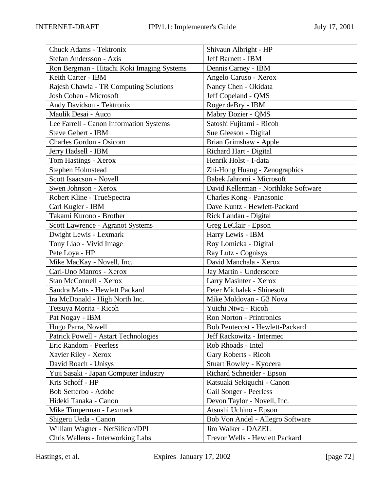| Chuck Adams - Tektronix                                              | Shivaun Albright - HP                |
|----------------------------------------------------------------------|--------------------------------------|
| Stefan Andersson - Axis                                              | Jeff Barnett - IBM                   |
| Ron Bergman - Hitachi Koki Imaging Systems                           | Dennis Carney - IBM                  |
| Keith Carter - IBM                                                   | Angelo Caruso - Xerox                |
| Rajesh Chawla - TR Computing Solutions                               | Nancy Chen - Okidata                 |
| Josh Cohen - Microsoft                                               | Jeff Copeland - QMS                  |
| Andy Davidson - Tektronix                                            | Roger deBry - IBM                    |
| Maulik Desai - Auco                                                  |                                      |
|                                                                      | Mabry Dozier - QMS                   |
| Lee Farrell - Canon Information Systems<br><b>Steve Gebert - IBM</b> | Satoshi Fujitami - Ricoh             |
|                                                                      | Sue Gleeson - Digital                |
| <b>Charles Gordon - Osicom</b>                                       | Brian Grimshaw - Apple               |
| Jerry Hadsell - IBM                                                  | Richard Hart - Digital               |
| Tom Hastings - Xerox                                                 | Henrik Holst - I-data                |
| Stephen Holmstead                                                    | Zhi-Hong Huang - Zenographics        |
| Scott Isaacson - Novell                                              | Babek Jahromi - Microsoft            |
| Swen Johnson - Xerox                                                 | David Kellerman - Northlake Software |
| Robert Kline - TrueSpectra                                           | Charles Kong - Panasonic             |
| Carl Kugler - IBM                                                    | Dave Kuntz - Hewlett-Packard         |
| Takami Kurono - Brother                                              | Rick Landau - Digital                |
| Scott Lawrence - Agranot Systems                                     | Greg LeClair - Epson                 |
| Dwight Lewis - Lexmark                                               | Harry Lewis - IBM                    |
| Tony Liao - Vivid Image                                              | Roy Lomicka - Digital                |
| Pete Loya - HP                                                       | Ray Lutz - Cognisys                  |
| Mike MacKay - Novell, Inc.                                           | David Manchala - Xerox               |
| Carl-Uno Manros - Xerox                                              | Jay Martin - Underscore              |
| Stan McConnell - Xerox                                               | Larry Masinter - Xerox               |
| Sandra Matts - Hewlett Packard                                       | Peter Michalek - Shinesoft           |
| Ira McDonald - High North Inc.                                       | Mike Moldovan - G3 Nova              |
| Tetsuya Morita - Ricoh                                               | Yuichi Niwa - Ricoh                  |
| Pat Nogay - IBM                                                      | <b>Ron Norton - Printronics</b>      |
| Hugo Parra, Novell                                                   | Bob Pentecost - Hewlett-Packard      |
| Patrick Powell - Astart Technologies                                 | Jeff Rackowitz - Intermec            |
| Eric Random - Peerless                                               | Rob Rhoads - Intel                   |
| Xavier Riley - Xerox                                                 | Gary Roberts - Ricoh                 |
| David Roach - Unisys                                                 | Stuart Rowley - Kyocera              |
| Yuji Sasaki - Japan Computer Industry                                | Richard Schneider - Epson            |
| Kris Schoff - HP                                                     | Katsuaki Sekiguchi - Canon           |
| Bob Setterbo - Adobe                                                 | Gail Songer - Peerless               |
| Hideki Tanaka - Canon                                                | Devon Taylor - Novell, Inc.          |
| Mike Timperman - Lexmark                                             | Atsushi Uchino - Epson               |
| Shigeru Ueda - Canon                                                 | Bob Von Andel - Allegro Software     |
| William Wagner - NetSilicon/DPI                                      | Jim Walker - DAZEL                   |
| Chris Wellens - Interworking Labs                                    | Trevor Wells - Hewlett Packard       |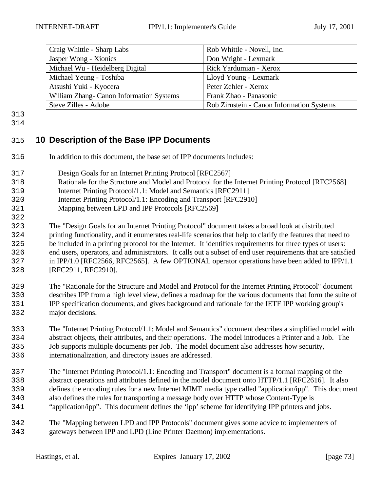| Craig Whittle - Sharp Labs               | Rob Whittle - Novell, Inc.                |
|------------------------------------------|-------------------------------------------|
| Jasper Wong - Xionics                    | Don Wright - Lexmark                      |
| Michael Wu - Heidelberg Digital          | Rick Yardumian - Xerox                    |
| Michael Yeung - Toshiba                  | Lloyd Young - Lexmark                     |
| Atsushi Yuki - Kyocera                   | Peter Zehler - Xerox                      |
| William Zhang- Canon Information Systems | Frank Zhao - Panasonic                    |
| Steve Zilles - Adobe                     | Rob Zirnstein - Canon Information Systems |

- 
- 

## **10 Description of the Base IPP Documents**

- In addition to this document, the base set of IPP documents includes:
- Design Goals for an Internet Printing Protocol [RFC2567]
- Rationale for the Structure and Model and Protocol for the Internet Printing Protocol [RFC2568]
- Internet Printing Protocol/1.1: Model and Semantics [RFC2911]
- Internet Printing Protocol/1.1: Encoding and Transport [RFC2910]
- Mapping between LPD and IPP Protocols [RFC2569]
- The "Design Goals for an Internet Printing Protocol" document takes a broad look at distributed printing functionality, and it enumerates real-life scenarios that help to clarify the features that need to be included in a printing protocol for the Internet. It identifies requirements for three types of users: end users, operators, and administrators. It calls out a subset of end user requirements that are satisfied in IPP/1.0 [RFC2566, RFC2565]. A few OPTIONAL operator operations have been added to IPP/1.1 [RFC2911, RFC2910].
- The "Rationale for the Structure and Model and Protocol for the Internet Printing Protocol" document describes IPP from a high level view, defines a roadmap for the various documents that form the suite of IPP specification documents, and gives background and rationale for the IETF IPP working group's major decisions.
- The "Internet Printing Protocol/1.1: Model and Semantics" document describes a simplified model with abstract objects, their attributes, and their operations. The model introduces a Printer and a Job. The Job supports multiple documents per Job. The model document also addresses how security, internationalization, and directory issues are addressed.
- The "Internet Printing Protocol/1.1: Encoding and Transport" document is a formal mapping of the abstract operations and attributes defined in the model document onto HTTP/1.1 [RFC2616]. It also defines the encoding rules for a new Internet MIME media type called "application/ipp". This document also defines the rules for transporting a message body over HTTP whose Content-Type is
- "application/ipp". This document defines the 'ipp' scheme for identifying IPP printers and jobs.
- The "Mapping between LPD and IPP Protocols" document gives some advice to implementers of gateways between IPP and LPD (Line Printer Daemon) implementations.